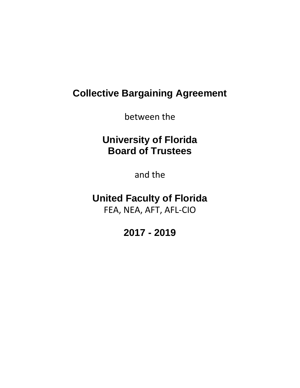# **Collective Bargaining Agreement**

between the

# **University of Florida Board of Trustees**

and the

## **United Faculty of Florida** FEA, NEA, AFT, AFL-CIO

# **2017 - 2019**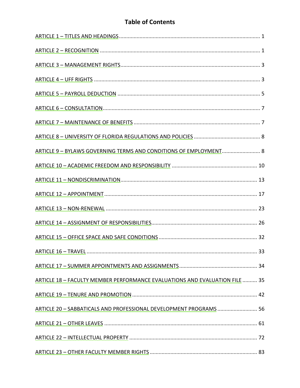## **Table of Contents**

| ARTICLE 9 - BYLAWS GOVERNING TERMS AND CONDITIONS OF EMPLOYMENT 8           |    |
|-----------------------------------------------------------------------------|----|
|                                                                             |    |
|                                                                             |    |
|                                                                             |    |
|                                                                             |    |
|                                                                             |    |
|                                                                             |    |
|                                                                             | 33 |
|                                                                             |    |
| ARTICLE 18 - FACULTY MEMBER PERFORMANCE EVALUATIONS AND EVALUATION FILE  35 |    |
|                                                                             |    |
| ARTICLE 20 - SABBATICALS AND PROFESSIONAL DEVELOPMENT PROGRAMS  56          |    |
|                                                                             |    |
|                                                                             |    |
|                                                                             |    |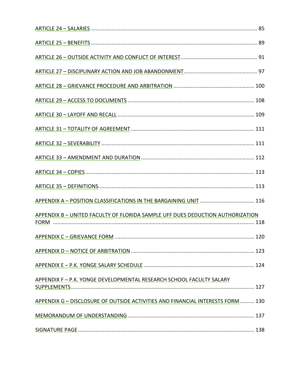| APPENDIX A - POSITION CLASSIFICATIONS IN THE BARGAINING UNIT  116              |  |
|--------------------------------------------------------------------------------|--|
| APPENDIX B - UNITED FACULTY OF FLORIDA SAMPLE UFF DUES DEDUCTION AUTHORIZATION |  |
|                                                                                |  |
|                                                                                |  |
|                                                                                |  |
| APPENDIX F - P.K. YONGE DEVELOPMENTAL RESEARCH SCHOOL FACULTY SALARY           |  |
| APPENDIX G - DISCLOSURE OF OUTSIDE ACTIVITIES AND FINANCIAL INTERESTS FORM 130 |  |
|                                                                                |  |
|                                                                                |  |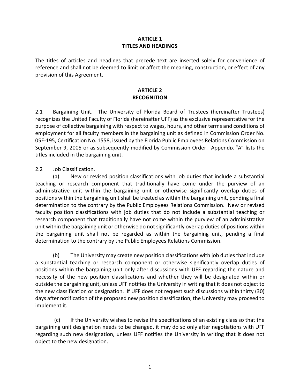#### **ARTICLE 1 TITLES AND HEADINGS**

<span id="page-3-0"></span>The titles of articles and headings that precede text are inserted solely for convenience of reference and shall not be deemed to limit or affect the meaning, construction, or effect of any provision of this Agreement.

#### **ARTICLE 2 RECOGNITION**

2.1 Bargaining Unit. The University of Florida Board of Trustees (hereinafter Trustees) recognizes the United Faculty of Florida (hereinafter UFF) as the exclusive representative for the purpose of collective bargaining with respect to wages, hours, and other terms and conditions of employment for all faculty members in the bargaining unit as defined in Commission Order No. 05E-195, Certification No. 1558, issued by the Florida Public Employees Relations Commission on September 9, 2005 or as subsequently modified by Commission Order. Appendix "A" lists the titles included in the bargaining unit.

2.2 Job Classification.

(a) New or revised position classifications with job duties that include a substantial teaching or research component that traditionally have come under the purview of an administrative unit within the bargaining unit or otherwise significantly overlap duties of positions within the bargaining unit shall be treated as within the bargaining unit, pending a final determination to the contrary by the Public Employees Relations Commission. New or revised faculty position classifications with job duties that do not include a substantial teaching or research component that traditionally have not come within the purview of an administrative unit within the bargaining unit or otherwise do not significantly overlap duties of positions within the bargaining unit shall not be regarded as within the bargaining unit, pending a final determination to the contrary by the Public Employees Relations Commission.

(b) The University may create new position classifications with job duties that include a substantial teaching or research component or otherwise significantly overlap duties of positions within the bargaining unit only after discussions with UFF regarding the nature and necessity of the new position classifications and whether they will be designated within or outside the bargaining unit, unless UFF notifies the University in writing that it does not object to the new classification or designation. If UFF does not request such discussions within thirty (30) days after notification of the proposed new position classification, the University may proceed to implement it.

(c) If the University wishes to revise the specifications of an existing class so that the bargaining unit designation needs to be changed, it may do so only after negotiations with UFF regarding such new designation, unless UFF notifies the University in writing that it does not object to the new designation.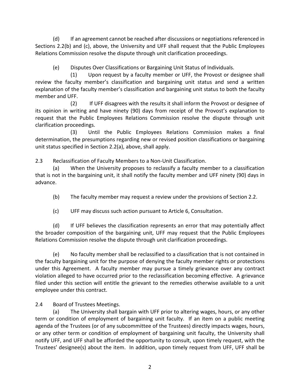(d) If an agreement cannot be reached after discussions or negotiations referenced in Sections 2.2(b) and (c), above, the University and UFF shall request that the Public Employees Relations Commission resolve the dispute through unit clarification proceedings.

(e) Disputes Over Classifications or Bargaining Unit Status of Individuals.

 (1) Upon request by a faculty member or UFF, the Provost or designee shall review the faculty member's classification and bargaining unit status and send a written explanation of the faculty member's classification and bargaining unit status to both the faculty member and UFF.

 (2) If UFF disagrees with the results it shall inform the Provost or designee of its opinion in writing and have ninety (90) days from receipt of the Provost's explanation to request that the Public Employees Relations Commission resolve the dispute through unit clarification proceedings.

 (3) Until the Public Employees Relations Commission makes a final determination, the presumptions regarding new or revised position classifications or bargaining unit status specified in Section 2.2(a), above, shall apply.

2.3 Reclassification of Faculty Members to a Non-Unit Classification.

(a) When the University proposes to reclassify a faculty member to a classification that is not in the bargaining unit, it shall notify the faculty member and UFF ninety (90) days in advance.

(b) The faculty member may request a review under the provisions of Section 2.2.

(c) UFF may discuss such action pursuant to Article 6, Consultation.

(d) If UFF believes the classification represents an error that may potentially affect the broader composition of the bargaining unit, UFF may request that the Public Employees Relations Commission resolve the dispute through unit clarification proceedings.

(e) No faculty member shall be reclassified to a classification that is not contained in the faculty bargaining unit for the purpose of denying the faculty member rights or protections under this Agreement. A faculty member may pursue a timely grievance over any contract violation alleged to have occurred prior to the reclassification becoming effective. A grievance filed under this section will entitle the grievant to the remedies otherwise available to a unit employee under this contract.

2.4 Board of Trustees Meetings.

(a) The University shall bargain with UFF prior to altering wages, hours, or any other term or condition of employment of bargaining unit faculty. If an item on a public meeting agenda of the Trustees (or of any subcommittee of the Trustees) directly impacts wages, hours, or any other term or condition of employment of bargaining unit faculty, the University shall notify UFF, and UFF shall be afforded the opportunity to consult, upon timely request, with the Trustees' designee(s) about the item. In addition, upon timely request from UFF, UFF shall be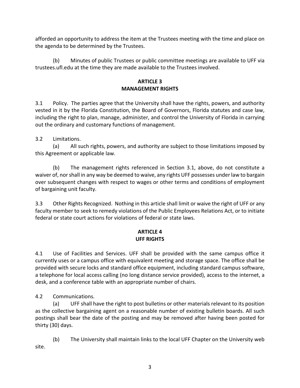<span id="page-5-0"></span>afforded an opportunity to address the item at the Trustees meeting with the time and place on the agenda to be determined by the Trustees.

(b) Minutes of public Trustees or public committee meetings are available to UFF via trustees.ufl.edu at the time they are made available to the Trustees involved.

### **ARTICLE 3 MANAGEMENT RIGHTS**

3.1 Policy. The parties agree that the University shall have the rights, powers, and authority vested in it by the Florida Constitution, the Board of Governors, Florida statutes and case law, including the right to plan, manage, administer, and control the University of Florida in carrying out the ordinary and customary functions of management.

3.2 Limitations.

(a) All such rights, powers, and authority are subject to those limitations imposed by this Agreement or applicable law.

(b) The management rights referenced in Section 3.1, above, do not constitute a waiver of, nor shall in any way be deemed to waive, any rights UFF possesses under law to bargain over subsequent changes with respect to wages or other terms and conditions of employment of bargaining unit faculty.

3.3 Other Rights Recognized. Nothing in this article shall limit or waive the right of UFF or any faculty member to seek to remedy violations of the Public Employees Relations Act, or to initiate federal or state court actions for violations of federal or state laws.

## **ARTICLE 4 UFF RIGHTS**

4.1 Use of Facilities and Services. UFF shall be provided with the same campus office it currently uses or a campus office with equivalent meeting and storage space. The office shall be provided with secure locks and standard office equipment, including standard campus software, a telephone for local access calling (no long distance service provided), access to the internet, a desk, and a conference table with an appropriate number of chairs.

4.2 Communications.

(a) UFF shall have the right to post bulletins or other materials relevant to its position as the collective bargaining agent on a reasonable number of existing bulletin boards. All such postings shall bear the date of the posting and may be removed after having been posted for thirty (30) days.

(b) The University shall maintain links to the local UFF Chapter on the University web site.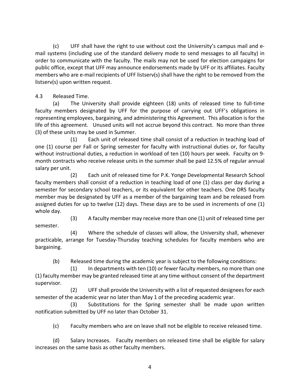(c) UFF shall have the right to use without cost the University's campus mail and email systems (including use of the standard delivery mode to send messages to all faculty) in order to communicate with the faculty. The mails may not be used for election campaigns for public office, except that UFF may announce endorsements made by UFF or its affiliates. Faculty members who are e-mail recipients of UFF listserv(s) shall have the right to be removed from the listserv(s) upon written request.

## 4.3 Released Time.

semester.

(a) The University shall provide eighteen (18) units of released time to full-time faculty members designated by UFF for the purpose of carrying out UFF's obligations in representing employees, bargaining, and administering this Agreement.This allocation is for the life of this agreement. Unused units will not accrue beyond this contract. No more than three (3) of these units may be used in Summer.

(1) Each unit of released time shall consist of a reduction in teaching load of one (1) course per Fall or Spring semester for faculty with instructional duties or, for faculty without instructional duties, a reduction in workload of ten (10) hours per week. Faculty on 9 month contracts who receive release units in the summer shall be paid 12.5% of regular annual salary per unit.

(2) Each unit of released time for P.K. Yonge Developmental Research School faculty members shall consist of a reduction in teaching load of one (1) class per day during a semester for secondary school teachers, or its equivalent for other teachers. One DRS faculty member may be designated by UFF as a member of the bargaining team and be released from assigned duties for up to twelve (12) days. These days are to be used in increments of one (1) whole day.

(3) A faculty member may receive more than one (1) unit of released time per

(4) Where the schedule of classes will allow, the University shall, whenever practicable, arrange for Tuesday-Thursday teaching schedules for faculty members who are bargaining.

(b) Released time during the academic year is subject to the following conditions:

 (1) In departments with ten (10) or fewer faculty members, no more than one (1) faculty member may be granted released time at any time without consent of the department supervisor.

 (2) UFF shall provide the University with a list of requested designees for each semester of the academic year no later than May 1 of the preceding academic year.

 (3) Substitutions for the Spring semester shall be made upon written notification submitted by UFF no later than October 31.

(c) Faculty members who are on leave shall not be eligible to receive released time.

(d) Salary Increases. Faculty members on released time shall be eligible for salary increases on the same basis as other faculty members.

4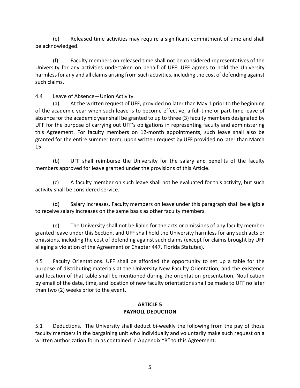<span id="page-7-0"></span> (e) Released time activities may require a significant commitment of time and shall be acknowledged.

(f) Faculty members on released time shall not be considered representatives of the University for any activities undertaken on behalf of UFF. UFF agrees to hold the University harmless for any and all claims arising from such activities, including the cost of defending against such claims.

4.4 Leave of Absence—Union Activity.

(a) At the written request of UFF, provided no later than May 1 prior to the beginning of the academic year when such leave is to become effective, a full-time or part-time leave of absence for the academic year shall be granted to up to three (3) faculty members designated by UFF for the purpose of carrying out UFF's obligations in representing faculty and administering this Agreement. For faculty members on 12-month appointments, such leave shall also be granted for the entire summer term, upon written request by UFF provided no later than March 15.

(b) UFF shall reimburse the University for the salary and benefits of the faculty members approved for leave granted under the provisions of this Article.

(c) A faculty member on such leave shall not be evaluated for this activity, but such activity shall be considered service.

(d) Salary Increases. Faculty members on leave under this paragraph shall be eligible to receive salary increases on the same basis as other faculty members.

(e) The University shall not be liable for the acts or omissions of any faculty member granted leave under this Section, and UFF shall hold the University harmless for any such acts or omissions, including the cost of defending against such claims (except for claims brought by UFF alleging a violation of the Agreement or Chapter 447, Florida Statutes).

4.5 Faculty Orientations. UFF shall be afforded the opportunity to set up a table for the purpose of distributing materials at the University New Faculty Orientation, and the existence and location of that table shall be mentioned during the orientation presentation. Notification by email of the date, time, and location of new faculty orientations shall be made to UFF no later than two (2) weeks prior to the event.

#### **ARTICLE 5 PAYROLL DEDUCTION**

5.1 Deductions. The University shall deduct bi-weekly the following from the pay of those faculty members in the bargaining unit who individually and voluntarily make such request on a written authorization form as contained in Appendix "B" to this Agreement: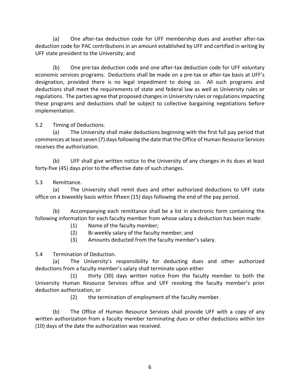(a) One after-tax deduction code for UFF membership dues and another after-tax deduction code for PAC contributions in an amount established by UFF and certified in writing by UFF state president to the University; and

(b) One pre-tax deduction code and one after-tax deduction code for UFF voluntary economic services programs. Deductions shall be made on a pre-tax or after-tax basis at UFF's designation, provided there is no legal impediment to doing so. All such programs and deductions shall meet the requirements of state and federal law as well as University rules or regulations. The parties agree that proposed changes in University rules or regulations impacting these programs and deductions shall be subject to collective bargaining negotiations before implementation.

### 5.2 Timing of Deductions.

(a) The University shall make deductions beginning with the first full pay period that commences at least seven (7) days following the date that the Office of Human Resource Services receives the authorization.

(b) UFF shall give written notice to the University of any changes in its dues at least forty-five (45) days prior to the effective date of such changes.

### 5.3 Remittance.

(a) The University shall remit dues and other authorized deductions to UFF state office on a biweekly basis within fifteen (15) days following the end of the pay period.

(b) Accompanying each remittance shall be a list in electronic form containing the following information for each faculty member from whose salary a deduction has been made:

(1) Name of the faculty member;

- (2) Bi-weekly salary of the faculty member; and
- (3) Amounts deducted from the faculty member's salary.

5.4 Termination of Deduction.

(a) The University's responsibility for deducting dues and other authorized deductions from a faculty member's salary shall terminate upon either

(1) thirty (30) days written notice from the faculty member to both the University Human Resource Services office and UFF revoking the faculty member's prior deduction authorization, or

(2) the termination of employment of the faculty member.

(b) The Office of Human Resource Services shall provide UFF with a copy of any written authorization from a faculty member terminating dues or other deductions within ten (10) days of the date the authorization was received.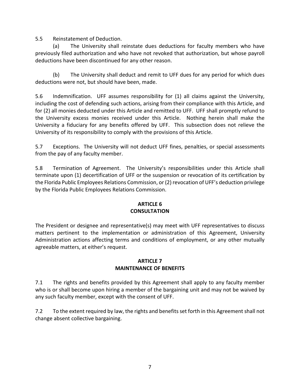<span id="page-9-0"></span>5.5 Reinstatement of Deduction.

(a) The University shall reinstate dues deductions for faculty members who have previously filed authorization and who have not revoked that authorization, but whose payroll deductions have been discontinued for any other reason.

(b) The University shall deduct and remit to UFF dues for any period for which dues deductions were not, but should have been, made.

5.6 Indemnification. UFF assumes responsibility for (1) all claims against the University, including the cost of defending such actions, arising from their compliance with this Article, and for (2) all monies deducted under this Article and remitted to UFF. UFF shall promptly refund to the University excess monies received under this Article. Nothing herein shall make the University a fiduciary for any benefits offered by UFF. This subsection does not relieve the University of its responsibility to comply with the provisions of this Article.

5.7 Exceptions. The University will not deduct UFF fines, penalties, or special assessments from the pay of any faculty member.

5.8 Termination of Agreement. The University's responsibilities under this Article shall terminate upon (1) decertification of UFF or the suspension or revocation of its certification by the Florida Public Employees Relations Commission, or (2) revocation of UFF's deduction privilege by the Florida Public Employees Relations Commission.

#### **ARTICLE 6 CONSULTATION**

The President or designee and representative(s) may meet with UFF representatives to discuss matters pertinent to the implementation or administration of this Agreement, University Administration actions affecting terms and conditions of employment, or any other mutually agreeable matters, at either's request.

#### **ARTICLE 7 MAINTENANCE OF BENEFITS**

7.1 The rights and benefits provided by this Agreement shall apply to any faculty member who is or shall become upon hiring a member of the bargaining unit and may not be waived by any such faculty member, except with the consent of UFF.

7.2 To the extent required by law, the rights and benefits set forth in this Agreement shall not change absent collective bargaining.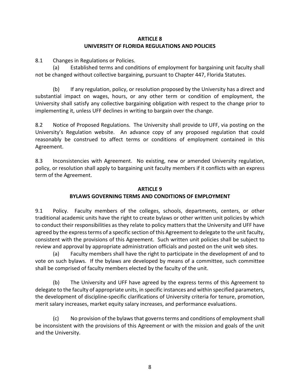#### **ARTICLE 8 UNIVERSITY OF FLORIDA REGULATIONS AND POLICIES**

<span id="page-10-0"></span>8.1 Changes in Regulations or Policies.

(a) Established terms and conditions of employment for bargaining unit faculty shall not be changed without collective bargaining, pursuant to Chapter 447, Florida Statutes.

(b) If any regulation, policy, or resolution proposed by the University has a direct and substantial impact on wages, hours, or any other term or condition of employment, the University shall satisfy any collective bargaining obligation with respect to the change prior to implementing it, unless UFF declines in writing to bargain over the change.

8.2 Notice of Proposed Regulations. The University shall provide to UFF, via posting on the University's Regulation website. An advance copy of any proposed regulation that could reasonably be construed to affect terms or conditions of employment contained in this Agreement.

8.3 Inconsistencies with Agreement. No existing, new or amended University regulation, policy, or resolution shall apply to bargaining unit faculty members if it conflicts with an express term of the Agreement.

## **ARTICLE 9 BYLAWS GOVERNING TERMS AND CONDITIONS OF EMPLOYMENT**

9.1 Policy. Faculty members of the colleges, schools, departments, centers, or other traditional academic units have the right to create bylaws or other written unit policies by which to conduct their responsibilities as they relate to policy matters that the University and UFF have agreed by the express terms of a specific section of this Agreement to delegate to the unit faculty, consistent with the provisions of this Agreement. Such written unit policies shall be subject to review and approval by appropriate administration officials and posted on the unit web sites.

(a) Faculty members shall have the right to participate in the development of and to vote on such bylaws. If the bylaws are developed by means of a committee, such committee shall be comprised of faculty members elected by the faculty of the unit.

(b) The University and UFF have agreed by the express terms of this Agreement to delegate to the faculty of appropriate units, in specific instances and within specified parameters, the development of discipline-specific clarifications of University criteria for tenure, promotion, merit salary increases, market equity salary increases, and performance evaluations.

(c) No provision of the bylaws that governs terms and conditions of employment shall be inconsistent with the provisions of this Agreement or with the mission and goals of the unit and the University.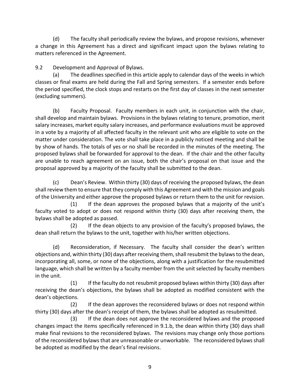(d) The faculty shall periodically review the bylaws, and propose revisions, whenever a change in this Agreement has a direct and significant impact upon the bylaws relating to matters referenced in the Agreement.

## 9.2 Development and Approval of Bylaws.

(a) The deadlines specified in this article apply to calendar days of the weeks in which classes or final exams are held during the Fall and Spring semesters. If a semester ends before the period specified, the clock stops and restarts on the first day of classes in the next semester (excluding summers).

(b) Faculty Proposal. Faculty members in each unit, in conjunction with the chair, shall develop and maintain bylaws. Provisions in the bylaws relating to tenure, promotion, merit salary increases, market equity salary increases, and performance evaluations must be approved in a vote by a majority of all affected faculty in the relevant unit who are eligible to vote on the matter under consideration. The vote shall take place in a publicly noticed meeting and shall be by show of hands. The totals of yes or no shall be recorded in the minutes of the meeting. The proposed bylaws shall be forwarded for approval to the dean. If the chair and the other faculty are unable to reach agreement on an issue, both the chair's proposal on that issue and the proposal approved by a majority of the faculty shall be submitted to the dean.

(c) Dean's Review. Within thirty (30) days of receiving the proposed bylaws, the dean shall review them to ensure that they comply with this Agreement and with the mission and goals of the University and either approve the proposed bylaws or return them to the unit for revision.

 (1) If the dean approves the proposed bylaws that a majority of the unit's faculty voted to adopt or does not respond within thirty (30) days after receiving them, the bylaws shall be adopted as passed.

 (2) If the dean objects to any provision of the faculty's proposed bylaws, the dean shall return the bylaws to the unit, together with his/her written objections.

(d) Reconsideration, if Necessary. The faculty shall consider the dean's written objections and, within thirty (30) days after receiving them, shall resubmit the bylaws to the dean, incorporating all, some, or none of the objections, along with a justification for the resubmitted language, which shall be written by a faculty member from the unit selected by faculty members in the unit.

 (1) If the faculty do not resubmit proposed bylaws within thirty (30) days after receiving the dean's objections, the bylaws shall be adopted as modified consistent with the dean's objections.

 (2) If the dean approves the reconsidered bylaws or does not respond within thirty (30) days after the dean's receipt of them, the bylaws shall be adopted as resubmitted.

 (3) If the dean does not approve the reconsidered bylaws and the proposed changes impact the items specifically referenced in 9.1.b, the dean within thirty (30) days shall make final revisions to the reconsidered bylaws. The revisions may change only those portions of the reconsidered bylaws that are unreasonable or unworkable. The reconsidered bylaws shall be adopted as modified by the dean's final revisions.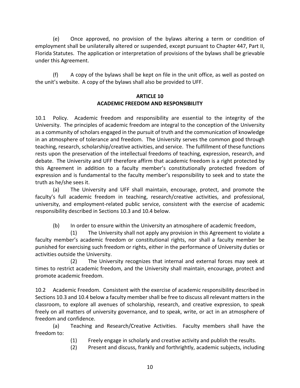<span id="page-12-0"></span> (e) Once approved, no provision of the bylaws altering a term or condition of employment shall be unilaterally altered or suspended, except pursuant to Chapter 447, Part II, Florida Statutes. The application or interpretation of provisions of the bylaws shall be grievable under this Agreement.

(f) A copy of the bylaws shall be kept on file in the unit office, as well as posted on the unit's website. A copy of the bylaws shall also be provided to UFF.

#### **ARTICLE 10 ACADEMIC FREEDOM AND RESPONSIBILITY**

10.1 Policy. Academic freedom and responsibility are essential to the integrity of the University. The principles of academic freedom are integral to the conception of the University as a community of scholars engaged in the pursuit of truth and the communication of knowledge in an atmosphere of tolerance and freedom. The University serves the common good through teaching, research, scholarship/creative activities, and service. The fulfillment of these functions rests upon the preservation of the intellectual freedoms of teaching, expression, research, and debate. The University and UFF therefore affirm that academic freedom is a right protected by this Agreement in addition to a faculty member's constitutionally protected freedom of expression and is fundamental to the faculty member's responsibility to seek and to state the truth as he/she sees it.

(a) The University and UFF shall maintain, encourage, protect, and promote the faculty's full academic freedom in teaching, research/creative activities, and professional, university, and employment-related public service, consistent with the exercise of academic responsibility described in Sections 10.3 and 10.4 below.

(b) In order to ensure within the University an atmosphere of academic freedom,

 (1) The University shall not apply any provision in this Agreement to violate a faculty member's academic freedom or constitutional rights, nor shall a faculty member be punished for exercising such freedom or rights, either in the performance of University duties or activities outside the University.

 (2) The University recognizes that internal and external forces may seek at times to restrict academic freedom, and the University shall maintain, encourage, protect and promote academic freedom.

10.2 Academic Freedom. Consistent with the exercise of academic responsibility described in Sections 10.3 and 10.4 below a faculty member shall be free to discuss all relevant matters in the classroom, to explore all avenues of scholarship, research, and creative expression, to speak freely on all matters of university governance, and to speak, write, or act in an atmosphere of freedom and confidence.

(a) Teaching and Research/Creative Activities. Faculty members shall have the freedom to:

- (1) Freely engage in scholarly and creative activity and publish the results.
- (2) Present and discuss, frankly and forthrightly, academic subjects, including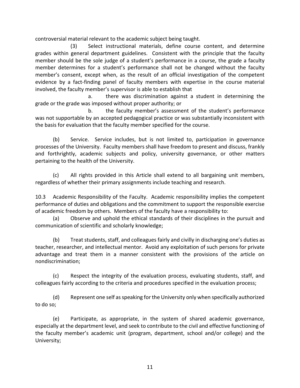controversial material relevant to the academic subject being taught.

 (3) Select instructional materials, define course content, and determine grades within general department guidelines. Consistent with the principle that the faculty member should be the sole judge of a student's performance in a course, the grade a faculty member determines for a student's performance shall not be changed without the faculty member's consent, except when, as the result of an official investigation of the competent evidence by a fact-finding panel of faculty members with expertise in the course material involved, the faculty member's supervisor is able to establish that

 a. there was discrimination against a student in determining the grade or the grade was imposed without proper authority; or

 b. the faculty member's assessment of the student's performance was not supportable by an accepted pedagogical practice or was substantially inconsistent with the basis for evaluation that the faculty member specified for the course.

(b) Service. Service includes, but is not limited to, participation in governance processes of the University. Faculty members shall have freedom to present and discuss, frankly and forthrightly, academic subjects and policy, university governance, or other matters pertaining to the health of the University.

(c) All rights provided in this Article shall extend to all bargaining unit members, regardless of whether their primary assignments include teaching and research.

10.3 Academic Responsibility of the Faculty. Academic responsibility implies the competent performance of duties and obligations and the commitment to support the responsible exercise of academic freedom by others. Members of the faculty have a responsibility to:

(a) Observe and uphold the ethical standards of their disciplines in the pursuit and communication of scientific and scholarly knowledge;

(b) Treat students, staff, and colleagues fairly and civilly in discharging one's duties as teacher, researcher, and intellectual mentor. Avoid any exploitation of such persons for private advantage and treat them in a manner consistent with the provisions of the article on nondiscrimination;

(c) Respect the integrity of the evaluation process, evaluating students, staff, and colleagues fairly according to the criteria and procedures specified in the evaluation process;

(d) Represent one self as speaking for the University only when specifically authorized to do so;

(e) Participate, as appropriate, in the system of shared academic governance, especially at the department level, and seek to contribute to the civil and effective functioning of the faculty member's academic unit (program, department, school and/or college) and the University;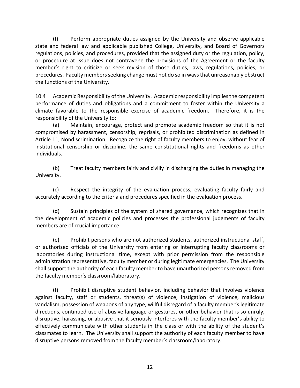(f) Perform appropriate duties assigned by the University and observe applicable state and federal law and applicable published College, University, and Board of Governors regulations, policies, and procedures, provided that the assigned duty or the regulation, policy, or procedure at issue does not contravene the provisions of the Agreement or the faculty member's right to criticize or seek revision of those duties, laws, regulations, policies, or procedures. Faculty members seeking change must not do so in ways that unreasonably obstruct the functions of the University.

10.4 Academic Responsibility of the University. Academic responsibility implies the competent performance of duties and obligations and a commitment to foster within the University a climate favorable to the responsible exercise of academic freedom. Therefore, it is the responsibility of the University to:

(a) Maintain, encourage, protect and promote academic freedom so that it is not compromised by harassment, censorship, reprisals, or prohibited discrimination as defined in Article 11, Nondiscrimination. Recognize the right of faculty members to enjoy, without fear of institutional censorship or discipline, the same constitutional rights and freedoms as other individuals.

(b) Treat faculty members fairly and civilly in discharging the duties in managing the University.

(c) Respect the integrity of the evaluation process, evaluating faculty fairly and accurately according to the criteria and procedures specified in the evaluation process.

(d) Sustain principles of the system of shared governance, which recognizes that in the development of academic policies and processes the professional judgments of faculty members are of crucial importance.

(e) Prohibit persons who are not authorized students, authorized instructional staff, or authorized officials of the University from entering or interrupting faculty classrooms or laboratories during instructional time, except with prior permission from the responsible administration representative, faculty member or during legitimate emergencies. The University shall support the authority of each faculty member to have unauthorized persons removed from the faculty member's classroom/laboratory.

(f) Prohibit disruptive student behavior, including behavior that involves violence against faculty, staff or students, threat(s) of violence, instigation of violence, malicious vandalism, possession of weapons of any type, willful disregard of a faculty member's legitimate directions, continued use of abusive language or gestures, or other behavior that is so unruly, disruptive, harassing, or abusive that it seriously interferes with the faculty member's ability to effectively communicate with other students in the class or with the ability of the student's classmates to learn. The University shall support the authority of each faculty member to have disruptive persons removed from the faculty member's classroom/laboratory.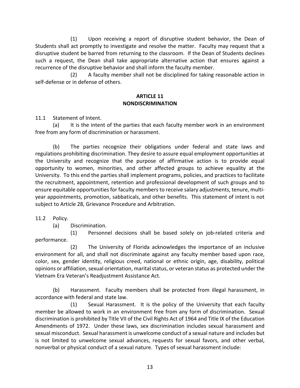<span id="page-15-0"></span> (1) Upon receiving a report of disruptive student behavior, the Dean of Students shall act promptly to investigate and resolve the matter. Faculty may request that a disruptive student be barred from returning to the classroom. If the Dean of Students declines such a request, the Dean shall take appropriate alternative action that ensures against a recurrence of the disruptive behavior and shall inform the faculty member.

 (2) A faculty member shall not be disciplined for taking reasonable action in self-defense or in defense of others.

#### **ARTICLE 11 NONDISCRIMINATION**

11.1 Statement of Intent.

(a) It is the intent of the parties that each faculty member work in an environment free from any form of discrimination or harassment.

(b) The parties recognize their obligations under federal and state laws and regulations prohibiting discrimination. They desire to assure equal employment opportunities at the University and recognize that the purpose of affirmative action is to provide equal opportunity to women, minorities, and other affected groups to achieve equality at the University. To this end the parties shall implement programs, policies, and practices to facilitate the recruitment, appointment, retention and professional development of such groups and to ensure equitable opportunities for faculty members to receive salary adjustments, tenure, multiyear appointments, promotion, sabbaticals, and other benefits. This statement of intent is not subject to Article 28, Grievance Procedure and Arbitration.

11.2 Policy.

(a) Discrimination.

 (1) Personnel decisions shall be based solely on job-related criteria and performance.

 (2) The University of Florida acknowledges the importance of an inclusive environment for all, and shall not discriminate against any faculty member based upon race, color, sex, gender identity, religious creed, national or ethnic origin, age, disability, political opinions or affiliation, sexual orientation, marital status, or veteran status as protected under the Vietnam Era Veteran's Readjustment Assistance Act.

(b) Harassment. Faculty members shall be protected from illegal harassment, in accordance with federal and state law.

 (1) Sexual Harassment. It is the policy of the University that each faculty member be allowed to work in an environment free from any form of discrimination. Sexual discrimination is prohibited by Title VII of the Civil Rights Act of 1964 and Title IX of the Education Amendments of 1972. Under these laws, sex discrimination includes sexual harassment and sexual misconduct. Sexual harassment is unwelcome conduct of a sexual nature and includes but is not limited to unwelcome sexual advances, requests for sexual favors, and other verbal, nonverbal or physical conduct of a sexual nature. Types of sexual harassment include: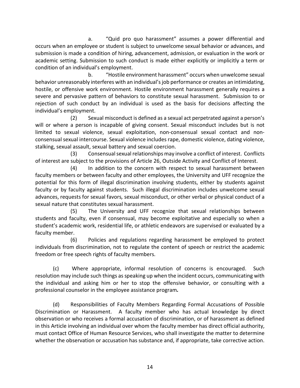a. "Quid pro quo harassment" assumes a power differential and occurs when an employee or student is subject to unwelcome sexual behavior or advances, and submission is made a condition of hiring, advancement, admission, or evaluation in the work or academic setting. Submission to such conduct is made either explicitly or implicitly a term or condition of an individual's employment.

b. "Hostile environment harassment" occurs when unwelcome sexual behavior unreasonably interferes with an individual's job performance or creates an intimidating, hostile, or offensive work environment. Hostile environment harassment generally requires a severe and pervasive pattern of behaviors to constitute sexual harassment. Submission to or rejection of such conduct by an individual is used as the basis for decisions affecting the individual's employment.

(2) Sexual misconduct is defined as a sexual act perpetrated against a person's will or where a person is incapable of giving consent. Sexual misconduct includes but is not limited to sexual violence, sexual exploitation, non-consensual sexual contact and nonconsensual sexual intercourse. Sexual violence includes rape, domestic violence, dating violence, stalking, sexual assault, sexual battery and sexual coercion.

(3) Consensual sexual relationships may involve a conflict of interest. Conflicts of interest are subject to the provisions of Article 26, Outside Activity and Conflict of Interest.

(4) In addition to the concern with respect to sexual harassment between faculty members or between faculty and other employees, the University and UFF recognize the potential for this form of illegal discrimination involving students, either by students against faculty or by faculty against students. Such illegal discrimination includes unwelcome sexual advances, requests for sexual favors*,* sexual misconduct, or other verbal or physical conduct of a sexual nature that constitutes sexual harassment.

(5) The University and UFF recognize that sexual relationships between students and faculty, even if consensual, may become exploitative and especially so when a student's academic work, residential life, or athletic endeavors are supervised or evaluated by a faculty member.

(6) Policies and regulations regarding harassment be employed to protect individuals from discrimination, not to regulate the content of speech or restrict the academic freedom or free speech rights of faculty members.

(c) Where appropriate, informal resolution of concerns is encouraged. Such resolution may include such things as speaking up when the incident occurs, communicating with the individual and asking him or her to stop the offensive behavior, or consulting with a professional counselor in the employee assistance program*.* 

(d) Responsibilities of Faculty Members Regarding Formal Accusations of Possible Discrimination or Harassment. A faculty member who has actual knowledge by direct observation or who receives a formal accusation of discrimination, or of harassment as defined in this Article involving an individual over whom the faculty member has direct official authority, must contact Office of Human Resource Services, who shall investigate the matter to determine whether the observation or accusation has substance and, if appropriate, take corrective action.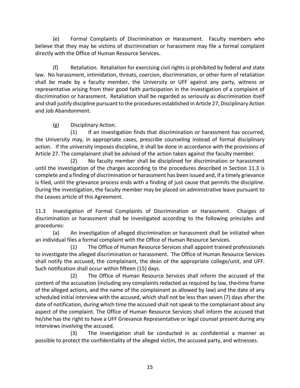(e) Formal Complaints of Discrimination or Harassment. Faculty members who believe that they may be victims of discrimination or harassment may file a formal complaint directly with the Office of Human Resource Services.

(f) Retaliation. Retaliation for exercising civil rights is prohibited by federal and state law. No harassment, intimidation, threats, coercion, discrimination, or other form of retaliation shall be made by a faculty member, the University or UFF against any party, witness or representative arising from their good faith participation in the investigation of a complaint of discrimination or harassment. Retaliation shall be regarded as seriously as discrimination itself and shall justify discipline pursuant to the procedures established in Article 27, Disciplinary Action and Job Abandonment.

(g) Disciplinary Action.

 (1) If an investigation finds that discrimination or harassment has occurred, the University may, in appropriate cases, prescribe counseling instead of formal disciplinary action. If the university imposes discipline, it shall be done in accordance with the provisions of Article 27. The complainant shall be advised of the action taken against the faculty member.

(2) No faculty member shall be disciplined for discrimination or harassment until the investigation of the charges according to the procedures described in Section 11.3 is complete and a finding of discrimination or harassment has been issued and, if a timely grievance is filed, until the grievance process ends with a finding of just cause that permits the discipline. During the investigation, the faculty member may be placed on administrative leave pursuant to the Leaves article of this Agreement.

11.3 Investigation of Formal Complaints of Discrimination or Harassment. Charges of discrimination or harassment shall be investigated according to the following principles and procedures:

(a) An investigation of alleged discrimination or harassment shall be initiated when an individual files a formal complaint with the Office of Human Resource Services.

(1) The Office of Human Resource Services shall appoint trained professionals to investigate the alleged discrimination or harassment. The Office of Human Resource Services shall notify the accused, the complainant, the dean of the appropriate college/unit, and UFF. Such notification shall occur within fifteen (15) days.

(2) The Office of Human Resource Services shall inform the accused of the content of the accusation (including any complaints redacted as required by law, the time frame of the alleged actions, and the name of the complainant as allowed by law) and the date of any scheduled initial interview with the accused, which shall not be less than seven (7) days after the date of notification, during which time the accused shall not speak to the complainant about any aspect of the complaint. The Office of Human Resource Services shall inform the accused that he/she has the right to have a UFF Grievance Representative or legal counsel present during any interviews involving the accused.

(3) The investigation shall be conducted in as confidential a manner as possible to protect the confidentiality of the alleged victim, the accused party, and witnesses.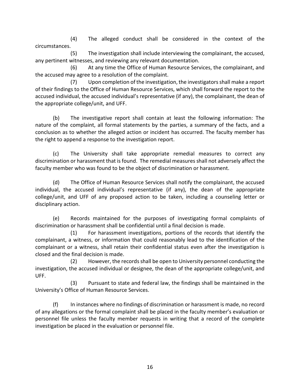(4) The alleged conduct shall be considered in the context of the circumstances.

(5) The investigation shall include interviewing the complainant, the accused, any pertinent witnesses, and reviewing any relevant documentation.

(6) At any time the Office of Human Resource Services, the complainant, and the accused may agree to a resolution of the complaint.

 (7) Upon completion of the investigation, the investigators shall make a report of their findings to the Office of Human Resource Services, which shall forward the report to the accused individual, the accused individual's representative (if any), the complainant, the dean of the appropriate college/unit, and UFF.

(b) The investigative report shall contain at least the following information: The nature of the complaint, all formal statements by the parties, a summary of the facts, and a conclusion as to whether the alleged action or incident has occurred. The faculty member has the right to append a response to the investigation report.

(c) The University shall take appropriate remedial measures to correct any discrimination or harassment that is found. The remedial measures shall not adversely affect the faculty member who was found to be the object of discrimination or harassment.

(d) The Office of Human Resource Services shall notify the complainant, the accused individual, the accused individual's representative (if any), the dean of the appropriate college/unit, and UFF of any proposed action to be taken, including a counseling letter or disciplinary action.

(e) Records maintained for the purposes of investigating formal complaints of discrimination or harassment shall be confidential until a final decision is made.

(1) For harassment investigations, portions of the records that identify the complainant, a witness, or information that could reasonably lead to the identification of the complainant or a witness, shall retain their confidential status even after the investigation is closed and the final decision is made.

(2) However, the records shall be open to University personnel conducting the investigation, the accused individual or designee, the dean of the appropriate college/unit, and UFF.

 (3) Pursuant to state and federal law, the findings shall be maintained in the University's Office of Human Resource Services.

(f) In instances where no findings of discrimination or harassment is made, no record of any allegations or the formal complaint shall be placed in the faculty member's evaluation or personnel file unless the faculty member requests in writing that a record of the complete investigation be placed in the evaluation or personnel file.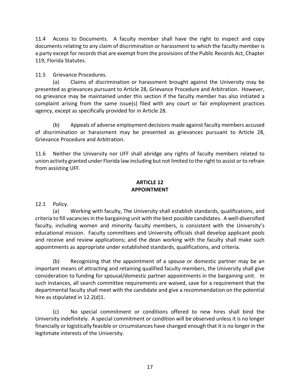<span id="page-19-0"></span>11.4 Access to Documents. A faculty member shall have the right to inspect and copy documents relating to any claim of discrimination or harassment to which the faculty member is a party except for records that are exempt from the provisions of the Public Records Act, Chapter 119, Florida Statutes.

11.5 Grievance Procedures.

(a) Claims of discrimination or harassment brought against the University may be presented as grievances pursuant to Article 28, Grievance Procedure and Arbitration. However, no grievance may be maintained under this section if the faculty member has also initiated a complaint arising from the same issue(s) filed with any court or fair employment practices agency, except as specifically provided for in Article 28.

(b) Appeals of adverse employment decisions made against faculty members accused of discrimination or harassment may be presented as grievances pursuant to Article 28, Grievance Procedure and Arbitration.

11.6 Neither the University nor UFF shall abridge any rights of faculty members related to union activity granted under Florida law including but not limited to the right to assist or to refrain from assisting UFF.

#### **ARTICLE 12 APPOINTMENT**

12.1 Policy.

(a) Working with faculty, The University shall establish standards, qualifications, and criteria to fill vacancies in the bargaining unit with the best possible candidates. A well-diversified faculty, including women and minority faculty members, is consistent with the University's educational mission. Faculty committees and University officials shall develop applicant pools and receive and review applications; and the dean working with the faculty shall make such appointments as appropriate under established standards, qualifications, and criteria.

(b) Recognizing that the appointment of a spouse or domestic partner may be an important means of attracting and retaining qualified faculty members, the University shall give consideration to funding for spousal/domestic partner appointments in the bargaining unit. In such instances, all search committee requirements are waived, save for a requirement that the departmental faculty shall meet with the candidate and give a recommendation on the potential hire as stipulated in 12.2(d)1.

(c) No special commitment or conditions offered to new hires shall bind the University indefinitely. A special commitment or condition will be observed unless it is no longer financially or logistically feasible or circumstances have changed enough that it is no longer in the legitimate interests of the University.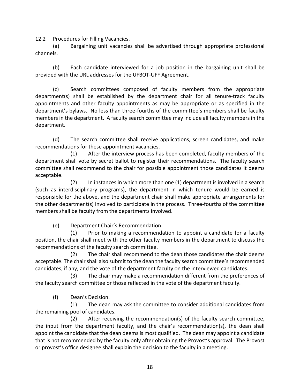12.2 Procedures for Filling Vacancies.

(a) Bargaining unit vacancies shall be advertised through appropriate professional channels.

(b) Each candidate interviewed for a job position in the bargaining unit shall be provided with the URL addresses for the UFBOT-UFF Agreement.

(c) Search committees composed of faculty members from the appropriate department(s) shall be established by the department chair for all tenure-track faculty appointments and other faculty appointments as may be appropriate or as specified in the department's bylaws. No less than three-fourths of the committee's members shall be faculty members in the department. A faculty search committee may include all faculty members in the department.

(d) The search committee shall receive applications, screen candidates, and make recommendations for these appointment vacancies.

(1) After the interview process has been completed, faculty members of the department shall vote by secret ballot to register their recommendations. The faculty search committee shall recommend to the chair for possible appointment those candidates it deems acceptable.

(2) In instances in which more than one (1) department is involved in a search (such as interdisciplinary programs), the department in which tenure would be earned is responsible for the above, and the department chair shall make appropriate arrangements for the other department(s) involved to participate in the process. Three-fourths of the committee members shall be faculty from the departments involved.

(e) Department Chair's Recommendation.

(1) Prior to making a recommendation to appoint a candidate for a faculty position, the chair shall meet with the other faculty members in the department to discuss the recommendations of the faculty search committee.

(2) The chair shall recommend to the dean those candidates the chair deems acceptable. The chair shall also submit to the dean the faculty search committee's recommended candidates, if any, and the vote of the department faculty on the interviewed candidates.

(3) The chair may make a recommendation different from the preferences of the faculty search committee or those reflected in the vote of the department faculty.

(f) Dean's Decision.

(1) The dean may ask the committee to consider additional candidates from the remaining pool of candidates.

(2) After receiving the recommendation(s) of the faculty search committee, the input from the department faculty, and the chair's recommendation(s), the dean shall appoint the candidate that the dean deems is most qualified. The dean may appoint a candidate that is not recommended by the faculty only after obtaining the Provost's approval. The Provost or provost's office designee shall explain the decision to the faculty in a meeting.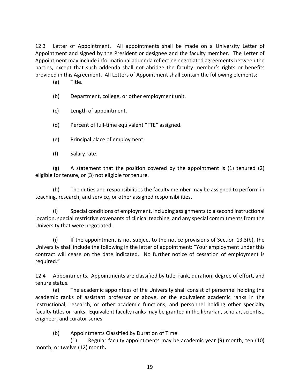12.3 Letter of Appointment. All appointments shall be made on a University Letter of Appointment and signed by the President or designee and the faculty member. The Letter of Appointment may include informational addenda reflecting negotiated agreements between the parties, except that such addenda shall not abridge the faculty member's rights or benefits provided in this Agreement. All Letters of Appointment shall contain the following elements:

- (a) Title.
- (b) Department, college, or other employment unit.
- (c) Length of appointment.
- (d) Percent of full-time equivalent "FTE" assigned.
- (e) Principal place of employment.
- (f) Salary rate.

(g) A statement that the position covered by the appointment is (1) tenured (2) eligible for tenure, or (3) not eligible for tenure.

(h) The duties and responsibilities the faculty member may be assigned to perform in teaching, research, and service, or other assigned responsibilities.

(i) Special conditions of employment, including assignments to a second instructional location, special restrictive covenants of clinical teaching, and any special commitments from the University that were negotiated.

 $(i)$  If the appointment is not subject to the notice provisions of Section 13.3(b), the University shall include the following in the letter of appointment: "Your employment under this contract will cease on the date indicated. No further notice of cessation of employment is required."

12.4 Appointments. Appointments are classified by title, rank, duration, degree of effort, and tenure status.

(a) The academic appointees of the University shall consist of personnel holding the academic ranks of assistant professor or above, or the equivalent academic ranks in the instructional, research, or other academic functions, and personnel holding other specialty faculty titles or ranks. Equivalent faculty ranks may be granted in the librarian, scholar, scientist, engineer, and curator series.

(b) Appointments Classified by Duration of Time.

(1) Regular faculty appointments may be academic year (9) month; ten (10) month; or twelve (12) month*.*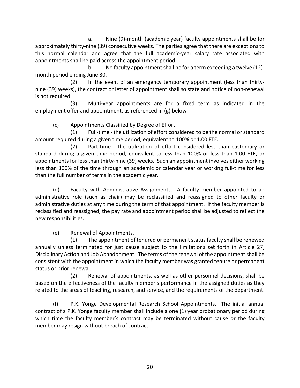a. Nine (9)-month (academic year) faculty appointments shall be for approximately thirty-nine (39) consecutive weeks. The parties agree that there are exceptions to this normal calendar and agree that the full academic-year salary rate associated with appointments shall be paid across the appointment period.

b. No faculty appointment shall be for a term exceeding a twelve (12) month period ending June 30.

(2) In the event of an emergency temporary appointment (less than thirtynine (39) weeks), the contract or letter of appointment shall so state and notice of non-renewal is not required.

(3) Multi-year appointments are for a fixed term as indicated in the employment offer and appointment, as referenced in (g) below.

(c) Appointments Classified by Degree of Effort.

(1) Full-time - the utilization of effort considered to be the normal or standard amount required during a given time period, equivalent to 100% or 1.00 FTE.

(2) Part-time - the utilization of effort considered less than customary or standard during a given time period, equivalent to less than 100% or less than 1.00 FTE, or appointments for less than thirty-nine (39) weeks. Such an appointment involves either working less than 100% of the time through an academic or calendar year or working full-time for less than the full number of terms in the academic year.

(d) Faculty with Administrative Assignments. A faculty member appointed to an administrative role (such as chair) may be reclassified and reassigned to other faculty or administrative duties at any time during the term of that appointment. If the faculty member is reclassified and reassigned, the pay rate and appointment period shall be adjusted to reflect the new responsibilities.

(e) Renewal of Appointments.

 (1) The appointment of tenured or permanent status faculty shall be renewed annually unless terminated for just cause subject to the limitations set forth in Article 27, Disciplinary Action and Job Abandonment. The terms of the renewal of the appointment shall be consistent with the appointment in which the faculty member was granted tenure or permanent status or prior renewal.

 (2) Renewal of appointments, as well as other personnel decisions, shall be based on the effectiveness of the faculty member's performance in the assigned duties as they related to the areas of teaching, research, and service, and the requirements of the department.

(f) P.K. Yonge Developmental Research School Appointments. The initial annual contract of a P.K. Yonge faculty member shall include a one (1) year probationary period during which time the faculty member's contract may be terminated without cause or the faculty member may resign without breach of contract.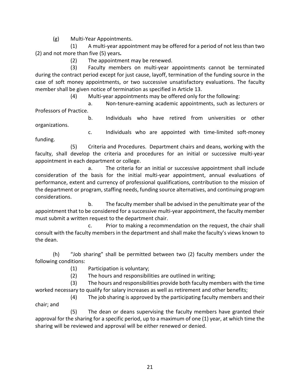(g) Multi-Year Appointments.

(1) A multi-year appointment may be offered for a period of not less than two (2) and not more than five (5) years*.*

(2) The appointment may be renewed.

 (3) Faculty members on multi-year appointments cannot be terminated during the contract period except for just cause, layoff, termination of the funding source in the case of soft money appointments, or two successive unsatisfactory evaluations. The faculty member shall be given notice of termination as specified in Article 13.

(4) Multi-year appointments may be offered only for the following:

a. Non-tenure-earning academic appointments, such as lecturers or Professors of Practice.

b. Individuals who have retired from universities or other organizations.

c. Individuals who are appointed with time-limited soft-money funding.

 (5) Criteria and Procedures. Department chairs and deans, working with the faculty, shall develop the criteria and procedures for an initial or successive multi-year appointment in each department or college.

a. The criteria for an initial or successive appointment shall include consideration of the basis for the initial multi-year appointment, annual evaluations of performance, extent and currency of professional qualifications, contribution to the mission of the department or program, staffing needs, funding source alternatives, and continuing program considerations.

b. The faculty member shall be advised in the penultimate year of the appointment that to be considered for a successive multi-year appointment, the faculty member must submit a written request to the department chair.

c. Prior to making a recommendation on the request, the chair shall consult with the faculty members in the department and shall make the faculty's views known to the dean.

(h) "Job sharing" shall be permitted between two (2) faculty members under the following conditions:

(1) Participation is voluntary;

(2) The hours and responsibilities are outlined in writing;

(3) The hours and responsibilities provide both faculty members with the time worked necessary to qualify for salary increases as well as retirement and other benefits;

(4) The job sharing is approved by the participating faculty members and their chair; and

(5) The dean or deans supervising the faculty members have granted their approval for the sharing for a specific period, up to a maximum of one (1) year, at which time the sharing will be reviewed and approval will be either renewed or denied.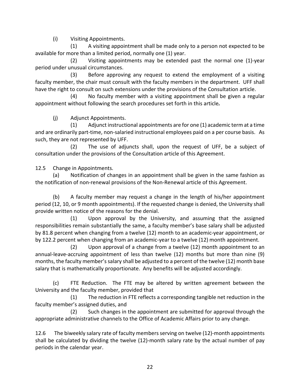(i) Visiting Appointments.

(1) A visiting appointment shall be made only to a person not expected to be available for more than a limited period, normally one (1) year.

(2) Visiting appointments may be extended past the normal one (1)-year period under unusual circumstances.

(3) Before approving any request to extend the employment of a visiting faculty member, the chair must consult with the faculty members in the department. UFF shall have the right to consult on such extensions under the provisions of the Consultation article.

(4) No faculty member with a visiting appointment shall be given a regular appointment without following the search procedures set forth in this article*.* 

(j) Adjunct Appointments.

(1) Adjunct instructional appointments are for one (1) academic term at a time and are ordinarily part-time, non-salaried instructional employees paid on a per course basis. As such, they are not represented by UFF.

 (2) The use of adjuncts shall, upon the request of UFF, be a subject of consultation under the provisions of the Consultation article of this Agreement.

12.5 Change in Appointments.

(a) Notification of changes in an appointment shall be given in the same fashion as the notification of non-renewal provisions of the Non-Renewal article of this Agreement.

(b) A faculty member may request a change in the length of his/her appointment period (12, 10, or 9 month appointments). If the requested change is denied, the University shall provide written notice of the reasons for the denial.

 (1) Upon approval by the University, and assuming that the assigned responsibilities remain substantially the same, a faculty member's base salary shall be adjusted by 81.8 percent when changing from a twelve (12) month to an academic-year appointment, or by 122.2 percent when changing from an academic-year to a twelve (12) month appointment.

 (2) Upon approval of a change from a twelve (12) month appointment to an annual-leave-accruing appointment of less than twelve (12) months but more than nine (9) months, the faculty member's salary shall be adjusted to a percent of the twelve (12) month base salary that is mathematically proportionate. Any benefits will be adjusted accordingly.

(c) FTE Reduction. The FTE may be altered by written agreement between the University and the faculty member, provided that

 (1) The reduction in FTE reflects a corresponding tangible net reduction in the faculty member's assigned duties, and

 (2) Such changes in the appointment are submitted for approval through the appropriate administrative channels to the Office of Academic Affairs prior to any change.

12.6 The biweekly salary rate of faculty members serving on twelve (12)-month appointments shall be calculated by dividing the twelve (12)-month salary rate by the actual number of pay periods in the calendar year.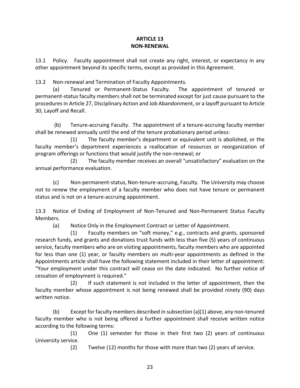#### **ARTICLE 13 NON-RENEWAL**

<span id="page-25-0"></span>13.1 Policy. Faculty appointment shall not create any right, interest, or expectancy in any other appointment beyond its specific terms, except as provided in this Agreement.

13.2 Non-renewal and Termination of Faculty Appointments.

(a) Tenured or Permanent-Status Faculty. The appointment of tenured or permanent-status faculty members shall not be terminated except for just cause pursuant to the procedures in Article 27, Disciplinary Action and Job Abandonment, or a layoff pursuant to Article 30, Layoff and Recall.

(b) Tenure-accruing Faculty. The appointment of a tenure-accruing faculty member shall be renewed annually until the end of the tenure probationary period unless:

 (1) The faculty member's department or equivalent unit is abolished, or the faculty member's department experiences a reallocation of resources or reorganization of program offerings or functions that would justify the non-renewal; or

 (2) The faculty member receives an overall "unsatisfactory" evaluation on the annual performance evaluation.

(c) Non-permanent-status, Non-tenure-accruing, Faculty. The University may choose not to renew the employment of a faculty member who does not have tenure or permanent status and is not on a tenure-accruing appointment.

13.3 Notice of Ending of Employment of Non-Tenured and Non-Permanent Status Faculty Members.

(a) Notice Only in the Employment Contract or Letter of Appointment.

(1) Faculty members on "soft money," e.g., contracts and grants, sponsored research funds, and grants and donations trust funds with less than five (5) years of continuous service, faculty members who are on visiting appointments, faculty members who are appointed for less than one (1) year, or faculty members on multi-year appointments as defined in the Appointments article shall have the following statement included in their letter of appointment: "Your employment under this contract will cease on the date indicated. No further notice of cessation of employment is required."

(2) If such statement is not included in the letter of appointment, then the faculty member whose appointment is not being renewed shall be provided ninety (90) days written notice.

(b) Except for faculty members described in subsection (a)(1) above, any non-tenured faculty member who is not being offered a further appointment shall receive written notice according to the following terms:

 (1) One (1) semester for those in their first two (2) years of continuous University service.

(2) Twelve (12) months for those with more than two (2) years of service.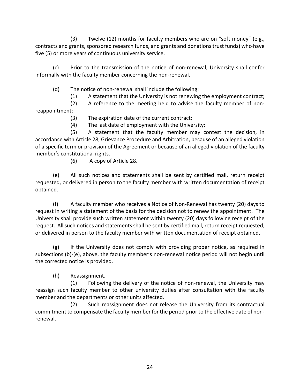(3) Twelve (12) months for faculty members who are on "soft money" (e.g., contracts and grants, sponsored research funds, and grants and donations trust funds) who have five (5) or more years of continuous university service.

(c) Prior to the transmission of the notice of non-renewal, University shall confer informally with the faculty member concerning the non-renewal.

(d) The notice of non-renewal shall include the following:

(1) A statement that the University is not renewing the employment contract;

 (2) A reference to the meeting held to advise the faculty member of nonreappointment;

(3) The expiration date of the current contract;

(4) The last date of employment with the University;

 (5) A statement that the faculty member may contest the decision, in accordance with Article 28, Grievance Procedure and Arbitration, because of an alleged violation of a specific term or provision of the Agreement or because of an alleged violation of the faculty member's constitutional rights.

(6) A copy of Article 28.

(e) All such notices and statements shall be sent by certified mail, return receipt requested, or delivered in person to the faculty member with written documentation of receipt obtained.

(f) A faculty member who receives a Notice of Non-Renewal has twenty (20) days to request in writing a statement of the basis for the decision not to renew the appointment. The University shall provide such written statement within twenty (20) days following receipt of the request. All such notices and statements shall be sent by certified mail, return receipt requested, or delivered in person to the faculty member with written documentation of receipt obtained.

(g) If the University does not comply with providing proper notice, as required in subsections (b)-(e), above, the faculty member's non-renewal notice period will not begin until the corrected notice is provided.

(h) Reassignment.

 (1) Following the delivery of the notice of non-renewal, the University may reassign such faculty member to other university duties after consultation with the faculty member and the departments or other units affected.

 (2) Such reassignment does not release the University from its contractual commitment to compensate the faculty member for the period prior to the effective date of nonrenewal.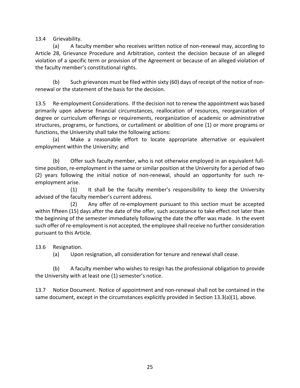13.4 Grievability.

(a) A faculty member who receives written notice of non-renewal may, according to Article 28, Grievance Procedure and Arbitration, contest the decision because of an alleged violation of a specific term or provision of the Agreement or because of an alleged violation of the faculty member's constitutional rights.

(b) Such grievances must be filed within sixty (60) days of receipt of the notice of nonrenewal or the statement of the basis for the decision.

13.5 Re-employment Considerations. If the decision not to renew the appointment was based primarily upon adverse financial circumstances, reallocation of resources, reorganization of degree or curriculum offerings or requirements, reorganization of academic or administrative structures, programs, or functions, or curtailment or abolition of one (1) or more programs or functions, the University shall take the following actions:

(a) Make a reasonable effort to locate appropriate alternative or equivalent employment within the University; and

(b) Offer such faculty member, who is not otherwise employed in an equivalent fulltime position, re-employment in the same or similar position at the University for a period of two (2) years following the initial notice of non-renewal, should an opportunity for such reemployment arise.

 (1) It shall be the faculty member's responsibility to keep the University advised of the faculty member's current address.

 (2) Any offer of re-employment pursuant to this section must be accepted within fifteen (15) days after the date of the offer, such acceptance to take effect not later than the beginning of the semester immediately following the date the offer was made. In the event such offer of re-employment is not accepted, the employee shall receive no further consideration pursuant to this Article.

13.6 Resignation.

(a) Upon resignation, all consideration for tenure and renewal shall cease.

(b) A faculty member who wishes to resign has the professional obligation to provide the University with at least one (1) semester's notice.

13.7 Notice Document. Notice of appointment and non-renewal shall not be contained in the same document, except in the circumstances explicitly provided in Section 13.3(a)(1), above.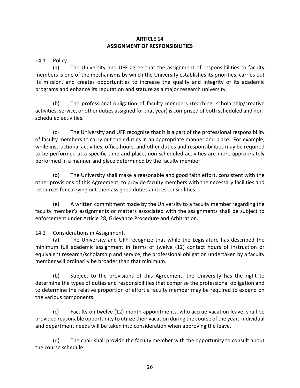#### **ARTICLE 14 ASSIGNMENT OF RESPONSIBILITIES**

<span id="page-28-0"></span>14.1 Policy.

(a) The University and UFF agree that the assignment of responsibilities to faculty members is one of the mechanisms by which the University establishes its priorities, carries out its mission, and creates opportunities to increase the quality and integrity of its academic programs and enhance its reputation and stature as a major research university.

(b) The professional obligation of faculty members (teaching, scholarship/creative activities, service, or other duties assigned for that year) is comprised of both scheduled and nonscheduled activities.

(c) The University and UFF recognize that it is a part of the professional responsibility of faculty members to carry out their duties in an appropriate manner and place. For example, while instructional activities, office hours, and other duties and responsibilities may be required to be performed at a specific time and place, non-scheduled activities are more appropriately performed in a manner and place determined by the faculty member.

(d) The University shall make a reasonable and good faith effort, consistent with the other provisions of this Agreement, to provide faculty members with the necessary facilities and resources for carrying out their assigned duties and responsibilities.

(e) A written commitment made by the University to a faculty member regarding the faculty member's assignments or matters associated with the assignments shall be subject to enforcement under Article 28, Grievance Procedure and Arbitration.

14.2 Considerations in Assignment.

(a) The University and UFF recognize that while the Legislature has described the minimum full academic assignment in terms of twelve (12) contact hours of instruction or equivalent research/scholarship and service, the professional obligation undertaken by a faculty member will ordinarily be broader than that minimum.

(b) Subject to the provisions of this Agreement, the University has the right to determine the types of duties and responsibilities that comprise the professional obligation and to determine the relative proportion of effort a faculty member may be required to expend on the various components.

(c) Faculty on twelve (12)-month appointments, who accrue vacation leave, shall be provided reasonable opportunity to utilize their vacation during the course of the year. Individual and department needs will be taken into consideration when approving the leave.

(d) The chair shall provide the faculty member with the opportunity to consult about the course schedule.

26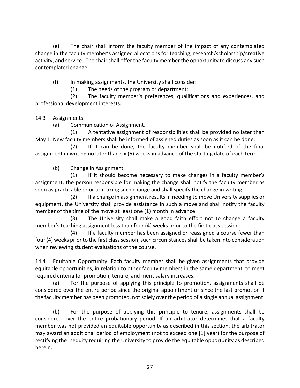(e) The chair shall inform the faculty member of the impact of any contemplated change in the faculty member's assigned allocations for teaching, research/scholarship/creative activity, and service. The chair shall offer the faculty member the opportunity to discuss any such contemplated change.

(f) In making assignments, the University shall consider:

(1) The needs of the program or department;

 (2) The faculty member's preferences, qualifications and experiences, and professional development interests**.**

14.3 Assignments.

(a) Communication of Assignment.

 (1) A tentative assignment of responsibilities shall be provided no later than May 1. New faculty members shall be informed of assigned duties as soon as it can be done.

 (2) If it can be done, the faculty member shall be notified of the final assignment in writing no later than six (6) weeks in advance of the starting date of each term.

(b) Change in Assignment.

 (1) If it should become necessary to make changes in a faculty member's assignment, the person responsible for making the change shall notify the faculty member as soon as practicable prior to making such change and shall specify the change in writing.

 (2) If a change in assignment results in needing to move University supplies or equipment, the University shall provide assistance in such a move and shall notify the faculty member of the time of the move at least one (1) month in advance.

 (3) The University shall make a good faith effort not to change a faculty member's teaching assignment less than four (4) weeks prior to the first class session.

 (4) If a faculty member has been assigned or reassigned a course fewer than four (4) weeks prior to the first class session, such circumstances shall be taken into consideration when reviewing student evaluations of the course.

14.4 Equitable Opportunity. Each faculty member shall be given assignments that provide equitable opportunities, in relation to other faculty members in the same department, to meet required criteria for promotion, tenure, and merit salary increases.

(a) For the purpose of applying this principle to promotion, assignments shall be considered over the entire period since the original appointment or since the last promotion if the faculty member has been promoted, not solely over the period of a single annual assignment.

(b) For the purpose of applying this principle to tenure, assignments shall be considered over the entire probationary period. If an arbitrator determines that a faculty member was not provided an equitable opportunity as described in this section, the arbitrator may award an additional period of employment (not to exceed one [1] year) for the purpose of rectifying the inequity requiring the University to provide the equitable opportunity as described herein.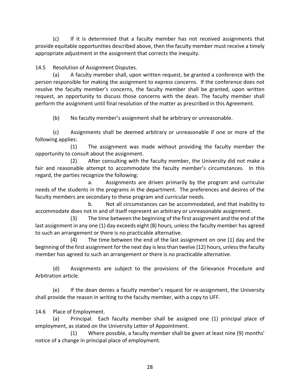(c) If it is determined that a faculty member has not received assignments that provide equitable opportunities described above, then the faculty member must receive a timely appropriate adjustment in the assignment that corrects the inequity.

14.5 Resolution of Assignment Disputes.

(a) A faculty member shall, upon written request, be granted a conference with the person responsible for making the assignment to express concerns. If the conference does not resolve the faculty member's concerns, the faculty member shall be granted, upon written request, an opportunity to discuss those concerns with the dean. The faculty member shall perform the assignment until final resolution of the matter as prescribed in this Agreement.

(b) No faculty member's assignment shall be arbitrary or unreasonable.

(c) Assignments shall be deemed arbitrary or unreasonable if one or more of the following applies:

 (1) The assignment was made without providing the faculty member the opportunity to consult about the assignment.

 (2) After consulting with the faculty member, the University did not make a fair and reasonable attempt to accommodate the faculty member's circumstances. In this regard, the parties recognize the following:

 a. Assignments are driven primarily by the program and curricular needs of the students in the programs in the department. The preferences and desires of the faculty members are secondary to these program and curricular needs.

 b. Not all circumstances can be accommodated, and that inability to accommodate does not in and of itself represent an arbitrary or unreasonable assignment.

 (3) The time between the beginning of the first assignment and the end of the last assignment in any one (1) day exceeds eight (8) hours, unless the faculty member has agreed to such an arrangement or there is no practicable alternative.

 (4) The time between the end of the last assignment on one (1) day and the beginning of the first assignment for the next day is less than twelve (12) hours, unless the faculty member has agreed to such an arrangement or there is no practicable alternative.

(d) Assignments are subject to the provisions of the Grievance Procedure and Arbitration article.

(e) If the dean denies a faculty member's request for re-assignment, the University shall provide the reason in writing to the faculty member, with a copy to UFF.

14.6 Place of Employment.

(a) Principal. Each faculty member shall be assigned one (1) principal place of employment, as stated on the University Letter of Appointment.

 (1) Where possible, a faculty member shall be given at least nine (9) months' notice of a change in principal place of employment.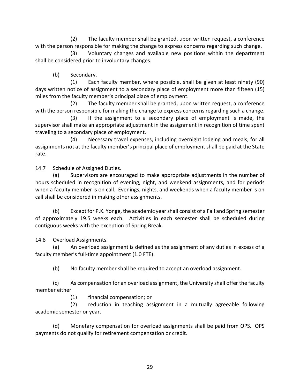(2) The faculty member shall be granted, upon written request, a conference with the person responsible for making the change to express concerns regarding such change.

 (3) Voluntary changes and available new positions within the department shall be considered prior to involuntary changes.

(b) Secondary.

 (1) Each faculty member, where possible, shall be given at least ninety (90) days written notice of assignment to a secondary place of employment more than fifteen (15) miles from the faculty member's principal place of employment.

 (2) The faculty member shall be granted, upon written request, a conference with the person responsible for making the change to express concerns regarding such a change.

 (3) If the assignment to a secondary place of employment is made, the supervisor shall make an appropriate adjustment in the assignment in recognition of time spent traveling to a secondary place of employment.

 (4) Necessary travel expenses, including overnight lodging and meals, for all assignments not at the faculty member's principal place of employment shall be paid at the State rate.

14.7 Schedule of Assigned Duties.

(a) Supervisors are encouraged to make appropriate adjustments in the number of hours scheduled in recognition of evening, night, and weekend assignments, and for periods when a faculty member is on call. Evenings, nights, and weekends when a faculty member is on call shall be considered in making other assignments.

(b) Except for P.K. Yonge, the academic year shall consist of a Fall and Spring semester of approximately 19.5 weeks each. Activities in each semester shall be scheduled during contiguous weeks with the exception of Spring Break.

14.8 Overload Assignments.

(a) An overload assignment is defined as the assignment of any duties in excess of a faculty member's full-time appointment (1.0 FTE).

(b) No faculty member shall be required to accept an overload assignment.

(c) As compensation for an overload assignment, the University shall offer the faculty member either

(1) financial compensation; or

(2) reduction in teaching assignment in a mutually agreeable following academic semester or year.

(d) Monetary compensation for overload assignments shall be paid from OPS. OPS payments do not qualify for retirement compensation or credit.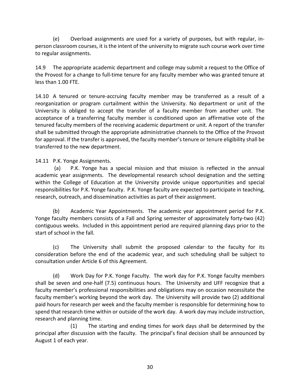(e) Overload assignments are used for a variety of purposes, but with regular, inperson classroom courses, it is the intent of the university to migrate such course work over time to regular assignments.

14.9 The appropriate academic department and college may submit a request to the Office of the Provost for a change to full-time tenure for any faculty member who was granted tenure at less than 1.00 FTE.

14.10 A tenured or tenure-accruing faculty member may be transferred as a result of a reorganization or program curtailment within the University. No department or unit of the University is obliged to accept the transfer of a faculty member from another unit. The acceptance of a transferring faculty member is conditioned upon an affirmative vote of the tenured faculty members of the receiving academic department or unit. A report of the transfer shall be submitted through the appropriate administrative channels to the Office of the Provost for approval. If the transfer is approved, the faculty member's tenure or tenure eligibility shall be transferred to the new department.

14.11 P.K. Yonge Assignments.

(a) P.K. Yonge has a special mission and that mission is reflected in the annual academic year assignments. The developmental research school designation and the setting within the College of Education at the University provide unique opportunities and special responsibilities for P.K. Yonge faculty. P.K. Yonge faculty are expected to participate in teaching, research, outreach, and dissemination activities as part of their assignment.

(b) Academic Year Appointments. The academic year appointment period for P.K. Yonge faculty members consists of a Fall and Spring semester of approximately forty-two (42) contiguous weeks. Included in this appointment period are required planning days prior to the start of school in the fall.

(c) The University shall submit the proposed calendar to the faculty for its consideration before the end of the academic year, and such scheduling shall be subject to consultation under Article 6 of this Agreement.

(d) Work Day for P.K. Yonge Faculty. The work day for P.K. Yonge faculty members shall be seven and one-half (7.5) continuous hours. The University and UFF recognize that a faculty member's professional responsibilities and obligations may on occasion necessitate the faculty member's working beyond the work day. The University will provide two (2) additional paid hours for research per week and the faculty member is responsible for determining how to spend that research time within or outside of the work day. A work day may include instruction, research and planning time.

(1) The starting and ending times for work days shall be determined by the principal after discussion with the faculty. The principal's final decision shall be announced by August 1 of each year.

30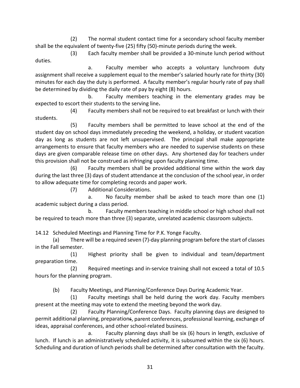(2) The normal student contact time for a secondary school faculty member shall be the equivalent of twenty-five (25) fifty (50)-minute periods during the week.

(3) Each faculty member shall be provided a 30-minute lunch period without duties.

a. Faculty member who accepts a voluntary lunchroom duty assignment shall receive a supplement equal to the member's salaried hourly rate for thirty (30) minutes for each day the duty is performed. A faculty member's regular hourly rate of pay shall be determined by dividing the daily rate of pay by eight (8) hours.

b. Faculty members teaching in the elementary grades may be expected to escort their students to the serving line**.**

(4) Faculty members shall not be required to eat breakfast or lunch with their students.

(5) Faculty members shall be permitted to leave school at the end of the student day on school days immediately preceding the weekend, a holiday, or student vacation day as long as students are not left unsupervised. The principal shall make appropriate arrangements to ensure that faculty members who are needed to supervise students on these days are given comparable release time on other days. Any shortened day for teachers under this provision shall not be construed as infringing upon faculty planning time.

(6) Faculty members shall be provided additional time within the work day during the last three (3) days of student attendance at the conclusion of the school year, in order to allow adequate time for completing records and paper work.

(7) Additional Considerations.

a. No faculty member shall be asked to teach more than one (1) academic subject during a class period.

b. Faculty members teaching in middle school or high school shall not be required to teach more than three (3) separate, unrelated academic classroom subjects.

14.12 Scheduled Meetings and Planning Time for P.K. Yonge Faculty.

(a) There will be a required seven (7)-day planning program before the start of classes in the Fall semester.

(1) Highest priority shall be given to individual and team/department preparation time.

(2) Required meetings and in-service training shall not exceed a total of 10.5 hours for the planning program.

(b) Faculty Meetings, and Planning/Conference Days During Academic Year.

(1) Faculty meetings shall be held during the work day. Faculty members present at the meeting may vote to extend the meeting beyond the work day.

(2) Faculty Planning/Conference Days. Faculty planning days are designed to permit additional planning, preparations, parent conferences, professional learning, exchange of ideas, appraisal conferences, and other school-related business.

a. Faculty planning days shall be six (6) hours in length, exclusive of lunch. If lunch is an administratively scheduled activity, it is subsumed within the six (6) hours. Scheduling and duration of lunch periods shall be determined after consultation with the faculty.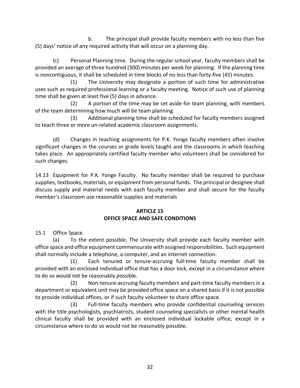<span id="page-34-0"></span>b. The principal shall provide faculty members with no less than five (5) days' notice of any required activity that will occur on a planning day.

(c) Personal Planning time.During the regular school year, faculty members shall be provided an average of three hundred (300) minutes per week for planning. If the planning time is noncontiguous, it shall be scheduled in time blocks of no less than forty-five (45) minutes.

(1) The University may designate a portion of such time for administrative uses such as required professional learning or a faculty meeting. Notice of such use of planning time shall be given at least five (5) days in advance.

 (2) A portion of the time may be set aside for team planning, with members of the team determining how much will be team planning.

 (3) Additional planning time shall be scheduled for faculty members assigned to teach three or more un-related academic classroom assignments.

 (d) Changes in teaching assignments for P.K. Yonge faculty members often involve significant changes in the courses or grade levels taught and the classrooms in which teaching takes place. An appropriately certified faculty member who volunteers shall be considered for such changes.

14.13 Equipment for P.K. Yonge Faculty. No faculty member shall be required to purchase supplies, textbooks, materials, or equipment from personal funds. The principal or designee shall discuss supply and material needs with each faculty member and shall secure for the faculty member's classroom use reasonable supplies and materials

#### **ARTICLE 15 OFFICE SPACE AND SAFE CONDITIONS**

15.1 Office Space.

(a) To the extent possible, The University shall provide each faculty member with office space and office equipment commensurate with assigned responsibilities. Such equipment shall normally include a telephone, a computer, and an internet connection.

 (1) Each tenured or tenure-accruing full-time faculty member shall be provided with an enclosed individual office that has a door lock, except in a circumstance where to do so would not be reasonably possible.

 (2) Non-tenure-accruing faculty members and part-time faculty members in a department or equivalent unit may be provided office space on a shared basis if it is not possible to provide individual offices, or if such faculty volunteer to share office space.

(3) Full-time faculty members who provide confidential counseling services with the title psychologists, psychiatrists, student counseling specialists or other mental health clinical faculty shall be provided with an enclosed individual lockable office, except in a circumstance where to do so would not be reasonably possible.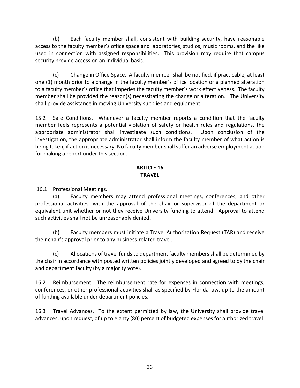<span id="page-35-0"></span>(b) Each faculty member shall, consistent with building security, have reasonable access to the faculty member's office space and laboratories, studios, music rooms, and the like used in connection with assigned responsibilities. This provision may require that campus security provide access on an individual basis.

(c) Change in Office Space. A faculty member shall be notified, if practicable, at least one (1) month prior to a change in the faculty member's office location or a planned alteration to a faculty member's office that impedes the faculty member's work effectiveness. The faculty member shall be provided the reason(s) necessitating the change or alteration. The University shall provide assistance in moving University supplies and equipment.

15.2 Safe Conditions. Whenever a faculty member reports a condition that the faculty member feels represents a potential violation of safety or health rules and regulations, the appropriate administrator shall investigate such conditions. Upon conclusion of the investigation, the appropriate administrator shall inform the faculty member of what action is being taken, if action is necessary. No faculty member shall suffer an adverse employment action for making a report under this section.

#### **ARTICLE 16 TRAVEL**

16.1 Professional Meetings.

(a) Faculty members may attend professional meetings, conferences, and other professional activities, with the approval of the chair or supervisor of the department or equivalent unit whether or not they receive University funding to attend. Approval to attend such activities shall not be unreasonably denied.

(b) Faculty members must initiate a Travel Authorization Request (TAR) and receive their chair's approval prior to any business-related travel.

(c) Allocations of travel funds to department faculty members shall be determined by the chair in accordance with posted written policies jointly developed and agreed to by the chair and department faculty (by a majority vote).

16.2 Reimbursement. The reimbursement rate for expenses in connection with meetings, conferences, or other professional activities shall as specified by Florida law, up to the amount of funding available under department policies.

16.3 Travel Advances. To the extent permitted by law, the University shall provide travel advances, upon request, of up to eighty (80) percent of budgeted expenses for authorized travel.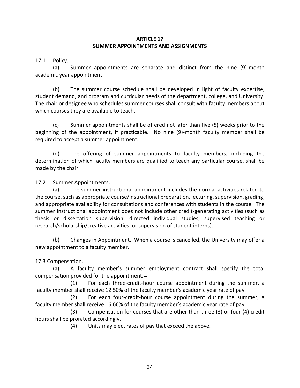#### **ARTICLE 17 SUMMER APPOINTMENTS AND ASSIGNMENTS**

17.1 Policy.

(a) Summer appointments are separate and distinct from the nine (9)-month academic year appointment.

(b) The summer course schedule shall be developed in light of faculty expertise, student demand, and program and curricular needs of the department, college, and University. The chair or designee who schedules summer courses shall consult with faculty members about which courses they are available to teach.

(c) Summer appointments shall be offered not later than five (5) weeks prior to the beginning of the appointment, if practicable. No nine (9)-month faculty member shall be required to accept a summer appointment.

(d) The offering of summer appointments to faculty members, including the determination of which faculty members are qualified to teach any particular course, shall be made by the chair.

17.2 Summer Appointments.

(a) The summer instructional appointment includes the normal activities related to the course, such as appropriate course/instructional preparation, lecturing, supervision, grading, and appropriate availability for consultations and conferences with students in the course. The summer instructional appointment does not include other credit-generating activities (such as thesis or dissertation supervision, directed individual studies, supervised teaching or research/scholarship/creative activities, or supervision of student interns).

(b) Changes in Appointment. When a course is cancelled, the University may offer a new appointment to a faculty member.

17.3 Compensation.

(a) A faculty member's summer employment contract shall specify the total compensation provided for the appointment.

(1) For each three-credit-hour course appointment during the summer, a faculty member shall receive 12.50% of the faculty member's academic year rate of pay.

(2) For each four-credit-hour course appointment during the summer, a faculty member shall receive 16.66% of the faculty member's academic year rate of pay.

(3) Compensation for courses that are other than three (3) or four (4) credit hours shall be prorated accordingly.

(4) Units may elect rates of pay that exceed the above.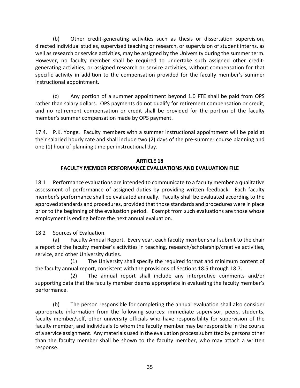(b) Other credit-generating activities such as thesis or dissertation supervision, directed individual studies, supervised teaching or research, or supervision of student interns, as well as research or service activities, may be assigned by the University during the summer term. However, no faculty member shall be required to undertake such assigned other creditgenerating activities, or assigned research or service activities, without compensation for that specific activity in addition to the compensation provided for the faculty member's summer instructional appointment.

(c) Any portion of a summer appointment beyond 1.0 FTE shall be paid from OPS rather than salary dollars. OPS payments do not qualify for retirement compensation or credit, and no retirement compensation or credit shall be provided for the portion of the faculty member's summer compensation made by OPS payment.

17.4. P.K. Yonge*.* Faculty members with a summer instructional appointment will be paid at their salaried hourly rate and shall include two (2) days of the pre-summer course planning and one (1) hour of planning time per instructional day.

# **ARTICLE 18 FACULTY MEMBER PERFORMANCE EVALUATIONS AND EVALUATION FILE**

18.1 Performance evaluations are intended to communicate to a faculty member a qualitative assessment of performance of assigned duties by providing written feedback. Each faculty member's performance shall be evaluated annually. Faculty shall be evaluated according to the approved standards and procedures, provided that those standards and procedures were in place prior to the beginning of the evaluation period. Exempt from such evaluations are those whose employment is ending before the next annual evaluation.

18.2 Sources of Evaluation.

(a) Faculty Annual Report. Every year, each faculty member shall submit to the chair a report of the faculty member's activities in teaching, research/scholarship/creative activities, service, and other University duties.

 (1) The University shall specify the required format and minimum content of the faculty annual report, consistent with the provisions of Sections 18.5 through 18.7.

 (2) The annual report shall include any interpretive comments and/or supporting data that the faculty member deems appropriate in evaluating the faculty member's performance.

(b) The person responsible for completing the annual evaluation shall also consider appropriate information from the following sources: immediate supervisor, peers, students, faculty member/self, other university officials who have responsibility for supervision of the faculty member, and individuals to whom the faculty member may be responsible in the course of a service assignment. Any materials used in the evaluation process submitted by persons other than the faculty member shall be shown to the faculty member, who may attach a written response.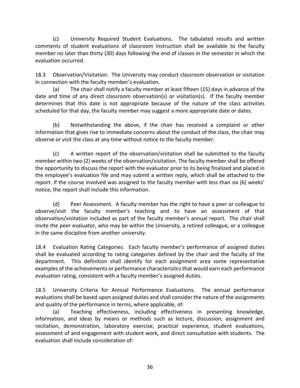(c) University Required Student Evaluations. The tabulated results and written comments of student evaluations of classroom instruction shall be available to the faculty member no later than thirty (30) days following the end of classes in the semester in which the evaluation occurred.

18.3 Observation/Visitation. The University may conduct classroom observation or visitation in connection with the faculty member's evaluation.

(a) The chair shall notify a faculty member at least fifteen (15) days in advance of the date and time of any direct classroom observation(s) or visitation(s). If the faculty member determines that this date is not appropriate because of the nature of the class activities scheduled for that day, the faculty member may suggest a more appropriate date or dates.

(b) Notwithstanding the above, if the chair has received a complaint or other information that gives rise to immediate concerns about the conduct of the class, the chair may observe or visit the class at any time without notice to the faculty member.

(c) A written report of the observation/visitation shall be submitted to the faculty member within two (2) weeks of the observation/visitation. The faculty member shall be offered the opportunity to discuss the report with the evaluator prior to its being finalized and placed in the employee's evaluation file and may submit a written reply, which shall be attached to the report. If the course involved was assigned to the faculty member with less than six (6) weeks' notice, the report shall include this information.

(d) Peer Assessment. A faculty member has the right to have a peer or colleague to observe/visit the faculty member's teaching and to have an assessment of that observation/visitation included as part of the faculty member's annual report. The chair shall invite the peer evaluator, who may be within the University, a retired colleague, or a colleague in the same discipline from another university.

18.4 Evaluation Rating Categories. Each faculty member's performance of assigned duties shall be evaluated according to rating categories defined by the chair and the faculty of the department. This definition shall identify for each assignment area some representative examples of the achievements or performance characteristics that would earn each performance evaluation rating, consistent with a faculty member's assigned duties.

18.5 University Criteria for Annual Performance Evaluations. The annual performance evaluations shall be based upon assigned duties and shall consider the nature of the assignments and quality of the performance in terms, where applicable, of:

(a) Teaching effectiveness, including effectiveness in presenting knowledge, information, and ideas by means or methods such as lecture, discussion, assignment and recitation, demonstration, laboratory exercise, practical experience, student evaluations, assessment of and engagement with student work, and direct consultation with students. The evaluation shall include consideration of: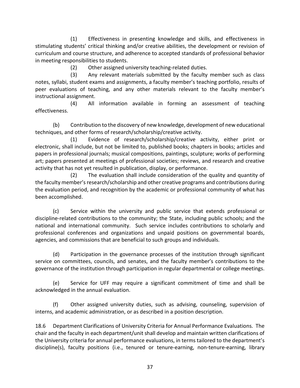(1) Effectiveness in presenting knowledge and skills, and effectiveness in stimulating students' critical thinking and/or creative abilities, the development or revision of curriculum and course structure, and adherence to accepted standards of professional behavior in meeting responsibilities to students.

(2) Other assigned university teaching-related duties.

 (3) Any relevant materials submitted by the faculty member such as class notes, syllabi, student exams and assignments, a faculty member's teaching portfolio, results of peer evaluations of teaching, and any other materials relevant to the faculty member's instructional assignment.

 (4) All information available in forming an assessment of teaching effectiveness.

(b) Contribution to the discovery of new knowledge, development of new educational techniques, and other forms of research/scholarship/creative activity.

 (1) Evidence of research/scholarship/creative activity, either print or electronic, shall include, but not be limited to, published books; chapters in books; articles and papers in professional journals; musical compositions, paintings, sculpture; works of performing art; papers presented at meetings of professional societies; reviews, and research and creative activity that has not yet resulted in publication, display, or performance.

 (2) The evaluation shall include consideration of the quality and quantity of the faculty member's research/scholarship and other creative programs and contributions during the evaluation period, and recognition by the academic or professional community of what has been accomplished.

(c) Service within the university and public service that extends professional or discipline-related contributions to the community; the State, including public schools; and the national and international community. Such service includes contributions to scholarly and professional conferences and organizations and unpaid positions on governmental boards, agencies, and commissions that are beneficial to such groups and individuals.

(d) Participation in the governance processes of the institution through significant service on committees, councils, and senates, and the faculty member's contributions to the governance of the institution through participation in regular departmental or college meetings.

(e) Service for UFF may require a significant commitment of time and shall be acknowledged in the annual evaluation.

(f) Other assigned university duties, such as advising, counseling, supervision of interns, and academic administration, or as described in a position description.

18.6 Department Clarifications of University Criteria for Annual Performance Evaluations. The chair and the faculty in each department/unit shall develop and maintain written clarifications of the University criteria for annual performance evaluations, in terms tailored to the department's discipline(s), faculty positions (i.e., tenured or tenure-earning, non-tenure-earning, library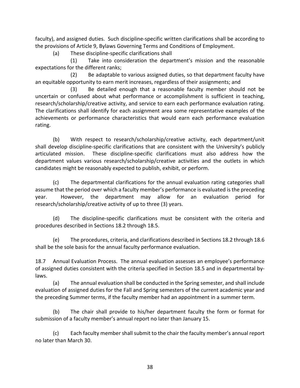faculty), and assigned duties. Such discipline-specific written clarifications shall be according to the provisions of Article 9, Bylaws Governing Terms and Conditions of Employment.

(a) These discipline-specific clarifications shall

 (1) Take into consideration the department's mission and the reasonable expectations for the different ranks;

 (2) Be adaptable to various assigned duties, so that department faculty have an equitable opportunity to earn merit increases, regardless of their assignments; and

 (3) Be detailed enough that a reasonable faculty member should not be uncertain or confused about what performance or accomplishment is sufficient in teaching, research/scholarship/creative activity, and service to earn each performance evaluation rating. The clarifications shall identify for each assignment area some representative examples of the achievements or performance characteristics that would earn each performance evaluation rating.

(b) With respect to research/scholarship/creative activity, each department/unit shall develop discipline-specific clarifications that are consistent with the University's publicly articulated mission. These discipline-specific clarifications must also address how the department values various research/scholarship/creative activities and the outlets in which candidates might be reasonably expected to publish, exhibit, or perform.

(c) The departmental clarifications for the annual evaluation rating categories shall assume that the period over which a faculty member's performance is evaluated is the preceding year. However, the department may allow for an evaluation period for research/scholarship/creative activity of up to three (3) years.

(d) The discipline-specific clarifications must be consistent with the criteria and procedures described in Sections 18.2 through 18.5.

(e) The procedures, criteria, and clarifications described in Sections 18.2 through 18.6 shall be the sole basis for the annual faculty performance evaluation.

18.7 Annual Evaluation Process. The annual evaluation assesses an employee's performance of assigned duties consistent with the criteria specified in Section 18.5 and in departmental bylaws.

(a) The annual evaluation shall be conducted in the Spring semester, and shall include evaluation of assigned duties for the Fall and Spring semesters of the current academic year and the preceding Summer terms, if the faculty member had an appointment in a summer term.

(b) The chair shall provide to his/her department faculty the form or format for submission of a faculty member's annual report no later than January 15.

(c) Each faculty member shall submit to the chair the faculty member's annual report no later than March 30.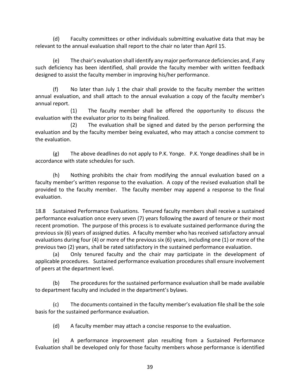(d) Faculty committees or other individuals submitting evaluative data that may be relevant to the annual evaluation shall report to the chair no later than April 15.

(e) The chair's evaluation shall identify any major performance deficiencies and, if any such deficiency has been identified, shall provide the faculty member with written feedback designed to assist the faculty member in improving his/her performance.

(f) No later than July 1 the chair shall provide to the faculty member the written annual evaluation, and shall attach to the annual evaluation a copy of the faculty member's annual report.

 (1) The faculty member shall be offered the opportunity to discuss the evaluation with the evaluator prior to its being finalized.

 (2) The evaluation shall be signed and dated by the person performing the evaluation and by the faculty member being evaluated, who may attach a concise comment to the evaluation.

(g) The above deadlines do not apply to P.K. Yonge. P.K. Yonge deadlines shall be in accordance with state schedules for such.

(h) Nothing prohibits the chair from modifying the annual evaluation based on a faculty member's written response to the evaluation. A copy of the revised evaluation shall be provided to the faculty member. The faculty member may append a response to the final evaluation.

18.8 Sustained Performance Evaluations. Tenured faculty members shall receive a sustained performance evaluation once every seven (7) years following the award of tenure or their most recent promotion. The purpose of this process is to evaluate sustained performance during the previous six (6) years of assigned duties. A faculty member who has received satisfactory annual evaluations during four (4) or more of the previous six (6) years, including one (1) or more of the previous two (2) years, shall be rated satisfactory in the sustained performance evaluation.

(a) Only tenured faculty and the chair may participate in the development of applicable procedures. Sustained performance evaluation procedures shall ensure involvement of peers at the department level.

(b) The procedures for the sustained performance evaluation shall be made available to department faculty and included in the department's bylaws.

(c) The documents contained in the faculty member's evaluation file shall be the sole basis for the sustained performance evaluation.

(d) A faculty member may attach a concise response to the evaluation.

(e) A performance improvement plan resulting from a Sustained Performance Evaluation shall be developed only for those faculty members whose performance is identified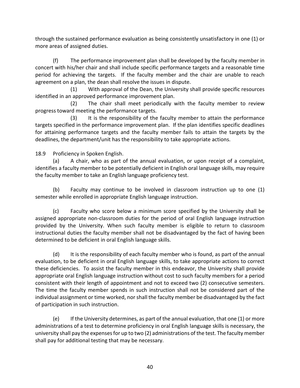through the sustained performance evaluation as being consistently unsatisfactory in one (1) or more areas of assigned duties.

(f) The performance improvement plan shall be developed by the faculty member in concert with his/her chair and shall include specific performance targets and a reasonable time period for achieving the targets. If the faculty member and the chair are unable to reach agreement on a plan, the dean shall resolve the issues in dispute.

 (1) With approval of the Dean, the University shall provide specific resources identified in an approved performance improvement plan.

 (2) The chair shall meet periodically with the faculty member to review progress toward meeting the performance targets.

 (3) It is the responsibility of the faculty member to attain the performance targets specified in the performance improvement plan. If the plan identifies specific deadlines for attaining performance targets and the faculty member fails to attain the targets by the deadlines, the department/unit has the responsibility to take appropriate actions.

18.9 Proficiency in Spoken English.

 (a) A chair, who as part of the annual evaluation, or upon receipt of a complaint, identifies a faculty member to be potentially deficient in English oral language skills, may require the faculty member to take an English language proficiency test.

(b) Faculty may continue to be involved in classroom instruction up to one (1) semester while enrolled in appropriate English language instruction.

(c) Faculty who score below a minimum score specified by the University shall be assigned appropriate non-classroom duties for the period of oral English language instruction provided by the University. When such faculty member is eligible to return to classroom instructional duties the faculty member shall not be disadvantaged by the fact of having been determined to be deficient in oral English language skills.

(d) It is the responsibility of each faculty member who is found, as part of the annual evaluation, to be deficient in oral English language skills, to take appropriate actions to correct these deficiencies. To assist the faculty member in this endeavor, the University shall provide appropriate oral English language instruction without cost to such faculty members for a period consistent with their length of appointment and not to exceed two (2) consecutive semesters. The time the faculty member spends in such instruction shall not be considered part of the individual assignment or time worked, nor shall the faculty member be disadvantaged by the fact of participation in such instruction.

(e) If the University determines, as part of the annual evaluation, that one (1) or more administrations of a test to determine proficiency in oral English language skills is necessary, the university shall pay the expenses for up to two (2) administrations of the test. The faculty member shall pay for additional testing that may be necessary.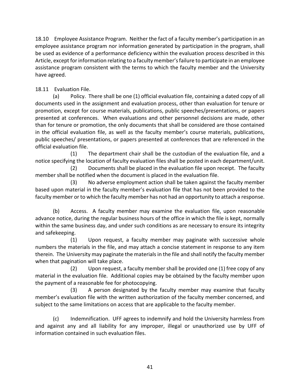18.10 Employee Assistance Program. Neither the fact of a faculty member's participation in an employee assistance program nor information generated by participation in the program, shall be used as evidence of a performance deficiency within the evaluation process described in this Article, except for information relating to a faculty member's failure to participate in an employee assistance program consistent with the terms to which the faculty member and the University have agreed.

# 18.11 Evaluation File.

(a) Policy. There shall be one (1) official evaluation file, containing a dated copy of all documents used in the assignment and evaluation process, other than evaluation for tenure or promotion, except for course materials, publications, public speeches/presentations, or papers presented at conferences. When evaluations and other personnel decisions are made, other than for tenure or promotion, the only documents that shall be considered are those contained in the official evaluation file, as well as the faculty member's course materials, publications, public speeches/ presentations, or papers presented at conferences that are referenced in the official evaluation file.

(1) The department chair shall be the custodian of the evaluation file, and a notice specifying the location of faculty evaluation files shall be posted in each department/unit.

(2) Documents shall be placed in the evaluation file upon receipt. The faculty member shall be notified when the document is placed in the evaluation file.

(3) No adverse employment action shall be taken against the faculty member based upon material in the faculty member's evaluation file that has not been provided to the faculty member or to which the faculty member has not had an opportunity to attach a response.

(b) Access. A faculty member may examine the evaluation file, upon reasonable advance notice, during the regular business hours of the office in which the file is kept, normally within the same business day, and under such conditions as are necessary to ensure its integrity and safekeeping.

(1) Upon request, a faculty member may paginate with successive whole numbers the materials in the file, and may attach a concise statement in response to any item therein. The University may paginate the materials in the file and shall notify the faculty member when that pagination will take place.

(2) Upon request, a faculty member shall be provided one (1) free copy of any material in the evaluation file. Additional copies may be obtained by the faculty member upon the payment of a reasonable fee for photocopying.

(3) A person designated by the faculty member may examine that faculty member's evaluation file with the written authorization of the faculty member concerned, and subject to the same limitations on access that are applicable to the faculty member.

(c) Indemnification. UFF agrees to indemnify and hold the University harmless from and against any and all liability for any improper, illegal or unauthorized use by UFF of information contained in such evaluation files.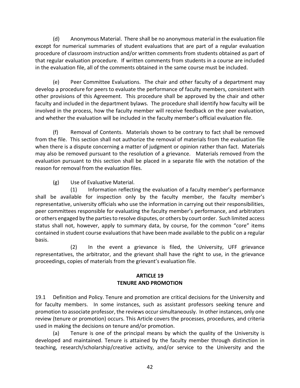(d) Anonymous Material. There shall be no anonymous material in the evaluation file except for numerical summaries of student evaluations that are part of a regular evaluation procedure of classroom instruction and/or written comments from students obtained as part of that regular evaluation procedure. If written comments from students in a course are included in the evaluation file, all of the comments obtained in the same course must be included.

(e) Peer Committee Evaluations. The chair and other faculty of a department may develop a procedure for peers to evaluate the performance of faculty members, consistent with other provisions of this Agreement. This procedure shall be approved by the chair and other faculty and included in the department bylaws. The procedure shall identify how faculty will be involved in the process, how the faculty member will receive feedback on the peer evaluation, and whether the evaluation will be included in the faculty member's official evaluation file.

(f) Removal of Contents. Materials shown to be contrary to fact shall be removed from the file. This section shall not authorize the removal of materials from the evaluation file when there is a dispute concerning a matter of judgment or opinion rather than fact. Materials may also be removed pursuant to the resolution of a grievance. Materials removed from the evaluation pursuant to this section shall be placed in a separate file with the notation of the reason for removal from the evaluation files.

(g) Use of Evaluative Material.

(1) Information reflecting the evaluation of a faculty member's performance shall be available for inspection only by the faculty member, the faculty member's representative, university officials who use the information in carrying out their responsibilities, peer committees responsible for evaluating the faculty member's performance, and arbitrators or others engaged by the parties to resolve disputes, or others by court order. Such limited access status shall not, however, apply to summary data, by course, for the common "core" items contained in student course evaluations that have been made available to the public on a regular basis.

(2) In the event a grievance is filed, the University, UFF grievance representatives, the arbitrator, and the grievant shall have the right to use, in the grievance proceedings, copies of materials from the grievant's evaluation file.

#### **ARTICLE 19 TENURE AND PROMOTION**

19.1 Definition and Policy. Tenure and promotion are critical decisions for the University and for faculty members. In some instances, such as assistant professors seeking tenure and promotion to associate professor, the reviews occur simultaneously. In other instances, only one review (tenure or promotion) occurs. This Article covers the processes, procedures, and criteria used in making the decisions on tenure and/or promotion.

(a) Tenure is one of the principal means by which the quality of the University is developed and maintained. Tenure is attained by the faculty member through distinction in teaching, research/scholarship/creative activity, and/or service to the University and the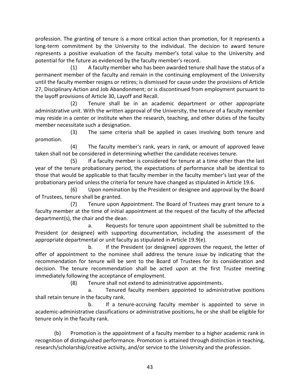profession. The granting of tenure is a more critical action than promotion, for it represents a long-term commitment by the University to the individual. The decision to award tenure represents a positive evaluation of the faculty member's total value to the University and potential for the future as evidenced by the faculty member's record.

(1) A faculty member who has been awarded tenure shall have the status of a permanent member of the faculty and remain in the continuing employment of the University until the faculty member resigns or retires; is dismissed for cause under the provisions of Article 27, Disciplinary Action and Job Abandonment; or is discontinued from employment pursuant to the layoff provisions of Article 30, Layoff and Recall.

(2) Tenure shall be in an academic department or other appropriate administrative unit. With the written approval of the University, the tenure of a faculty member may reside in a center or institute when the research, teaching, and other duties of the faculty member necessitate such a designation.

(3) The same criteria shall be applied in cases involving both tenure and promotion.

(4) The faculty member's rank, years in rank, or amount of approved leave taken shall not be considered in determining whether the candidate receives tenure.

(5) If a faculty member is considered for tenure at a time other than the last year of the tenure probationary period, the expectations of performance shall be identical to those that would be applicable to that faculty member in the faculty member's last year of the probationary period unless the criteria for tenure have changed as stipulated in Article 19.6.

(6) Upon nomination by the President or designee and approval by the Board of Trustees, tenure shall be granted.

(7) Tenure upon Appointment. The Board of Trustees may grant tenure to a faculty member at the time of initial appointment at the request of the faculty of the affected department(s), the chair and the dean.

a. Requests for tenure upon appointment shall be submitted to the President (or designee) with supporting documentation, including the assessment of the appropriate departmental or unit faculty as stipulated in Article 19.9(e).

b. If the President (or designee) approves the request, the letter of offer of appointment to the nominee shall address the tenure issue by indicating that the recommendation for tenure will be sent to the Board of Trustees for its consideration and decision. The tenure recommendation shall be acted upon at the first Trustee meeting immediately following the acceptance of employment.

(8) Tenure shall not extend to administrative appointments.

a. Tenured faculty members appointed to administrative positions shall retain tenure in the faculty rank.

b. If a tenure-accruing faculty member is appointed to serve in academic-administrative classifications or administrative positions, he or she shall be eligible for tenure only in the faculty rank.

(b) Promotion is the appointment of a faculty member to a higher academic rank in recognition of distinguished performance. Promotion is attained through distinction in teaching, research/scholarship/creative activity, and/or service to the University and the profession.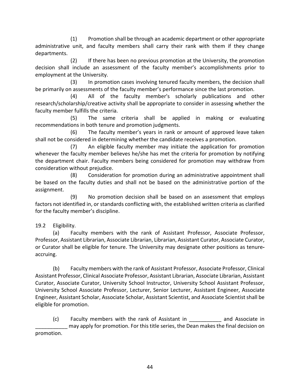(1) Promotion shall be through an academic department or other appropriate administrative unit, and faculty members shall carry their rank with them if they change departments.

(2) If there has been no previous promotion at the University, the promotion decision shall include an assessment of the faculty member's accomplishments prior to employment at the University.

(3) In promotion cases involving tenured faculty members, the decision shall be primarily on assessments of the faculty member's performance since the last promotion.

(4) All of the faculty member's scholarly publications and other research/scholarship/creative activity shall be appropriate to consider in assessing whether the faculty member fulfills the criteria.

(5) The same criteria shall be applied in making or evaluating recommendations in both tenure and promotion judgments.

(6) The faculty member's years in rank or amount of approved leave taken shall not be considered in determining whether the candidate receives a promotion.

(7) An eligible faculty member may initiate the application for promotion whenever the faculty member believes he/she has met the criteria for promotion by notifying the department chair. Faculty members being considered for promotion may withdraw from consideration without prejudice.

(8) Consideration for promotion during an administrative appointment shall be based on the faculty duties and shall not be based on the administrative portion of the assignment.

(9) No promotion decision shall be based on an assessment that employs factors not identified in, or standards conflicting with, the established written criteria as clarified for the faculty member's discipline.

19.2 Eligibility.

(a) Faculty members with the rank of Assistant Professor, Associate Professor, Professor, Assistant Librarian, Associate Librarian, Librarian, Assistant Curator, Associate Curator, or Curator shall be eligible for tenure. The University may designate other positions as tenureaccruing.

(b) Faculty members with the rank of Assistant Professor, Associate Professor, Clinical Assistant Professor, Clinical Associate Professor, Assistant Librarian, Associate Librarian, Assistant Curator, Associate Curator, University School Instructor, University School Assistant Professor, University School Associate Professor, Lecturer, Senior Lecturer, Assistant Engineer, Associate Engineer, Assistant Scholar, Associate Scholar, Assistant Scientist, and Associate Scientist shall be eligible for promotion.

(c) Faculty members with the rank of Assistant in \_\_\_\_\_\_\_\_\_\_\_ and Associate in may apply for promotion. For this title series, the Dean makes the final decision on promotion.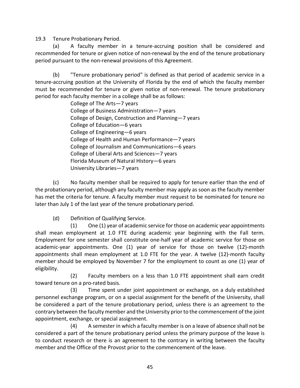19.3 Tenure Probationary Period.

(a) A faculty member in a tenure-accruing position shall be considered and recommended for tenure or given notice of non-renewal by the end of the tenure probationary period pursuant to the non-renewal provisions of this Agreement.

(b) "Tenure probationary period" is defined as that period of academic service in a tenure-accruing position at the University of Florida by the end of which the faculty member must be recommended for tenure or given notice of non-renewal. The tenure probationary period for each faculty member in a college shall be as follows:

> College of The Arts—7 years College of Business Administration—7 years College of Design, Construction and Planning—7 years College of Education—6 years College of Engineering—6 years College of Health and Human Performance—7 years College of Journalism and Communications—6 years College of Liberal Arts and Sciences—7 years Florida Museum of Natural History—6 years University Libraries—7 years

(c) No faculty member shall be required to apply for tenure earlier than the end of the probationary period, although any faculty member may apply as soon as the faculty member has met the criteria for tenure. A faculty member must request to be nominated for tenure no later than July 1 of the last year of the tenure probationary period.

(d) Definition of Qualifying Service.

(1) One (1) year of academic service for those on academic year appointments shall mean employment at 1.0 FTE during academic year beginning with the Fall term. Employment for one semester shall constitute one-half year of academic service for those on academic-year appointments. One (1) year of service for those on twelve (12)-month appointments shall mean employment at 1.0 FTE for the year. A twelve (12)-month faculty member should be employed by November 7 for the employment to count as one (1) year of eligibility.

(2) Faculty members on a less than 1.0 FTE appointment shall earn credit toward tenure on a pro-rated basis.

(3) Time spent under joint appointment or exchange, on a duly established personnel exchange program, or on a special assignment for the benefit of the University, shall be considered a part of the tenure probationary period, unless there is an agreement to the contrary between the faculty member and the University prior to the commencement of the joint appointment, exchange, or special assignment.

(4) A semester in which a faculty member is on a leave of absence shall not be considered a part of the tenure probationary period unless the primary purpose of the leave is to conduct research or there is an agreement to the contrary in writing between the faculty member and the Office of the Provost prior to the commencement of the leave.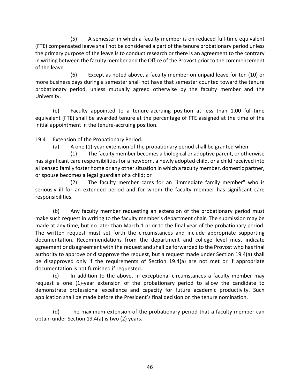(5) A semester in which a faculty member is on reduced full-time equivalent (FTE) compensated leave shall not be considered a part of the tenure probationary period unless the primary purpose of the leave is to conduct research or there is an agreement to the contrary in writing between the faculty member and the Office of the Provost prior to the commencement of the leave.

(6) Except as noted above, a faculty member on unpaid leave for ten (10) or more business days during a semester shall not have that semester counted toward the tenure probationary period, unless mutually agreed otherwise by the faculty member and the University.

(e) Faculty appointed to a tenure-accruing position at less than 1.00 full-time equivalent (FTE) shall be awarded tenure at the percentage of FTE assigned at the time of the initial appointment in the tenure-accruing position.

19.4 Extension of the Probationary Period.

(a) A one (1)-year extension of the probationary period shall be granted when:

(1) The faculty member becomes a biological or adoptive parent, or otherwise has significant care responsibilities for a newborn, a newly adopted child, or a child received into a licensed family foster home or any other situation in which a faculty member, domestic partner, or spouse becomes a legal guardian of a child; or

(2) The faculty member cares for an "immediate family member" who is seriously ill for an extended period and for whom the faculty member has significant care responsibilities.

(b) Any faculty member requesting an extension of the probationary period must make such request in writing to the faculty member's department chair. The submission may be made at any time, but no later than March 1 prior to the final year of the probationary period. The written request must set forth the circumstances and include appropriate supporting documentation. Recommendations from the department and college level must indicate agreement or disagreement with the request and shall be forwarded to the Provost who has final authority to approve or disapprove the request, but a request made under Section 19.4(a) shall be disapproved only if the requirements of Section 19.4(a) are not met or if appropriate documentation is not furnished if requested.

(c) In addition to the above, in exceptional circumstances a faculty member may request a one (1)-year extension of the probationary period to allow the candidate to demonstrate professional excellence and capacity for future academic productivity. Such application shall be made before the President's final decision on the tenure nomination.

(d) The maximum extension of the probationary period that a faculty member can obtain under Section 19.4(a) is two (2) years.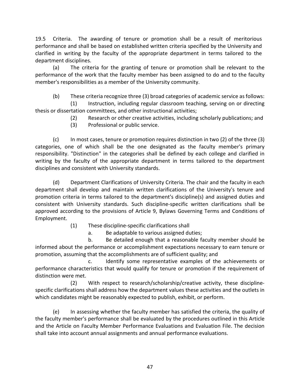19.5 Criteria. The awarding of tenure or promotion shall be a result of meritorious performance and shall be based on established written criteria specified by the University and clarified in writing by the faculty of the appropriate department in terms tailored to the department disciplines.

(a) The criteria for the granting of tenure or promotion shall be relevant to the performance of the work that the faculty member has been assigned to do and to the faculty member's responsibilities as a member of the University community.

(b) These criteria recognize three (3) broad categories of academic service as follows:

(1) Instruction, including regular classroom teaching, serving on or directing thesis or dissertation committees, and other instructional activities;

- (2) Research or other creative activities, including scholarly publications; and
- (3) Professional or public service.

(c) In most cases, tenure or promotion requires distinction in two (2) of the three (3) categories, one of which shall be the one designated as the faculty member's primary responsibility. "Distinction" in the categories shall be defined by each college and clarified in writing by the faculty of the appropriate department in terms tailored to the department disciplines and consistent with University standards.

(d) Department Clarifications of University Criteria. The chair and the faculty in each department shall develop and maintain written clarifications of the University's tenure and promotion criteria in terms tailored to the department's discipline(s) and assigned duties and consistent with University standards. Such discipline-specific written clarifications shall be approved according to the provisions of Article 9, Bylaws Governing Terms and Conditions of Employment.

(1) These discipline-specific clarifications shall

a. Be adaptable to various assigned duties;

b. Be detailed enough that a reasonable faculty member should be informed about the performance or accomplishment expectations necessary to earn tenure or promotion, assuming that the accomplishments are of sufficient quality; and

c. Identify some representative examples of the achievements or performance characteristics that would qualify for tenure or promotion if the requirement of distinction were met.

(2) With respect to research/scholarship/creative activity, these disciplinespecific clarifications shall address how the department values these activities and the outlets in which candidates might be reasonably expected to publish, exhibit, or perform.

(e) In assessing whether the faculty member has satisfied the criteria, the quality of the faculty member's performance shall be evaluated by the procedures outlined in this Article and the Article on Faculty Member Performance Evaluations and Evaluation File. The decision shall take into account annual assignments and annual performance evaluations.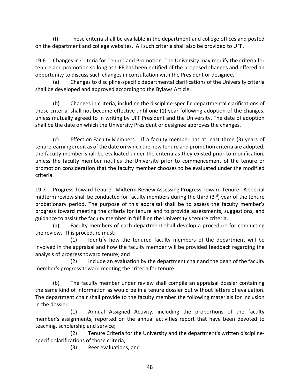(f) These criteria shall be available in the department and college offices and posted on the department and college websites. All such criteria shall also be provided to UFF.

19.6 Changes in Criteria for Tenure and Promotion. The University may modify the criteria for tenure and promotion so long as UFF has been notified of the proposed changes and offered an opportunity to discuss such changes in consultation with the President or designee.

(a) Changes to discipline-specific departmental clarifications of the University criteria shall be developed and approved according to the Bylaws Article.

(b) Changes in criteria, including the discipline-specific departmental clarifications of those criteria, shall not become effective until one (1) year following adoption of the changes, unless mutually agreed to in writing by UFF President and the University. The date of adoption shall be the date on which the University President or designee approves the changes.

(c) Effect on Faculty Members. If a faculty member has at least three (3) years of tenure-earning credit as of the date on which the new tenure and promotion criteria are adopted, the faculty member shall be evaluated under the criteria as they existed prior to modification, unless the faculty member notifies the University prior to commencement of the tenure or promotion consideration that the faculty member chooses to be evaluated under the modified criteria.

19.7 Progress Toward Tenure. Midterm Review Assessing Progress Toward Tenure. A special midterm review shall be conducted for faculty members during the third  $(3<sup>rd</sup>)$  year of the tenure probationary period. The purpose of this appraisal shall be to assess the faculty member's progress toward meeting the criteria for tenure and to provide assessments, suggestions, and guidance to assist the faculty member in fulfilling the University's tenure criteria.

(a) Faculty members of each department shall develop a procedure for conducting the review. This procedure must:

(1) Identify how the tenured faculty members of the department will be involved in the appraisal and how the faculty member will be provided feedback regarding the analysis of progress toward tenure; and

(2) Include an evaluation by the department chair and the dean of the faculty member's progress toward meeting the criteria for tenure.

(b) The faculty member under review shall compile an appraisal dossier containing the same kind of information as would be in a tenure dossier but without letters of evaluation. The department chair shall provide to the faculty member the following materials for inclusion in the dossier:

(1) Annual Assigned Activity, including the proportions of the faculty member's assignments, reported on the annual activities report that have been devoted to teaching, scholarship and service;

(2) Tenure Criteria for the University and the department's written disciplinespecific clarifications of those criteria;

(3) Peer evaluations; and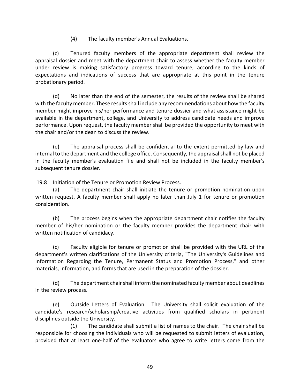(4) The faculty member's Annual Evaluations.

(c) Tenured faculty members of the appropriate department shall review the appraisal dossier and meet with the department chair to assess whether the faculty member under review is making satisfactory progress toward tenure, according to the kinds of expectations and indications of success that are appropriate at this point in the tenure probationary period.

(d) No later than the end of the semester, the results of the review shall be shared with the faculty member. These results shall include any recommendations about how the faculty member might improve his/her performance and tenure dossier and what assistance might be available in the department, college, and University to address candidate needs and improve performance. Upon request, the faculty member shall be provided the opportunity to meet with the chair and/or the dean to discuss the review.

(e) The appraisal process shall be confidential to the extent permitted by law and internal to the department and the college office. Consequently, the appraisal shall not be placed in the faculty member's evaluation file and shall not be included in the faculty member's subsequent tenure dossier.

19.8 Initiation of the Tenure or Promotion Review Process.

(a) The department chair shall initiate the tenure or promotion nomination upon written request. A faculty member shall apply no later than July 1 for tenure or promotion consideration.

(b) The process begins when the appropriate department chair notifies the faculty member of his/her nomination or the faculty member provides the department chair with written notification of candidacy.

(c) Faculty eligible for tenure or promotion shall be provided with the URL of the department's written clarifications of the University criteria, "The University's Guidelines and Information Regarding the Tenure, Permanent Status and Promotion Process," and other materials, information, and forms that are used in the preparation of the dossier.

(d) The department chair shall inform the nominated faculty member about deadlines in the review process.

(e) Outside Letters of Evaluation. The University shall solicit evaluation of the candidate's research/scholarship/creative activities from qualified scholars in pertinent disciplines outside the University.

(1) The candidate shall submit a list of names to the chair. The chair shall be responsible for choosing the individuals who will be requested to submit letters of evaluation, provided that at least one-half of the evaluators who agree to write letters come from the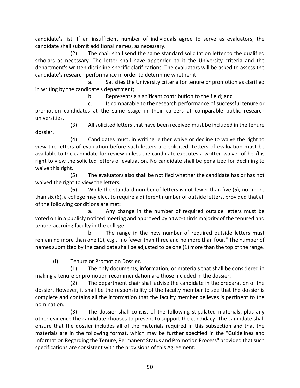candidate's list. If an insufficient number of individuals agree to serve as evaluators, the candidate shall submit additional names, as necessary.

(2) The chair shall send the same standard solicitation letter to the qualified scholars as necessary. The letter shall have appended to it the University criteria and the department's written discipline-specific clarifications. The evaluators will be asked to assess the candidate's research performance in order to determine whether it

a. Satisfies the University criteria for tenure or promotion as clarified in writing by the candidate's department;

b. Represents a significant contribution to the field; and

c. Is comparable to the research performance of successful tenure or promotion candidates at the same stage in their careers at comparable public research universities.

(3) All solicited letters that have been received must be included in the tenure dossier.

(4) Candidates must, in writing, either waive or decline to waive the right to view the letters of evaluation before such letters are solicited. Letters of evaluation must be available to the candidate for review unless the candidate executes a written waiver of her/his right to view the solicited letters of evaluation. No candidate shall be penalized for declining to waive this right.

(5) The evaluators also shall be notified whether the candidate has or has not waived the right to view the letters.

(6) While the standard number of letters is not fewer than five (5), nor more than six (6), a college may elect to require a different number of outside letters, provided that all of the following conditions are met:

a. Any change in the number of required outside letters must be voted on in a publicly noticed meeting and approved by a two-thirds majority of the tenured and tenure-accruing faculty in the college.

b. The range in the new number of required outside letters must remain no more than one (1), e.g., "no fewer than three and no more than four." The number of names submitted by the candidate shall be adjusted to be one (1) more than the top of the range.

(f) Tenure or Promotion Dossier.

(1) The only documents, information, or materials that shall be considered in making a tenure or promotion recommendation are those included in the dossier.

(2) The department chair shall advise the candidate in the preparation of the dossier. However, it shall be the responsibility of the faculty member to see that the dossier is complete and contains all the information that the faculty member believes is pertinent to the nomination.

(3) The dossier shall consist of the following stipulated materials, plus any other evidence the candidate chooses to present to support the candidacy. The candidate shall ensure that the dossier includes all of the materials required in this subsection and that the materials are in the following format, which may be further specified in the "Guidelines and Information Regarding the Tenure, Permanent Status and Promotion Process" provided that such specifications are consistent with the provisions of this Agreement: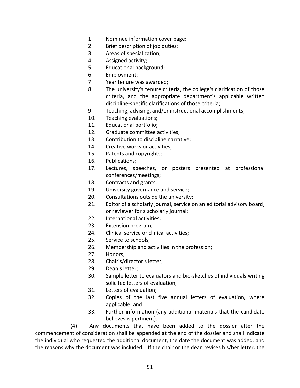- 1. Nominee information cover page;
- 2. Brief description of job duties;
- 3. Areas of specialization;
- 4. Assigned activity;
- 5. Educational background;
- 6. Employment;
- 7. Year tenure was awarded;
- 8. The university's tenure criteria, the college's clarification of those criteria, and the appropriate department's applicable written discipline-specific clarifications of those criteria;
- 9. Teaching, advising, and/or instructional accomplishments;
- 10. Teaching evaluations;
- 11. Educational portfolio;
- 12. Graduate committee activities;
- 13. Contribution to discipline narrative;
- 14. Creative works or activities;
- 15. Patents and copyrights;
- 16. Publications;
- 17. Lectures, speeches, or posters presented at professional conferences/meetings;
- 18. Contracts and grants;
- 19. University governance and service;
- 20. Consultations outside the university;
- 21. Editor of a scholarly journal, service on an editorial advisory board, or reviewer for a scholarly journal;
- 22. International activities;
- 23. Extension program;
- 24. Clinical service or clinical activities;
- 25. Service to schools;
- 26. Membership and activities in the profession;
- 27. Honors;
- 28. Chair's/director's letter;
- 29. Dean's letter;
- 30. Sample letter to evaluators and bio-sketches of individuals writing solicited letters of evaluation;
- 31. Letters of evaluation;
- 32. Copies of the last five annual letters of evaluation, where applicable; and
- 33. Further information (any additional materials that the candidate believes is pertinent).

(4) Any documents that have been added to the dossier after the commencement of consideration shall be appended at the end of the dossier and shall indicate the individual who requested the additional document, the date the document was added, and the reasons why the document was included. If the chair or the dean revises his/her letter, the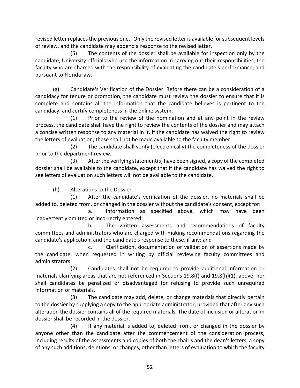revised letter replaces the previous one. Only the revised letter is available for subsequent levels of review, and the candidate may append a response to the revised letter.

(5) The contents of the dossier shall be available for inspection only by the candidate, University officials who use the information in carrying out their responsibilities, the faculty who are charged with the responsibility of evaluating the candidate's performance, and pursuant to Florida law.

(g) Candidate's Verification of the Dossier. Before there can be a consideration of a candidacy for tenure or promotion, the candidate must review the dossier to ensure that it is complete and contains all the information that the candidate believes is pertinent to the candidacy, and certify completeness in the online system.

(1) Prior to the review of the nomination and at any point in the review process, the candidate shall have the right to review the contents of the dossier and may attach a concise written response to any material in it. If the candidate has waived the right to review the letters of evaluation, these shall not be made available to the faculty member.

(2) The candidate shall verify (electronically) the completeness of the dossier prior to the department review.

(3) After the verifying statement(s) have been signed, a copy of the completed dossier shall be available to the candidate, except that if the candidate has waived the right to see letters of evaluation such letters will not be available to the candidate.

(h) Alterations to the Dossier.

(1) After the candidate's verification of the dossier, no materials shall be added to, deleted from, or changed in the dossier without the candidate's consent, except for:

a. Information as specified above, which may have been inadvertently omitted or incorrectly entered;

b. The written assessments and recommendations of faculty committees and administrators who are charged with making recommendations regarding the candidate's application, and the candidate's response to these, if any; and

c. Clarification, documentation or validation of assertions made by the candidate, when requested in writing by official reviewing faculty committees and administrators.

(2) Candidates shall not be required to provide additional information or materials clarifying areas that are not referenced in Sections 19.8(f) and 19.8(h)(1), above, nor shall candidates be penalized or disadvantaged for refusing to provide such unrequired information or materials.

(3) The candidate may add, delete, or change materials that directly pertain to the dossier by supplying a copy to the appropriate administrator, provided that after any such alteration the dossier contains all of the required materials. The date of inclusion or alteration in dossier shall be recorded in the dossier.

(4) If any material is added to, deleted from, or changed in the dossier by anyone other than the candidate after the commencement of the consideration process, including results of the assessments and copies of both the chair's and the dean's letters, a copy of any such additions, deletions, or changes, other than letters of evaluation to which the faculty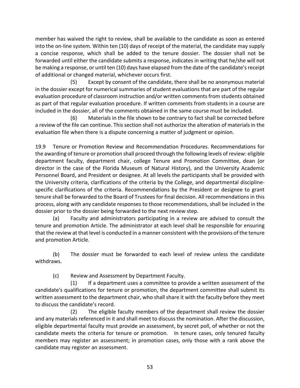member has waived the right to review, shall be available to the candidate as soon as entered into the on-line system. Within ten (10) days of receipt of the material, the candidate may supply a concise response, which shall be added to the tenure dossier. The dossier shall not be forwarded until either the candidate submits a response, indicates in writing that he/she will not be making a response, or until ten (10) days have elapsed from the date of the candidate's receipt of additional or changed material, whichever occurs first.

(5) Except by consent of the candidate, there shall be no anonymous material in the dossier except for numerical summaries of student evaluations that are part of the regular evaluation procedure of classroom instruction and/or written comments from students obtained as part of that regular evaluation procedure. If written comments from students in a course are included in the dossier, all of the comments obtained in the same course must be included.

(6) Materials in the file shown to be contrary to fact shall be corrected before a review of the file can continue. This section shall not authorize the alteration of materials in the evaluation file when there is a dispute concerning a matter of judgment or opinion.

19.9 Tenure or Promotion Review and Recommendation Procedures. Recommendations for the awarding of tenure or promotion shall proceed through the following levels of review: eligible department faculty, department chair, college Tenure and Promotion Committee, dean (or director in the case of the Florida Museum of Natural History), and the University Academic Personnel Board, and President or designee. At all levels the participants shall be provided with the University criteria, clarifications of the criteria by the College, and departmental disciplinespecific clarifications of the criteria. Recommendations by the President or designee to grant tenure shall be forwarded to the Board of Trustees for final decision. All recommendations in this process, along with any candidate responses to those recommendations, shall be included in the dossier prior to the dossier being forwarded to the next review step.

(a) Faculty and administrators participating in a review are advised to consult the tenure and promotion Article. The administrator at each level shall be responsible for ensuring that the review at that level is conducted in a manner consistent with the provisions of the tenure and promotion Article.

(b) The dossier must be forwarded to each level of review unless the candidate withdraws.

(c) Review and Assessment by Department Faculty.

(1) If a department uses a committee to provide a written assessment of the candidate's qualifications for tenure or promotion, the department committee shall submit its written assessment to the department chair, who shall share it with the faculty before they meet to discuss the candidate's record.

(2) The eligible faculty members of the department shall review the dossier and any materials referenced in it and shall meet to discuss the nomination. After the discussion, eligible departmental faculty must provide an assessment, by secret poll, of whether or not the candidate meets the criteria for tenure or promotion. In tenure cases, only tenured faculty members may register an assessment; in promotion cases, only those with a rank above the candidate may register an assessment.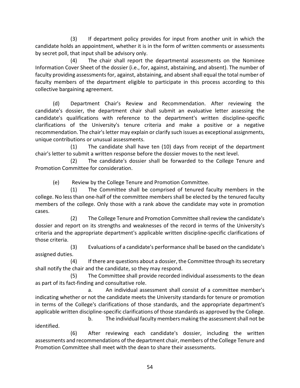(3) If department policy provides for input from another unit in which the candidate holds an appointment, whether it is in the form of written comments or assessments by secret poll, that input shall be advisory only.

(4) The chair shall report the departmental assessments on the Nominee Information Cover Sheet of the dossier (i.e., for, against, abstaining, and absent). The number of faculty providing assessments for, against, abstaining, and absent shall equal the total number of faculty members of the department eligible to participate in this process according to this collective bargaining agreement.

(d) Department Chair's Review and Recommendation. After reviewing the candidate's dossier, the department chair shall submit an evaluative letter assessing the candidate's qualifications with reference to the department's written discipline-specific clarifications of the University's tenure criteria and make a positive or a negative recommendation. The chair's letter may explain or clarify such issues as exceptional assignments, unique contributions or unusual assessments.

(1) The candidate shall have ten (10) days from receipt of the department chair's letter to submit a written response before the dossier moves to the next level.

(2) The candidate's dossier shall be forwarded to the College Tenure and Promotion Committee for consideration.

(e) Review by the College Tenure and Promotion Committee.

(1) The Committee shall be comprised of tenured faculty members in the college. No less than one-half of the committee members shall be elected by the tenured faculty members of the college. Only those with a rank above the candidate may vote in promotion cases.

(2) The College Tenure and Promotion Committee shall review the candidate's dossier and report on its strengths and weaknesses of the record in terms of the University's criteria and the appropriate department's applicable written discipline-specific clarifications of those criteria.

(3) Evaluations of a candidate's performance shall be based on the candidate's assigned duties.

(4) If there are questions about a dossier, the Committee through its secretary shall notify the chair and the candidate, so they may respond.

(5) The Committee shall provide recorded individual assessments to the dean as part of its fact-finding and consultative role.

a. An individual assessment shall consist of a committee member's indicating whether or not the candidate meets the University standards for tenure or promotion in terms of the College's clarifications of those standards, and the appropriate department's applicable written discipline-specific clarifications of those standards as approved by the College.

b. The individual faculty members making the assessment shall not be identified.

(6) After reviewing each candidate's dossier, including the written assessments and recommendations of the department chair, members of the College Tenure and Promotion Committee shall meet with the dean to share their assessments.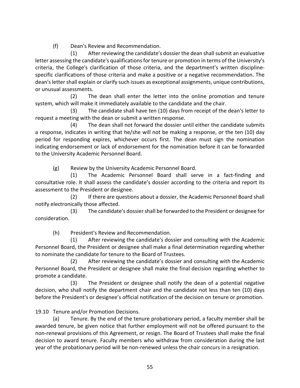(f) Dean's Review and Recommendation.

(1) After reviewing the candidate's dossier the dean shall submit an evaluative letter assessing the candidate's qualifications for tenure or promotion in terms of the University's criteria, the College's clarification of those criteria, and the department's written disciplinespecific clarifications of those criteria and make a positive or a negative recommendation. The dean's letter shall explain or clarify such issues as exceptional assignments, unique contributions, or unusual assessments.

(2) The dean shall enter the letter into the online promotion and tenure system, which will make it immediately available to the candidate and the chair.

(3) The candidate shall have ten (10) days from receipt of the dean's letter to request a meeting with the dean or submit a written response.

(4) The dean shall not forward the dossier until either the candidate submits a response, indicates in writing that he/she will not be making a response, or the ten (10) day period for responding expires, whichever occurs first. The dean must sign the nomination indicating endorsement or lack of endorsement for the nomination before it can be forwarded to the University Academic Personnel Board.

(g) Review by the University Academic Personnel Board.

(1) The Academic Personnel Board shall serve in a fact-finding and consultative role. It shall assess the candidate's dossier according to the criteria and report its assessment to the President or designee.

(2) If there are questions about a dossier, the Academic Personnel Board shall notify electronically those affected.

(3) The candidate's dossier shall be forwarded to the President or designee for consideration.

(h) President's Review and Recommendation.

(1) After reviewing the candidate's dossier and consulting with the Academic Personnel Board, the President or designee shall make a final determination regarding whether to nominate the candidate for tenure to the Board of Trustees.

(2) After reviewing the candidate's dossier and consulting with the Academic Personnel Board, the President or designee shall make the final decision regarding whether to promote a candidate.

(3) The President or designee shall notify the dean of a potential negative decision, who shall notify the department chair and the candidate not less than ten (10) days before the President's or designee's official notification of the decision on tenure or promotion.

19.10 Tenure and/or Promotion Decisions.

(a) Tenure. By the end of the tenure probationary period, a faculty member shall be awarded tenure, be given notice that further employment will not be offered pursuant to the non-renewal provisions of this Agreement, or resign. The Board of Trustees shall make the final decision to award tenure. Faculty members who withdraw from consideration during the last year of the probationary period will be non-renewed unless the chair concurs in a resignation.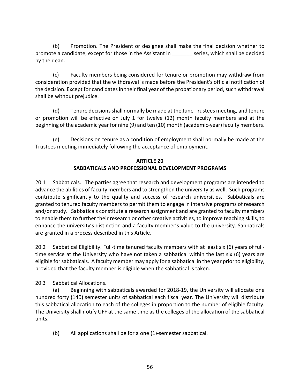(b) Promotion. The President or designee shall make the final decision whether to promote a candidate, except for those in the Assistant in \_\_\_\_\_\_\_ series, which shall be decided by the dean.

(c) Faculty members being considered for tenure or promotion may withdraw from consideration provided that the withdrawal is made before the President's official notification of the decision. Except for candidates in their final year of the probationary period, such withdrawal shall be without prejudice.

(d) Tenure decisions shall normally be made at the June Trustees meeting, and tenure or promotion will be effective on July 1 for twelve (12) month faculty members and at the beginning of the academic year for nine (9) and ten (10) month (academic-year) faculty members.

(e) Decisions on tenure as a condition of employment shall normally be made at the Trustees meeting immediately following the acceptance of employment.

# **ARTICLE 20 SABBATICALS AND PROFESSIONAL DEVELOPMENT PROGRAMS**

20.1 Sabbaticals.The parties agree that research and development programs are intended to advance the abilities of faculty members and to strengthen the university as well. Such programs contribute significantly to the quality and success of research universities. Sabbaticals are granted to tenured faculty members to permit them to engage in intensive programs of research and/or study. Sabbaticals constitute a research assignment and are granted to faculty members to enable them to further their research or other creative activities, to improve teaching skills, to enhance the university's distinction and a faculty member's value to the university. Sabbaticals are granted in a process described in this Article.

20.2 Sabbatical Eligibility. Full-time tenured faculty members with at least six (6) years of fulltime service at the University who have not taken a sabbatical within the last six (6) years are eligible for sabbaticals. A faculty member may apply for a sabbatical in the year prior to eligibility, provided that the faculty member is eligible when the sabbatical is taken.

20.3 Sabbatical Allocations.

(a) Beginning with sabbaticals awarded for 2018-19, the University will allocate one hundred forty (140) semester units of sabbatical each fiscal year. The University will distribute this sabbatical allocation to each of the colleges in proportion to the number of eligible faculty. The University shall notify UFF at the same time as the colleges of the allocation of the sabbatical units.

(b) All applications shall be for a one (1)-semester sabbatical.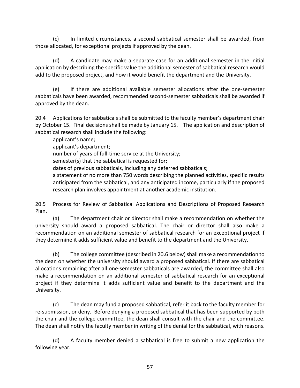(c) In limited circumstances, a second sabbatical semester shall be awarded, from those allocated, for exceptional projects if approved by the dean.

(d) A candidate may make a separate case for an additional semester in the initial application by describing the specific value the additional semester of sabbatical research would add to the proposed project, and how it would benefit the department and the University.

(e) If there are additional available semester allocations after the one-semester sabbaticals have been awarded, recommended second-semester sabbaticals shall be awarded if approved by the dean.

20.4 Applications for sabbaticals shall be submitted to the faculty member's department chair by October 15. Final decisions shall be made by January 15. The application and description of sabbatical research shall include the following:

applicant's name;

applicant's department;

number of years of full-time service at the University;

semester(s) that the sabbatical is requested for;

dates of previous sabbaticals, including any deferred sabbaticals;

a statement of no more than 750 words describing the planned activities, specific results anticipated from the sabbatical, and any anticipated income, particularly if the proposed research plan involves appointment at another academic institution.

20.5 Process for Review of Sabbatical Applications and Descriptions of Proposed Research Plan.

(a) The department chair or director shall make a recommendation on whether the university should award a proposed sabbatical. The chair or director shall also make a recommendation on an additional semester of sabbatical research for an exceptional project if they determine it adds sufficient value and benefit to the department and the University.

(b) The college committee (described in 20*.*6 below) shall make a recommendation to the dean on whether the university should award a proposed sabbatical. If there are sabbatical allocations remaining after all one-semester sabbaticals are awarded, the committee shall also make a recommendation on an additional semester of sabbatical research for an exceptional project if they determine it adds sufficient value and benefit to the department and the University.

(c) The dean may fund a proposed sabbatical, refer it back to the faculty member for re-submission, or deny. Before denying a proposed sabbatical that has been supported by both the chair and the college committee, the dean shall consult with the chair and the committee. The dean shall notify the faculty member in writing of the denial for the sabbatical, with reasons.

(d) A faculty member denied a sabbatical is free to submit a new application the following year.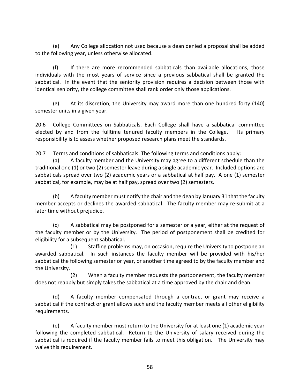(e) Any College allocation not used because a dean denied a proposal shall be added to the following year, unless otherwise allocated.

(f) If there are more recommended sabbaticals than available allocations, those individuals with the most years of service since a previous sabbatical shall be granted the sabbatical. In the event that the seniority provision requires a decision between those with identical seniority, the college committee shall rank order only those applications.

 $(g)$  At its discretion, the University may award more than one hundred forty (140) semester units in a given year.

20.6 College Committees on Sabbaticals. Each College shall have a sabbatical committee elected by and from the fulltime tenured faculty members in the College. Its primary responsibility is to assess whether proposed research plans meet the standards.

20.7 Terms and conditions of sabbaticals. The following terms and conditions apply:

(a) A faculty member and the University may agree to a different schedule than the traditional one (1) or two (2) semester leave during a single academic year. Included options are sabbaticals spread over two (2) academic years or a sabbatical at half pay. A one (1) semester sabbatical, for example, may be at half pay, spread over two (2) semesters.

(b) A faculty member must notify the chair and the dean by January 31 that the faculty member accepts or declines the awarded sabbatical. The faculty member may re-submit at a later time without prejudice.

(c) A sabbatical may be postponed for a semester or a year, either at the request of the faculty member or by the University. The period of postponement shall be credited for eligibility for a subsequent sabbatical.

(1) Staffing problems may, on occasion, require the University to postpone an awarded sabbatical. In such instances the faculty member will be provided with his/her sabbatical the following semester or year, or another time agreed to by the faculty member and the University.

(2) When a faculty member requests the postponement, the faculty member does not reapply but simply takes the sabbatical at a time approved by the chair and dean.

(d) A faculty member compensated through a contract or grant may receive a sabbatical if the contract or grant allows such and the faculty member meets all other eligibility requirements.

(e) A faculty member must return to the University for at least one (1) academic year following the completed sabbatical. Return to the University of salary received during the sabbatical is required if the faculty member fails to meet this obligation. The University may waive this requirement.

58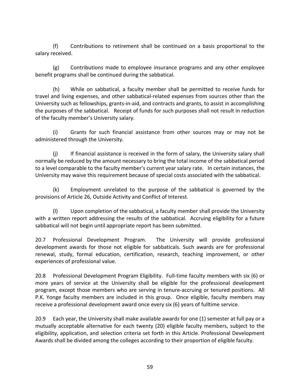(f) Contributions to retirement shall be continued on a basis proportional to the salary received.

(g) Contributions made to employee insurance programs and any other employee benefit programs shall be continued during the sabbatical.

(h) While on sabbatical, a faculty member shall be permitted to receive funds for travel and living expenses, and other sabbatical-related expenses from sources other than the University such as fellowships, grants-in-aid, and contracts and grants, to assist in accomplishing the purposes of the sabbatical. Receipt of funds for such purposes shall not result in reduction of the faculty member's University salary.

(i) Grants for such financial assistance from other sources may or may not be administered through the University.

(j) If financial assistance is received in the form of salary, the University salary shall normally be reduced by the amount necessary to bring the total income of the sabbatical period to a level comparable to the faculty member's current year salary rate. In certain instances, the University may waive this requirement because of special costs associated with the sabbatical.

(k) Employment unrelated to the purpose of the sabbatical is governed by the provisions of Article 26, Outside Activity and Conflict of Interest.

(l) Upon completion of the sabbatical, a faculty member shall provide the University with a written report addressing the results of the sabbatical. Accruing eligibility for a future sabbatical will not begin until appropriate report has been submitted.

20.7 Professional Development Program. The University will provide professional development awards for those not eligible for sabbaticals. Such awards are for professional renewal, study, formal education, certification, research, teaching improvement, or other experiences of professional value.

20.8 Professional Development Program Eligibility. Full-time faculty members with six (6) or more years of service at the University shall be eligible for the professional development program, except those members who are serving in tenure-accruing or tenured positions. All P.K. Yonge faculty members are included in this group. Once eligible, faculty members may receive a professional development award once every six (6) years of fulltime service.

20.9 Each year, the University shall make available award*s* for one (1) semester at full pay or a mutually acceptable alternative for each twenty (20) eligible faculty members, subject to the eligibility, application, and selection criteria set forth in this Article. Professional Development Awards shall be divided among the colleges according to their proportion of eligible faculty.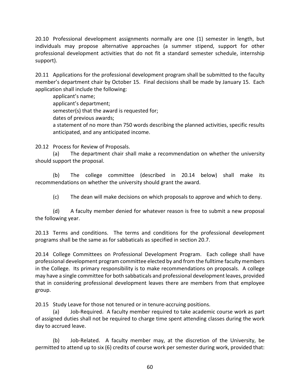20.10 Professional development assignments normally are one (1) semester in length, but individuals may propose alternative approaches (a summer stipend, support for other professional development activities that do not fit a standard semester schedule, internship support).

20.11 Applications for the professional development program shall be submitted to the faculty member's department chair by October 15. Final decisions shall be made by January 15. Each application shall include the following:

applicant's name; applicant's department; semester(s) that the award is requested for; dates of previous awards; a statement of no more than 750 words describing the planned activities, specific results anticipated, and any anticipated income.

20.12 Process for Review of Proposals.

(a) The department chair shall make a recommendation on whether the university should support the proposal.

(b) The college committee (described in 20.14 below) shall make its recommendations on whether the university should grant the award.

(c) The dean will make decisions on which proposals to approve and which to deny.

(d) A faculty member denied for whatever reason is free to submit a new proposal the following year.

20.13 Terms and conditions. The terms and conditions for the professional development programs shall be the same as for sabbaticals as specified in section 20.7.

20.14 College Committees on Professional Development Program. Each college shall have professional development program committee elected by and from the fulltime faculty members in the College. Its primary responsibility is to make recommendations on proposals. A college may have a single committee for both sabbaticals and professional development leaves, provided that in considering professional development leaves there are members from that employee group.

20.15 Study Leave for those not tenured or in tenure-accruing positions.

(a) Job-Required. A faculty member required to take academic course work as part of assigned duties shall not be required to charge time spent attending classes during the work day to accrued leave.

(b) Job-Related. A faculty member may, at the discretion of the University, be permitted to attend up to six (6) credits of course work per semester during work, provided that: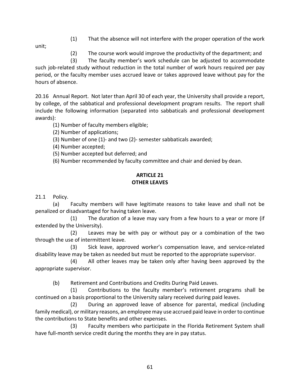(1) That the absence will not interfere with the proper operation of the work

unit;

(2) The course work would improve the productivity of the department; and

 (3) The faculty member's work schedule can be adjusted to accommodate such job-related study without reduction in the total number of work hours required per pay period, or the faculty member uses accrued leave or takes approved leave without pay for the hours of absence.

20.16 Annual Report. Not later than April 30 of each year, the University shall provide a report, by college, of the sabbatical and professional development program results. The report shall include the following information (separated into sabbaticals and professional development awards):

(1) Number of faculty members eligible;

(2) Number of applications;

(3) Number of one (1)- and two (2)- semester sabbaticals awarded;

(4) Number accepted;

(5) Number accepted but deferred; and

(6) Number recommended by faculty committee and chair and denied by dean.

### **ARTICLE 21 OTHER LEAVES**

21.1 Policy.

(a) Faculty members will have legitimate reasons to take leave and shall not be penalized or disadvantaged for having taken leave.

 (1) The duration of a leave may vary from a few hours to a year or more (if extended by the University).

(2) Leaves may be with pay or without pay or a combination of the two through the use of intermittent leave.

(3) Sick leave, approved worker's compensation leave, and service-related disability leave may be taken as needed but must be reported to the appropriate supervisor.

(4) All other leaves may be taken only after having been approved by the appropriate supervisor.

(b) Retirement and Contributions and Credits During Paid Leaves.

(1) Contributions to the faculty member's retirement programs shall be continued on a basis proportional to the University salary received during paid leaves.

(2) During an approved leave of absence for parental, medical (including family medical), or military reasons, an employee may use accrued paid leave in order to continue the contributions to State benefits and other expenses.

(3) Faculty members who participate in the Florida Retirement System shall have full-month service credit during the months they are in pay status.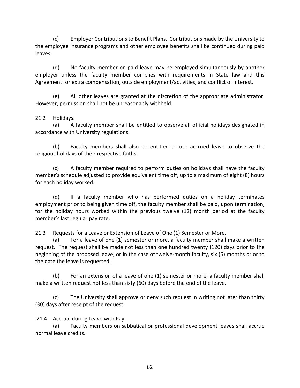(c) Employer Contributions to Benefit Plans. Contributions made by the University to the employee insurance programs and other employee benefits shall be continued during paid leaves.

(d) No faculty member on paid leave may be employed simultaneously by another employer unless the faculty member complies with requirements in State law and this Agreement for extra compensation, outside employment/activities, and conflict of interest.

(e) All other leaves are granted at the discretion of the appropriate administrator. However, permission shall not be unreasonably withheld.

#### 21.2 Holidays.

(a) A faculty member shall be entitled to observe all official holidays designated in accordance with University regulations.

(b) Faculty members shall also be entitled to use accrued leave to observe the religious holidays of their respective faiths.

(c) A faculty member required to perform duties on holidays shall have the faculty member's schedule adjusted to provide equivalent time off, up to a maximum of eight (8) hours for each holiday worked.

(d) If a faculty member who has performed duties on a holiday terminates employment prior to being given time off, the faculty member shall be paid, upon termination, for the holiday hours worked within the previous twelve (12) month period at the faculty member's last regular pay rate.

21.3 Requests for a Leave or Extension of Leave of One (1) Semester or More.

(a) For a leave of one (1) semester or more, a faculty member shall make a written request. The request shall be made not less than one hundred twenty (120) days prior to the beginning of the proposed leave, or in the case of twelve-month faculty, six (6) months prior to the date the leave is requested.

(b) For an extension of a leave of one (1) semester or more, a faculty member shall make a written request not less than sixty (60) days before the end of the leave.

(c) The University shall approve or deny such request in writing not later than thirty (30) days after receipt of the request.

21.4 Accrual during Leave with Pay.

(a) Faculty members on sabbatical or professional development leaves shall accrue normal leave credits.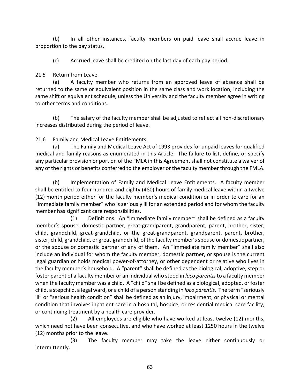(b) In all other instances, faculty members on paid leave shall accrue leave in proportion to the pay status.

(c) Accrued leave shall be credited on the last day of each pay period.

### 21.5 Return from Leave.

(a) A faculty member who returns from an approved leave of absence shall be returned to the same or equivalent position in the same class and work location, including the same shift or equivalent schedule, unless the University and the faculty member agree in writing to other terms and conditions.

(b) The salary of the faculty member shall be adjusted to reflect all non-discretionary increases distributed during the period of leave.

21.6 Family and Medical Leave Entitlements.

(a) The Family and Medical Leave Act of 1993 provides for unpaid leaves for qualified medical and family reasons as enumerated in this Article.The failure to list, define, or specify any particular provision or portion of the FMLA in this Agreement shall not constitute a waiver of any of the rights or benefits conferred to the employer or the faculty member through the FMLA.

(b) Implementation of Family and Medical Leave Entitlements. A faculty member shall be entitled to four hundred and eighty (480) hours of family medical leave within a twelve (12) month period either for the faculty member's medical condition or in order to care for an "immediate family member" who is seriously ill for an extended period and for whom the faculty member has significant care responsibilities.

(1) Definitions. An "immediate family member" shall be defined as a faculty member's spouse, domestic partner, great-grandparent, grandparent, parent, brother, sister, child, grandchild, great-grandchild, or the great-grandparent, grandparent, parent, brother, sister, child, grandchild, or great-grandchild, of the faculty member's spouse or domestic partner, or the spouse or domestic partner of any of them. An "immediate family member" shall also include an individual for whom the faculty member, domestic partner, or spouse is the current legal guardian or holds medical power-of-attorney, or other dependent or relative who lives in the faculty member's household. A "parent" shall be defined as the biological, adoptive, step or foster parent of a faculty member or an individual who stood in *loco parentis*to a faculty member when the faculty member was a child. A "child" shall be defined as a biological, adopted, or foster child, a stepchild, a legal ward, or a child of a person standing in *loco parentis*. The term "seriously ill" or "serious health condition" shall be defined as an injury, impairment, or physical or mental condition that involves inpatient care in a hospital, hospice, or residential medical care facility; or continuing treatment by a health care provider.

(2) All employees are eligible who have worked at least twelve (12) months, which need not have been consecutive, and who have worked at least 1250 hours in the twelve (12) months prior to the leave.

(3) The faculty member may take the leave either continuously or intermittently.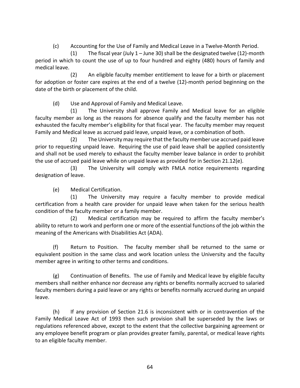(c) Accounting for the Use of Family and Medical Leave in a Twelve-Month Period.

(1) The fiscal year (July 1 – June 30) shall be the designated twelve (12)-month period in which to count the use of up to four hundred and eighty (480) hours of family and medical leave.

(2) An eligible faculty member entitlement to leave for a birth or placement for adoption or foster care expires at the end of a twelve (12)-month period beginning on the date of the birth or placement of the child.

(d) Use and Approval of Family and Medical Leave.

(1) The University shall approve Family and Medical leave for an eligible faculty member as long as the reasons for absence qualify and the faculty member has not exhausted the faculty member's eligibility for that fiscal year. The faculty member may request Family and Medical leave as accrued paid leave, unpaid leave, or a combination of both.

(2) The University may require that the faculty member use accrued paid leave prior to requesting unpaid leave. Requiring the use of paid leave shall be applied consistently and shall not be used merely to exhaust the faculty member leave balance in order to prohibit the use of accrued paid leave while on unpaid leave as provided for in Section 21.12(e).

(3) The University will comply with FMLA notice requirements regarding designation of leave.

(e) Medical Certification.

(1) The University may require a faculty member to provide medical certification from a health care provider for unpaid leave when taken for the serious health condition of the faculty member or a family member.

(2) Medical certification may be required to affirm the faculty member's ability to return to work and perform one or more of the essential functions of the job within the meaning of the Americans with Disabilities Act (ADA).

(f) Return to Position. The faculty member shall be returned to the same or equivalent position in the same class and work location unless the University and the faculty member agree in writing to other terms and conditions.

(g) Continuation of Benefits. The use of Family and Medical leave by eligible faculty members shall neither enhance nor decrease any rights or benefits normally accrued to salaried faculty members during a paid leave or any rights or benefits normally accrued during an unpaid leave.

(h) If any provision of Section 21.6 is inconsistent with or in contravention of the Family Medical Leave Act of 1993 then such provision shall be superseded by the laws or regulations referenced above, except to the extent that the collective bargaining agreement or any employee benefit program or plan provides greater family, parental, or medical leave rights to an eligible faculty member.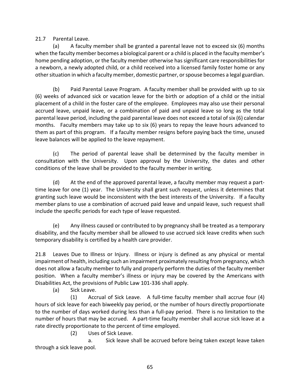21.7 Parental Leave.

(a) A faculty member shall be granted a parental leave not to exceed six (6) months when the faculty member becomes a biological parent or a child is placed in the faculty member's home pending adoption, or the faculty member otherwise has significant care responsibilities for a newborn, a newly adopted child, or a child received into a licensed family foster home or any other situation in which a faculty member, domestic partner, or spouse becomes a legal guardian.

(b) Paid Parental Leave Program. A faculty member shall be provided with up to six (6) weeks of advanced sick or vacation leave for the birth or adoption of a child or the initial placement of a child in the foster care of the employee. Employees may also use their personal accrued leave, unpaid leave, or a combination of paid and unpaid leave so long as the total parental leave period, including the paid parental leave does not exceed a total of six (6) calendar months.Faculty members may take up to six (6) years to repay the leave hours advanced to them as part of this program. If a faculty member resigns before paying back the time, unused leave balances will be applied to the leave repayment.

(c) The period of parental leave shall be determined by the faculty member in consultation with the University. Upon approval by the University, the dates and other conditions of the leave shall be provided to the faculty member in writing.

(d) At the end of the approved parental leave, a faculty member may request a parttime leave for one (1) year. The University shall grant such request, unless it determines that granting such leave would be inconsistent with the best interests of the University. If a faculty member plans to use a combination of accrued paid leave and unpaid leave, such request shall include the specific periods for each type of leave requested.

(e) Any illness caused or contributed to by pregnancy shall be treated as a temporary disability, and the faculty member shall be allowed to use accrued sick leave credits when such temporary disability is certified by a health care provider.

21.8 Leaves Due to Illness or Injury. Illness or injury is defined as any physical or mental impairment of health, including such an impairment proximately resulting from pregnancy, which does not allow a faculty member to fully and properly perform the duties of the faculty member position. When a faculty member's illness or injury may be covered by the Americans with Disabilities Act, the provisions of Public Law 101-336 shall apply.

(a) Sick Leave.

(1) Accrual of Sick Leave. A full-time faculty member shall accrue four (4) hours of sick leave for each biweekly pay period, or the number of hours directly proportionate to the number of days worked during less than a full-pay period. There is no limitation to the number of hours that may be accrued. A part-time faculty member shall accrue sick leave at a rate directly proportionate to the percent of time employed.

(2) Uses of Sick Leave.

a. Sick leave shall be accrued before being taken except leave taken through a sick leave pool.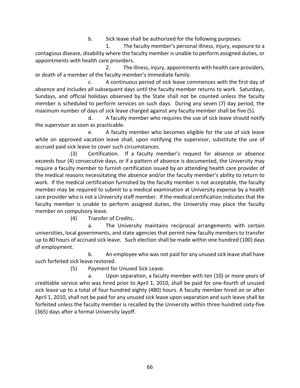b. Sick leave shall be authorized for the following purposes:

1. The faculty member's personal illness, injury, exposure to a contagious disease, disability where the faculty member is unable to perform assigned duties, or appointments with health care providers.

2. The illness, injury, appointments with health care providers, or death of a member of the faculty member's immediate family.

c. A continuous period of sick leave commences with the first day of absence and includes all subsequent days until the faculty member returns to work. Saturdays, Sundays, and official holidays observed by the State shall not be counted unless the faculty member is scheduled to perform services on such days. During any seven (7) day period, the maximum number of days of sick leave charged against any faculty member shall be five (5).

d. A faculty member who requires the use of sick leave should notify the supervisor as soon as practicable.

e. A faculty member who becomes eligible for the use of sick leave while on approved vacation leave shall, upon notifying the supervisor, substitute the use of accrued paid sick leave to cover such circumstances.

(3) Certification. If a faculty member's request for absence or absence exceeds four (4) consecutive days, or if a pattern of absence is documented, the University may require a faculty member to furnish certification issued by an attending health care provider of the medical reasons necessitating the absence and/or the faculty member's ability to return to work. If the medical certification furnished by the faculty member is not acceptable, the faculty member may be required to submit to a medical examination at University expense by a health care provider who is not a University staff member. If the medical certification indicates that the faculty member is unable to perform assigned duties, the University may place the faculty member on compulsory leave.

(4) Transfer of Credits.

a. The University maintains reciprocal arrangements with certain universities, local governments, and state agencies that permit new faculty members to transfer up to 80 hours of accrued sick leave. Such election shall be made within one hundred (100) days of employment.

b. An employee who was not paid for any unused sick leave shall have such forfeited sick leave restored.

(5) Payment for Unused Sick Leave.

a. Upon separation, a faculty member with ten (10) or more years of creditable service who was hired prior to April 1, 2010, shall be paid for one-fourth of unused sick leave up to a total of four hundred eighty (480) hours. A faculty member hired on or after April 1, 2010, shall not be paid for any unused sick leave upon separation and such leave shall be forfeited unless the faculty member is recalled by the University within three hundred sixty-five (365) days after a formal University layoff.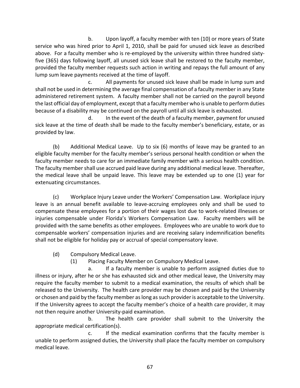b. Upon layoff, a faculty member with ten (10) or more years of State service who was hired prior to April 1, 2010, shall be paid for unused sick leave as described above. For a faculty member who is re-employed by the university within three hundred sixtyfive (365) days following layoff, all unused sick leave shall be restored to the faculty member, provided the faculty member requests such action in writing and repays the full amount of any lump sum leave payments received at the time of layoff.

c. All payments for unused sick leave shall be made in lump sum and shall not be used in determining the average final compensation of a faculty member in any State administered retirement system. A faculty member shall not be carried on the payroll beyond the last official day of employment, except that a faculty member who is unable to perform duties because of a disability may be continued on the payroll until all sick leave is exhausted.

d. In the event of the death of a faculty member, payment for unused sick leave at the time of death shall be made to the faculty member's beneficiary, estate, or as provided by law.

(b) Additional Medical Leave. Up to six (6) months of leave may be granted to an eligible faculty member for the faculty member's serious personal health condition or when the faculty member needs to care for an immediate family member with a serious health condition. The faculty member shall use accrued paid leave during any additional medical leave. Thereafter, the medical leave shall be unpaid leave. This leave may be extended up to one (1) year for extenuating circumstances.

(c) Workplace Injury Leave under the Workers' Compensation Law. Workplace injury leave is an annual benefit available to leave-accruing employees only and shall be used to compensate these employees for a portion of their wages lost due to work-related illnesses or injuries compensable under Florida's Workers Compensation Law. Faculty members will be provided with the same benefits as other employees. Employees who are unable to work due to compensable workers' compensation injuries and are receiving salary indemnification benefits shall not be eligible for holiday pay or accrual of special compensatory leave.

(d) Compulsory Medical Leave.

(1) Placing Faculty Member on Compulsory Medical Leave.

a. If a faculty member is unable to perform assigned duties due to illness or injury, after he or she has exhausted sick and other medical leave, the University may require the faculty member to submit to a medical examination, the results of which shall be released to the University. The health care provider may be chosen and paid by the University or chosen and paid by the faculty member as long as such provider is acceptable to the University. If the University agrees to accept the faculty member's choice of a health care provider, it may not then require another University-paid examination.

 b. The health care provider shall submit to the University the appropriate medical certification(s).

c. If the medical examination confirms that the faculty member is unable to perform assigned duties, the University shall place the faculty member on compulsory medical leave.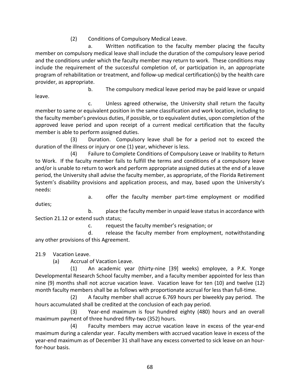(2) Conditions of Compulsory Medical Leave.

a. Written notification to the faculty member placing the faculty member on compulsory medical leave shall include the duration of the compulsory leave period and the conditions under which the faculty member may return to work. These conditions may include the requirement of the successful completion of, or participation in, an appropriate program of rehabilitation or treatment, and follow-up medical certification(s) by the health care provider, as appropriate.

 b. The compulsory medical leave period may be paid leave or unpaid leave.

c. Unless agreed otherwise, the University shall return the faculty member to same or equivalent position in the same classification and work location, including to the faculty member's previous duties, if possible, or to equivalent duties, upon completion of the approved leave period and upon receipt of a current medical certification that the faculty member is able to perform assigned duties.

(3) Duration. Compulsory leave shall be for a period not to exceed the duration of the illness or injury or one (1) year, whichever is less.

(4) Failure to Complete Conditions of Compulsory Leave or Inability to Return to Work. If the faculty member fails to fulfill the terms and conditions of a compulsory leave and/or is unable to return to work and perform appropriate assigned duties at the end of a leave period, the University shall advise the faculty member, as appropriate, of the Florida Retirement System's disability provisions and application process, and may, based upon the University's needs:

 a. offer the faculty member part-time employment or modified duties;

b. place the faculty member in unpaid leave status in accordance with Section 21.12 or extend such status;

c. request the faculty member's resignation; or

d. release the faculty member from employment, notwithstanding any other provisions of this Agreement.

21.9 Vacation Leave.

(a) Accrual of Vacation Leave.

(1) An academic year (thirty-nine [39] weeks) employee, a P.K. Yonge Developmental Research School faculty member, and a faculty member appointed for less than nine (9) months shall not accrue vacation leave. Vacation leave for ten (10) and twelve (12) month faculty members shall be as follows with proportionate accrual for less than full-time.

(2) A faculty member shall accrue 6.769 hours per biweekly pay period. The hours accumulated shall be credited at the conclusion of each pay period.

(3) Year-end maximum is four hundred eighty (480) hours and an overall maximum payment of three hundred fifty-two (352) hours.

(4) Faculty members may accrue vacation leave in excess of the year-end maximum during a calendar year. Faculty members with accrued vacation leave in excess of the year-end maximum as of December 31 shall have any excess converted to sick leave on an hourfor-hour basis.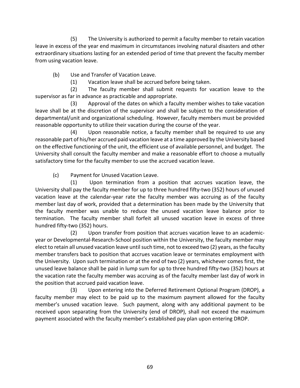(5) The University is authorized to permit a faculty member to retain vacation leave in excess of the year end maximum in circumstances involving natural disasters and other extraordinary situations lasting for an extended period of time that prevent the faculty member from using vacation leave.

(b) Use and Transfer of Vacation Leave.

(1) Vacation leave shall be accrued before being taken.

(2) The faculty member shall submit requests for vacation leave to the supervisor as far in advance as practicable and appropriate.

(3) Approval of the dates on which a faculty member wishes to take vacation leave shall be at the discretion of the supervisor and shall be subject to the consideration of departmental/unit and organizational scheduling. However, faculty members must be provided reasonable opportunity to utilize their vacation during the course of the year.

(4) Upon reasonable notice, a faculty member shall be required to use any reasonable part of his/her accrued paid vacation leave at a time approved by the University based on the effective functioning of the unit, the efficient use of available personnel, and budget. The University shall consult the faculty member and make a reasonable effort to choose a mutually satisfactory time for the faculty member to use the accrued vacation leave.

(c) Payment for Unused Vacation Leave.

(1) Upon termination from a position that accrues vacation leave, the University shall pay the faculty member for up to three hundred fifty-two (352) hours of unused vacation leave at the calendar-year rate the faculty member was accruing as of the faculty member last day of work, provided that a determination has been made by the University that the faculty member was unable to reduce the unused vacation leave balance prior to termination. The faculty member shall forfeit all unused vacation leave in excess of three hundred fifty-two (352) hours.

(2) Upon transfer from position that accrues vacation leave to an academicyear or Developmental-Research-School position within the University, the faculty member may elect to retain all unused vacation leave until such time, not to exceed two (2) years, as the faculty member transfers back to position that accrues vacation leave or terminates employment with the University. Upon such termination or at the end of two (2) years, whichever comes first, the unused leave balance shall be paid in lump sum for up to three hundred fifty-two (352) hours at the vacation rate the faculty member was accruing as of the faculty member last day of work in the position that accrued paid vacation leave.

(3) Upon entering into the Deferred Retirement Optional Program (DROP), a faculty member may elect to be paid up to the maximum payment allowed for the faculty member's unused vacation leave. Such payment, along with any additional payment to be received upon separating from the University (end of DROP), shall not exceed the maximum payment associated with the faculty member's established pay plan upon entering DROP.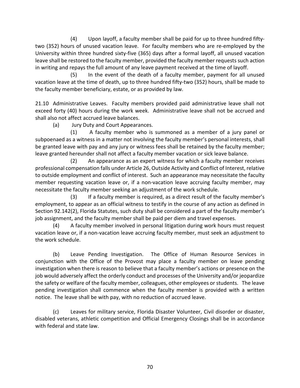(4) Upon layoff, a faculty member shall be paid for up to three hundred fiftytwo (352) hours of unused vacation leave. For faculty members who are re-employed by the University within three hundred sixty-five (365) days after a formal layoff, all unused vacation leave shall be restored to the faculty member, provided the faculty member requests such action in writing and repays the full amount of any leave payment received at the time of layoff.

(5) In the event of the death of a faculty member, payment for all unused vacation leave at the time of death, up to three hundred fifty-two (352) hours, shall be made to the faculty member beneficiary, estate, or as provided by law.

21.10 Administrative Leaves. Faculty members provided paid administrative leave shall not exceed forty (40) hours during the work week. Administrative leave shall not be accrued and shall also not affect accrued leave balances.

(a) Jury Duty and Court Appearances.

(1) A faculty member who is summoned as a member of a jury panel or subpoenaed as a witness in a matter not involving the faculty member's personal interests, shall be granted leave with pay and any jury or witness fees shall be retained by the faculty member; leave granted hereunder shall not affect a faculty member vacation or sick leave balance.

(2) An appearance as an expert witness for which a faculty member receives professional compensation falls under Article 26, Outside Activity and Conflict of Interest, relative to outside employment and conflict of interest. Such an appearance may necessitate the faculty member requesting vacation leave or, if a non-vacation leave accruing faculty member, may necessitate the faculty member seeking an adjustment of the work schedule.

(3) If a faculty member is required, as a direct result of the faculty member's employment, to appear as an official witness to testify in the course of any action as defined in Section 92.142(2), Florida Statutes, such duty shall be considered a part of the faculty member's job assignment, and the faculty member shall be paid per diem and travel expenses.

(4) A faculty member involved in personal litigation during work hours must request vacation leave or, if a non-vacation leave accruing faculty member, must seek an adjustment to the work schedule.

(b) Leave Pending Investigation. The Office of Human Resource Services in conjunction with the Office of the Provost may place a faculty member on leave pending investigation when there is reason to believe that a faculty member's actions or presence on the job would adversely affect the orderly conduct and processes of the University and/or jeopardize the safety or welfare of the faculty member, colleagues, other employees or students. The leave pending investigation shall commence when the faculty member is provided with a written notice. The leave shall be with pay, with no reduction of accrued leave.

(c) Leaves for military service, Florida Disaster Volunteer, Civil disorder or disaster, disabled veterans, athletic competition and Official Emergency Closings shall be in accordance with federal and state law.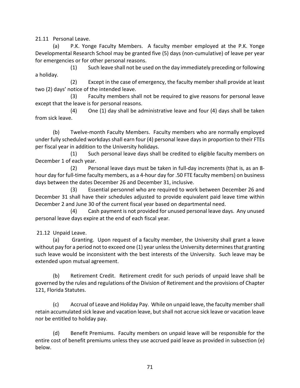21.11 Personal Leave.

(a) P.K. Yonge Faculty Members. A faculty member employed at the P.K. Yonge Developmental Research School may be granted five (5) days (non-cumulative) of leave per year for emergencies or for other personal reasons.

 (1) Such leave shall not be used on the day immediately preceding or following a holiday.

(2) Except in the case of emergency, the faculty member shall provide at least two (2) days' notice of the intended leave.

(3) Faculty members shall not be required to give reasons for personal leave except that the leave is for personal reasons.

 (4) One (1) day shall be administrative leave and four (4) days shall be taken from sick leave.

(b) Twelve-month Faculty Members. Faculty members who are normally employed under fully scheduled workdays shall earn four (4) personal leave days in proportion to their FTEs per fiscal year in addition to the University holidays.

(1) Such personal leave days shall be credited to eligible faculty members on December 1 of each year.

(2) Personal leave days must be taken in full-day increments (that is, as an 8 hour day for full-time faculty members, as a 4-hour day for .50 FTE faculty members) on business days between the dates December 26 and December 31, inclusive.

(3) Essential personnel who are required to work between December 26 and December 31 shall have their schedules adjusted to provide equivalent paid leave time within December 2 and June 30 of the current fiscal year based on departmental need.

(4) Cash payment is not provided for unused personal leave days. Any unused personal leave days expire at the end of each fiscal year.

21.12 Unpaid Leave.

(a) Granting. Upon request of a faculty member, the University shall grant a leave without pay for a period not to exceed one (1) year unless the University determines that granting such leave would be inconsistent with the best interests of the University. Such leave may be extended upon mutual agreement.

(b) Retirement Credit. Retirement credit for such periods of unpaid leave shall be governed by the rules and regulations of the Division of Retirement and the provisions of Chapter 121, Florida Statutes.

(c) Accrual of Leave and Holiday Pay. While on unpaid leave, the faculty member shall retain accumulated sick leave and vacation leave, but shall not accrue sick leave or vacation leave nor be entitled to holiday pay.

(d) Benefit Premiums. Faculty members on unpaid leave will be responsible for the entire cost of benefit premiums unless they use accrued paid leave as provided in subsection (e) below.

71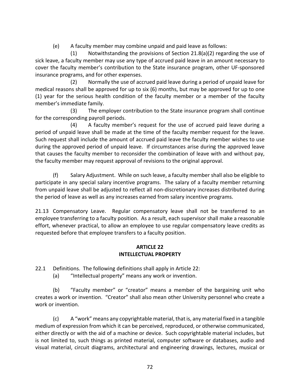(e) A faculty member may combine unpaid and paid leave as follows:

(1) Notwithstanding the provisions of Section 21.8(a)(2) regarding the use of sick leave, a faculty member may use any type of accrued paid leave in an amount necessary to cover the faculty member's contribution to the State insurance program, other UF-sponsored insurance programs, and for other expenses.

(2) Normally the use of accrued paid leave during a period of unpaid leave for medical reasons shall be approved for up to six (6) months, but may be approved for up to one (1) year for the serious health condition of the faculty member or a member of the faculty member's immediate family.

(3) The employer contribution to the State insurance program shall continue for the corresponding payroll periods.

(4) A faculty member's request for the use of accrued paid leave during a period of unpaid leave shall be made at the time of the faculty member request for the leave. Such request shall include the amount of accrued paid leave the faculty member wishes to use during the approved period of unpaid leave. If circumstances arise during the approved leave that causes the faculty member to reconsider the combination of leave with and without pay, the faculty member may request approval of revisions to the original approval.

(f) Salary Adjustment. While on such leave, a faculty member shall also be eligible to participate in any special salary incentive programs. The salary of a faculty member returning from unpaid leave shall be adjusted to reflect all non-discretionary increases distributed during the period of leave as well as any increases earned from salary incentive programs.

21.13 Compensatory Leave. Regular compensatory leave shall not be transferred to an employee transferring to a faculty position. As a result, each supervisor shall make a reasonable effort, whenever practical, to allow an employee to use regular compensatory leave credits as requested before that employee transfers to a faculty position.

### **ARTICLE 22 INTELLECTUAL PROPERTY**

22.1 Definitions. The following definitions shall apply in Article 22:

(a) "Intellectual property" means any work or invention.

(b) "Faculty member" or "creator" means a member of the bargaining unit who creates a work or invention. "Creator" shall also mean other University personnel who create a work or invention.

(c) A "work" means any copyrightable material, that is, any material fixed in a tangible medium of expression from which it can be perceived, reproduced, or otherwise communicated, either directly or with the aid of a machine or device. Such copyrightable material includes, but is not limited to, such things as printed material, computer software or databases, audio and visual material, circuit diagrams, architectural and engineering drawings, lectures, musical or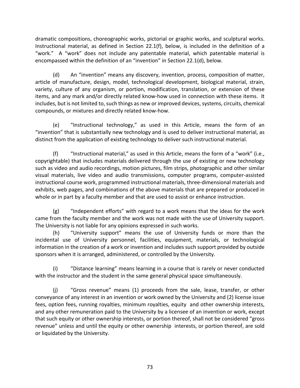dramatic compositions, choreographic works, pictorial or graphic works, and sculptural works. Instructional material, as defined in Section 22.1(f), below, is included in the definition of a "work." A "work" does not include any patentable material, which patentable material is encompassed within the definition of an "invention" in Section 22.1(d), below.

(d) An "invention" means any discovery, invention, process, composition of matter, article of manufacture, design, model, technological development, biological material, strain, variety, culture of any organism, or portion, modification, translation, or extension of these items, and any mark and/or directly related know-how used in connection with these items. It includes, but is not limited to, such things as new or improved devices, systems, circuits, chemical compounds, or mixtures and directly related know-how.

(e) "Instructional technology," as used in this Article, means the form of an "invention" that is substantially new technology and is used to deliver instructional material, as distinct from the application of existing technology to deliver such instructional material.

(f) "Instructional material," as used in this Article, means the form of a "work" (i.e., copyrightable) that includes materials delivered through the use of existing or new technology such as video and audio recordings, motion pictures, film strips, photographic and other similar visual materials, live video and audio transmissions, computer programs, computer-assisted instructional course work, programmed instructional materials, three-dimensional materials and exhibits, web pages, and combinations of the above materials that are prepared or produced in whole or in part by a faculty member and that are used to assist or enhance instruction.

(g) "Independent efforts" with regard to a work means that the ideas for the work came from the faculty member and the work was not made with the use of University support. The University is not liable for any opinions expressed in such works.

 (h) "University support" means the use of University funds or more than the incidental use of University personnel, facilities, equipment, materials, or technological information in the creation of a work or invention and includes such support provided by outside sponsors when it is arranged, administered, or controlled by the University.

(i) "Distance learning" means learning in a course that is rarely or never conducted with the instructor and the student in the same general physical space simultaneously.

(j) "Gross revenue" means (1) proceeds from the sale, lease, transfer, or other conveyance of any interest in an invention or work owned by the University and (2) license issue fees, option fees, running royalties, minimum royalties, equity and other ownership interests, and any other remuneration paid to the University by a licensee of an invention or work, except that such equity or other ownership interests, or portion thereof, shall not be considered "gross revenue" unless and until the equity or other ownership interests, or portion thereof, are sold or liquidated by the University.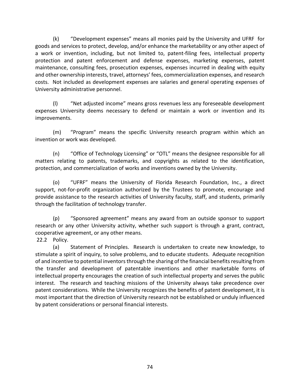(k) "Development expenses" means all monies paid by the University and UFRFfor goods and services to protect, develop, and/or enhance the marketability or any other aspect of a work or invention, including, but not limited to, patent-filing fees, intellectual property protection and patent enforcement and defense expenses, marketing expenses, patent maintenance, consulting fees, prosecution expenses, expenses incurred in dealing with equity and other ownership interests, travel, attorneys' fees, commercialization expenses, and research costs. Not included as development expenses are salaries and general operating expenses of University administrative personnel.

(l) "Net adjusted income" means gross revenues less any foreseeable development expenses University deems necessary to defend or maintain a work or invention and its improvements.

(m) "Program" means the specific University research program within which an invention or work was developed.

(n) "Office of Technology Licensing" or "OTL" means the designee responsible for all matters relating to patents, trademarks, and copyrights as related to the identification, protection, and commercialization of works and inventions owned by the University.

(o) "UFRF" means the University of Florida Research Foundation, Inc., a direct support, not-for-profit organization authorized by the Trustees to promote, encourage and provide assistance to the research activities of University faculty, staff, and students, primarily through the facilitation of technology transfer.

(p) "Sponsored agreement" means any award from an outside sponsor to support research or any other University activity, whether such support is through a grant, contract, cooperative agreement, or any other means.

22.2 Policy.

(a) Statement of Principles. Research is undertaken to create new knowledge, to stimulate a spirit of inquiry, to solve problems, and to educate students. Adequate recognition of and incentive to potential inventors through the sharing of the financial benefits resulting from the transfer and development of patentable inventions and other marketable forms of intellectual property encourages the creation of such intellectual property and serves the public interest. The research and teaching missions of the University always take precedence over patent considerations. While the University recognizes the benefits of patent development, it is most important that the direction of University research not be established or unduly influenced by patent considerations or personal financial interests.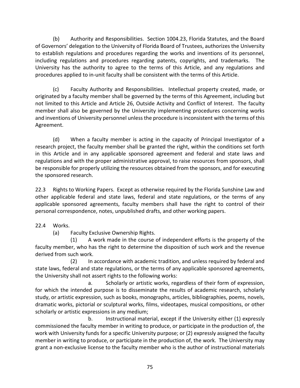(b) Authority and Responsibilities. Section 1004.23, Florida Statutes, and the Board of Governors' delegation to the University of Florida Board of Trustees, authorizes the University to establish regulations and procedures regarding the works and inventions of its personnel, including regulations and procedures regarding patents, copyrights, and trademarks. The University has the authority to agree to the terms of this Article, and any regulations and procedures applied to in-unit faculty shall be consistent with the terms of this Article.

(c) Faculty Authority and Responsibilities. Intellectual property created, made, or originated by a faculty member shall be governed by the terms of this Agreement, including but not limited to this Article and Article 26, Outside Activity and Conflict of Interest. The faculty member shall also be governed by the University implementing procedures concerning works and inventions of University personnel unless the procedure is inconsistent with the terms of this Agreement.

(d) When a faculty member is acting in the capacity of Principal Investigator of a research project, the faculty member shall be granted the right, within the conditions set forth in this Article and in any applicable sponsored agreement and federal and state laws and regulations and with the proper administrative approval, to raise resources from sponsors, shall be responsible for properly utilizing the resources obtained from the sponsors, and for executing the sponsored research.

22.3 Rights to Working Papers. Except as otherwise required by the Florida Sunshine Law and other applicable federal and state laws, federal and state regulations, or the terms of any applicable sponsored agreements, faculty members shall have the right to control of their personal correspondence, notes, unpublished drafts, and other working papers.

# 22.4 Works.

(a) Faculty Exclusive Ownership Rights.

(1) A work made in the course of independent efforts is the property of the faculty member, who has the right to determine the disposition of such work and the revenue derived from such work.

(2) In accordance with academic tradition, and unless required by federal and state laws, federal and state regulations, or the terms of any applicable sponsored agreements, the University shall not assert rights to the following works:

a. Scholarly or artistic works, regardless of their form of expression, for which the intended purpose is to disseminate the results of academic research, scholarly study, or artistic expression, such as books, monographs, articles, bibliographies, poems, novels, dramatic works, pictorial or sculptural works, films, videotapes, musical compositions, or other scholarly or artistic expressions in any medium;

b. Instructional material, except if the University either (1) expressly commissioned the faculty member in writing to produce, or participate in the production of, the work with University funds for a specific University purpose; or (2) expressly assigned the faculty member in writing to produce, or participate in the production of, the work. The University may grant a non-exclusive license to the faculty member who is the author of instructional materials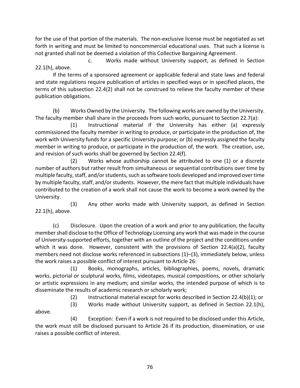for the use of that portion of the materials. The non-exclusive license must be negotiated as set forth in writing and must be limited to noncommercial educational uses. That such a license is not granted shall not be deemed a violation of this Collective Bargaining Agreement.

c. Works made without University support, as defined in Section 22.1(h), above.

If the terms of a sponsored agreement or applicable federal and state laws and federal and state regulations require publication of articles in specified ways or in specified places, the terms of this subsection 22.4(2) shall not be construed to relieve the faculty member of these publication obligations.

(b) Works Owned by the University. The following works are owned by the University. The faculty member shall share in the proceeds from such works, pursuant to Section 22.7(a):

(1) Instructional material if the University has either (a) expressly commissioned the faculty member in writing to produce, or participate in the production of, the work with University funds for a specific University purpose; or (b) expressly assigned the faculty member in writing to produce, or participate in the production of, the work. The creation, use, and revision of such works shall be governed by Section 22.4(f).

(2) Works whose authorship cannot be attributed to one (1) or a discrete number of authors but rather result from simultaneous or sequential contributions over time by multiple faculty, staff, and/or students, such as software tools developed and improved over time by multiple faculty, staff, and/or students. However, the mere fact that multiple individuals have contributed to the creation of a work shall not cause the work to become a work owned by the University.

(3) Any other works made with University support, as defined in Section 22.1(h), above.

(c) Disclosure. Upon the creation of a work and prior to any publication, the faculty member shall disclose to the Office of Technology Licensing any work that was made in the course of University-supported efforts, together with an outline of the project and the conditions under which it was done. However, consistent with the provisions of Section 22.4(a)(2), faculty members need not disclose works referenced in subsections (1)–(3), immediately below, unless the work raises a possible conflict of interest pursuant to Article 26:

(1) Books, monographs, articles, bibliographies, poems, novels, dramatic works, pictorial or sculptural works, films, videotapes, musical compositions, or other scholarly or artistic expressions in any medium; and similar works, the intended purpose of which is to disseminate the results of academic research or scholarly work;

(2) Instructional material except for works described in Section 22.4(b)(1); or

 (3) Works made without University support, as defined in Section 22.1(h), above.

(4) Exception: Even if a work is not required to be disclosed under this Article, the work must still be disclosed pursuant to Article 26 if its production, dissemination, or use raises a possible conflict of interest.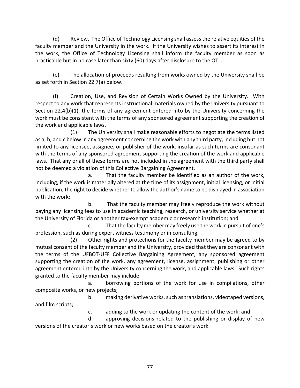(d) Review. The Office of Technology Licensing shall assess the relative equities of the faculty member and the University in the work. If the University wishes to assert its interest in the work, the Office of Technology Licensing shall inform the faculty member as soon as practicable but in no case later than sixty (60) days after disclosure to the OTL.

(e) The allocation of proceeds resulting from works owned by the University shall be as set forth in Section 22.7(a) below.

(f) Creation, Use, and Revision of Certain Works Owned by the University. With respect to any work that represents instructional materials owned by the University pursuant to Section 22.4(b)(1), the terms of any agreement entered into by the University concerning the work must be consistent with the terms of any sponsored agreement supporting the creation of the work and applicable laws.

(1) The University shall make reasonable efforts to negotiate the terms listed as a, b, and c below in any agreement concerning the work with any third party, including but not limited to any licensee, assignee, or publisher of the work, insofar as such terms are consonant with the terms of any sponsored agreement supporting the creation of the work and applicable laws. That any or all of these terms are not included in the agreement with the third party shall not be deemed a violation of this Collective Bargaining Agreement.

a. That the faculty member be identified as an author of the work, including, if the work is materially altered at the time of its assignment, initial licensing, or initial publication, the right to decide whether to allow the author's name to be displayed in association with the work;

b. That the faculty member may freely reproduce the work without paying any licensing fees to use in academic teaching, research, or university service whether at the University of Florida or another tax-exempt academic or research institution; and

c. That the faculty member may freely use the work in pursuit of one's profession, such as during expert witness testimony or in consulting.

(2) Other rights and protections for the faculty member may be agreed to by mutual consent of the faculty member and the University, provided that they are consonant with the terms of the UFBOT-UFF Collective Bargaining Agreement, any sponsored agreement supporting the creation of the work, any agreement, license, assignment, publishing or other agreement entered into by the University concerning the work, and applicable laws. Such rights granted to the faculty member may include:

a. borrowing portions of the work for use in compilations, other composite works, or new projects;

b. making derivative works, such as translations, videotaped versions, and film scripts;

c. adding to the work or updating the content of the work; and

d. approving decisions related to the publishing or display of new versions of the creator's work or new works based on the creator's work.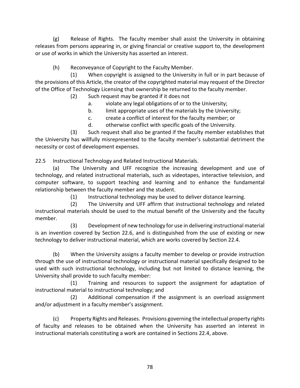(g) Release of Rights. The faculty member shall assist the University in obtaining releases from persons appearing in, or giving financial or creative support to, the development or use of works in which the University has asserted an interest.

(h) Reconveyance of Copyright to the Faculty Member.

(1) When copyright is assigned to the University in full or in part because of the provisions of this Article, the creator of the copyrighted material may request of the Director of the Office of Technology Licensing that ownership be returned to the faculty member.

- (2) Such request may be granted if it does not
	- a. violate any legal obligations of or to the University;
	- b. limit appropriate uses of the materials by the University;
	- c. create a conflict of interest for the faculty member; or
	- d. otherwise conflict with specific goals of the University.

(3) Such request shall also be granted if the faculty member establishes that the University has willfully misrepresented to the faculty member's substantial detriment the necessity or cost of development expenses.

22.5 Instructional Technology and Related Instructional Materials.

(a) The University and UFF recognize the increasing development and use of technology, and related instructional materials, such as videotapes, interactive television, and computer software, to support teaching and learning and to enhance the fundamental relationship between the faculty member and the student.

(1) Instructional technology may be used to deliver distance learning.

(2) The University and UFF affirm that instructional technology and related instructional materials should be used to the mutual benefit of the University and the faculty member.

(3) Development of new technology for use in delivering instructional material is an invention covered by Section 22.6, and is distinguished from the use of existing or new technology to deliver instructional material, which are works covered by Section 22.4.

(b) When the University assigns a faculty member to develop or provide instruction through the use of instructional technology or instructional material specifically designed to be used with such instructional technology, including but not limited to distance learning, the University shall provide to such faculty member:

(1) Training and resources to support the assignment for adaptation of instructional material to instructional technology; and

(2) Additional compensation if the assignment is an overload assignment and/or adjustment in a faculty member's assignment.

(c) Property Rights and Releases. Provisions governing the intellectual property rights of faculty and releases to be obtained when the University has asserted an interest in instructional materials constituting a work are contained in Sections 22.4, above.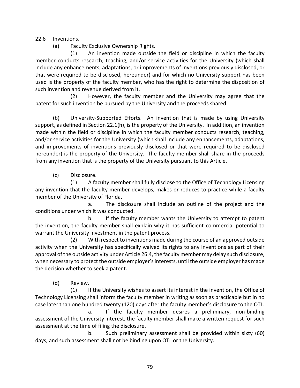22.6 Inventions.

(a) Faculty Exclusive Ownership Rights.

(1) An invention made outside the field or discipline in which the faculty member conducts research, teaching, and/or service activities for the University (which shall include any enhancements, adaptations, or improvements of inventions previously disclosed, or that were required to be disclosed, hereunder) and for which no University support has been used is the property of the faculty member, who has the right to determine the disposition of such invention and revenue derived from it.

(2) However, the faculty member and the University may agree that the patent for such invention be pursued by the University and the proceeds shared.

(b) University-Supported Efforts. An invention that is made by using University support, as defined in Section 22.1(h), is the property of the University. In addition, an invention made within the field or discipline in which the faculty member conducts research, teaching, and/or service activities for the University (which shall include any enhancements, adaptations, and improvements of inventions previously disclosed or that were required to be disclosed hereunder) is the property of the University. The faculty member shall share in the proceeds from any invention that is the property of the University pursuant to this Article.

(c) Disclosure.

(1) A faculty member shall fully disclose to the Office of Technology Licensing any invention that the faculty member develops, makes or reduces to practice while a faculty member of the University of Florida.

a. The disclosure shall include an outline of the project and the conditions under which it was conducted.

b. If the faculty member wants the University to attempt to patent the invention, the faculty member shall explain why it has sufficient commercial potential to warrant the University investment in the patent process.

(2) With respect to inventions made during the course of an approved outside activity when the University has specifically waived its rights to any inventions as part of their approval of the outside activity under Article 26.4, the faculty member may delay such disclosure, when necessary to protect the outside employer's interests, until the outside employer has made the decision whether to seek a patent.

(d) Review.

(1) If the University wishes to assert its interest in the invention, the Office of Technology Licensing shall inform the faculty member in writing as soon as practicable but in no case later than one hundred twenty (120) days after the faculty member's disclosure to the OTL.

a. If the faculty member desires a preliminary, non-binding assessment of the University interest, the faculty member shall make a written request for such assessment at the time of filing the disclosure.

b. Such preliminary assessment shall be provided within sixty (60) days, and such assessment shall not be binding upon OTL or the University.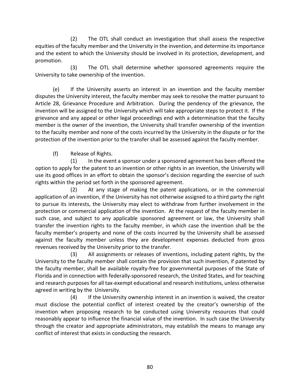(2) The OTL shall conduct an investigation that shall assess the respective equities of the faculty member and the University in the invention, and determine its importance and the extent to which the University should be involved in its protection, development, and promotion.

(3) The OTL shall determine whether sponsored agreements require the University to take ownership of the invention.

(e) If the University asserts an interest in an invention and the faculty member disputes the University interest, the faculty member may seek to resolve the matter pursuant to Article 28, Grievance Procedure and Arbitration. During the pendency of the grievance, the invention will be assigned to the University which will take appropriate steps to protect it. If the grievance and any appeal or other legal proceedings end with a determination that the faculty member is the owner of the invention, the University shall transfer ownership of the invention to the faculty member and none of the costs incurred by the University in the dispute or for the protection of the invention prior to the transfer shall be assessed against the faculty member.

(f) Release of Rights.

(1) In the event a sponsor under a sponsored agreement has been offered the option to apply for the patent to an invention or other rights in an invention, the University will use its good offices in an effort to obtain the sponsor's decision regarding the exercise of such rights within the period set forth in the sponsored agreement.

(2) At any stage of making the patent applications, or in the commercial application of an invention, if the University has not otherwise assigned to a third party the right to pursue its interests, the University may elect to withdraw from further involvement in the protection or commercial application of the invention. At the request of the faculty member in such case, and subject to any applicable sponsored agreement or law, the University shall transfer the invention rights to the faculty member, in which case the invention shall be the faculty member's property and none of the costs incurred by the University shall be assessed against the faculty member unless they are development expenses deducted from gross revenues received by the University prior to the transfer.

(3) All assignments or releases of inventions, including patent rights, by the University to the faculty member shall contain the provision that such invention, if patented by the faculty member, shall be available royalty-free for governmental purposes of the State of Florida and in connection with federally-sponsored research, the United States, and for teaching and research purposes for all tax-exempt educational and research institutions, unless otherwise agreed in writing by the University.

(4) If the University ownership interest in an invention is waived, the creator must disclose the potential conflict of interest created by the creator's ownership of the invention when proposing research to be conducted using University resources that could reasonably appear to influence the financial value of the invention. In such case the University through the creator and appropriate administrators, may establish the means to manage any conflict of interest that exists in conducting the research.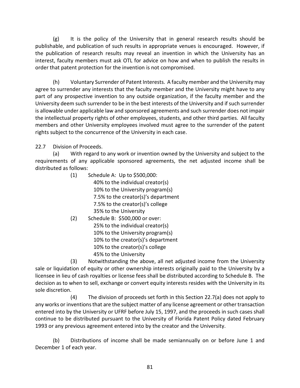(g) It is the policy of the University that in general research results should be publishable, and publication of such results in appropriate venues is encouraged. However, if the publication of research results may reveal an invention in which the University has an interest, faculty members must ask OTL for advice on how and when to publish the results in order that patent protection for the invention is not compromised.

(h) Voluntary Surrender of Patent Interests. A faculty member and the University may agree to surrender any interests that the faculty member and the University might have to any part of any prospective invention to any outside organization, if the faculty member and the University deem such surrender to be in the best interests of the University and if such surrender is allowable under applicable law and sponsored agreements and such surrender does not impair the intellectual property rights of other employees, students, and other third parties. All faculty members and other University employees involved must agree to the surrender of the patent rights subject to the concurrence of the University in each case.

22.7 Division of Proceeds.

(a) With regard to any work or invention owned by the University and subject to the requirements of any applicable sponsored agreements, the net adjusted income shall be distributed as follows:

- (1) Schedule A: Up to \$500,000: 40% to the individual creator(s) 10% to the University program(s) 7.5% to the creator(s)'s department 7.5% to the creator(s)'s college 35% to the University
- (2) Schedule B: \$500,000 or over: 25% to the individual creator(s) 10% to the University program(s) 10% to the creator(s)'s department 10% to the creator(s)'s college 45% to the University

(3) Notwithstanding the above, all net adjusted income from the University sale or liquidation of equity or other ownership interests originally paid to the University by a licensee in lieu of cash royalties or license fees shall be distributed according to Schedule B. The decision as to when to sell, exchange or convert equity interests resides with the University in its sole discretion.

(4) The division of proceeds set forth in this Section 22.7(a) does not apply to any works or inventions that are the subject matter of any license agreement or other transaction entered into by the University or UFRF before July 15, 1997, and the proceeds in such cases shall continue to be distributed pursuant to the University of Florida Patent Policy dated February 1993 or any previous agreement entered into by the creator and the University.

(b) Distributions of income shall be made semiannually on or before June 1 and December 1 of each year.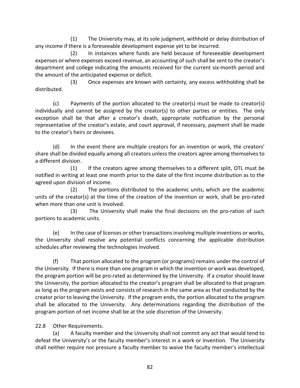(1) The University may, at its sole judgment, withhold or delay distribution of any income if there is a foreseeable development expense yet to be incurred.

(2) In instances where funds are held because of foreseeable development expenses or where expenses exceed revenue, an accounting of such shall be sent to the creator's department and college indicating the amounts received for the current six-month period and the amount of the anticipated expense or deficit.

 (3) Once expenses are known with certainty, any excess withholding shall be distributed.

(c) Payments of the portion allocated to the creator(s) must be made to creator(s) individually and cannot be assigned by the creator(s) to other parties or entities. The only exception shall be that after a creator's death, appropriate notification by the personal representative of the creator's estate, and court approval, if necessary, payment shall be made to the creator's heirs or devisees.

(d) In the event there are multiple creators for an invention or work, the creators' share shall be divided equally among all creators unless the creators agree among themselves to a different division.

(1) If the creators agree among themselves to a different split, OTL must be notified in writing at least one month prior to the date of the first income distribution as to the agreed upon division of income.

(2) The portions distributed to the academic units, which are the academic units of the creator(s) at the time of the creation of the invention or work, shall be pro-rated when more than one unit is involved.

(3) The University shall make the final decisions on the pro-ration of such portions to academic units.

(e) In the case of licenses or other transactions involving multiple inventions or works, the University shall resolve any potential conflicts concerning the applicable distribution schedules after reviewing the technologies involved.

(f) That portion allocated to the program (or programs) remains under the control of the University. If there is more than one program in which the invention or work was developed, the program portion will be pro-rated as determined by the University. If a creator should leave the University, the portion allocated to the creator's program shall be allocated to that program as long as the program exists and consists of research in the same area as that conducted by the creator prior to leaving the University. If the program ends, the portion allocated to the program shall be allocated to the University. Any determinations regarding the distribution of the program portion of net income shall be at the sole discretion of the University.

22.8 Other Requirements.

(a) A faculty member and the University shall not commit any act that would tend to defeat the University's or the faculty member's interest in a work or invention. The University shall neither require nor pressure a faculty member to waive the faculty member's intellectual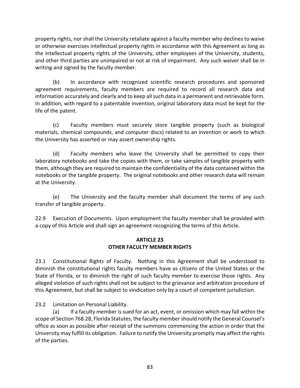property rights, nor shall the University retaliate against a faculty member who declines to waive or otherwise exercises intellectual property rights in accordance with this Agreement as long as the intellectual property rights of the University, other employees of the University, students, and other third parties are unimpaired or not at risk of impairment. Any such waiver shall be in writing and signed by the faculty member.

(b) In accordance with recognized scientific research procedures and sponsored agreement requirements, faculty members are required to record all research data and information accurately and clearly and to keep all such data in a permanent and retrievable form. In addition, with regard to a patentable invention, original laboratory data must be kept for the life of the patent.

(c) Faculty members must securely store tangible property (such as biological materials, chemical compounds, and computer discs) related to an invention or work to which the University has asserted or may assert ownership rights.

(d) Faculty members who leave the University shall be permitted to copy their laboratory notebooks and take the copies with them, or take samples of tangible property with them, although they are required to maintain the confidentiality of the data contained within the notebooks or the tangible property. The original notebooks and other research data will remain at the University.

(e) The University and the faculty member shall document the terms of any such transfer of tangible property.

22.9 Execution of Documents. Upon employment the faculty member shall be provided with a copy of this Article and shall sign an agreement recognizing the terms of this Article.

### **ARTICLE 23 OTHER FACULTY MEMBER RIGHTS**

23.1 Constitutional Rights of Faculty. Nothing in this Agreement shall be understood to diminish the constitutional rights faculty members have as citizens of the United States or the State of Florida, or to diminish the right of such faculty member to exercise those rights. Any alleged violation of such rights shall not be subject to the grievance and arbitration procedure of this Agreement, but shall be subject to vindication only by a court of competent jurisdiction.

23.2 Limitation on Personal Liability.

(a) If a faculty member is sued for an act, event, or omission which may fall within the scope of Section 768.28, Florida Statutes, the faculty member should notify the General Counsel's office as soon as possible after receipt of the summons commencing the action in order that the University may fulfill its obligation. Failure to notify the University promptly may affect the rights of the parties.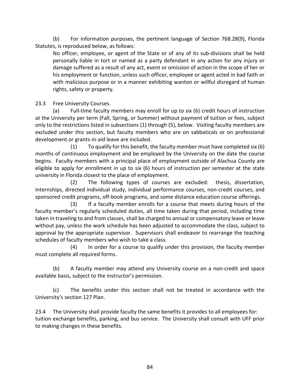(b) For information purposes, the pertinent language of Section 768.28(9), Florida Statutes, is reproduced below, as follows:

No officer, employee, or agent of the State or of any of its sub-divisions shall be held personally liable in tort or named as a party defendant in any action for any injury or damage suffered as a result of any act, event or omission of action in the scope of her or his employment or function, unless such officer, employee or agent acted in bad faith or with malicious purpose or in a manner exhibiting wanton or willful disregard of human rights, safety or property.

23.3 Free University Courses.

(a) Full-time faculty members may enroll for up to six (6) credit hours of instruction at the University per term (Fall, Spring, or Summer) without payment of tuition or fees, subject only to the restrictions listed in subsections (1) through (5), below. Visiting faculty members are excluded under this section, but faculty members who are on sabbaticals or on professional development or grants-in-aid leave are included.

(1) To qualify for this benefit, the faculty member must have completed six (6) months of continuous employment and be employed by the University on the date the course begins. Faculty members with a principal place of employment outside of Alachua County are eligible to apply for enrollment in up to six (6) hours of instruction per semester at the state university in Florida closest to the place of employment.

(2) The following types of courses are excluded: thesis, dissertation, internships, directed individual study, individual performance courses, non-credit courses, and sponsored credit programs, off-book programs, and some distance education course offerings.

(3) If a faculty member enrolls for a course that meets during hours of the faculty member's regularly scheduled duties, all time taken during that period, including time taken in traveling to and from classes, shall be charged to annual or compensatory leave or leave without pay, unless the work schedule has been adjusted to accommodate the class, subject to approval by the appropriate supervisor. Supervisors shall endeavor to rearrange the teaching schedules of faculty members who wish to take a class.

(4) In order for a course to qualify under this provision, the faculty member must complete all required forms.

(b) A faculty member may attend any University course on a non-credit and space available basis, subject to the instructor's permission.

(c) The benefits under this section shall not be treated in accordance with the University's section 127 Plan.

23.4 The University shall provide faculty the same benefits it provides to all employees for: tuition exchange benefits, parking, and bus service. The University shall consult with UFF prior to making changes in these benefits.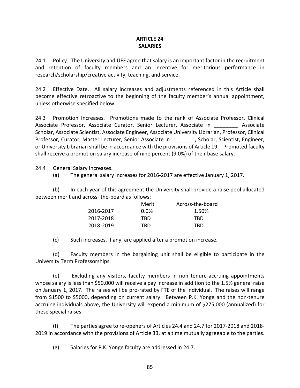### **ARTICLE 24 SALARIES**

24.1 Policy. The University and UFF agree that salary is an important factor in the recruitment and retention of faculty members and an incentive for meritorious performance in research/scholarship/creative activity, teaching, and service.

24.2 Effective Date. All salary increases and adjustments referenced in this Article shall become effective retroactive to the beginning of the faculty member's annual appointment, unless otherwise specified below.

24.3 Promotion Increases. Promotions made to the rank of Associate Professor, Clinical Associate Professor, Associate Curator, Senior Lecturer, Associate in Fassociate Scholar, Associate Scientist, Associate Engineer, Associate University Librarian, Professor, Clinical Professor, Curator, Master Lecturer, Senior Associate in \_\_\_\_\_\_\_\_, Scholar, Scientist, Engineer, or University Librarian shall be in accordance with the provisions of Article 19.Promoted faculty shall receive a promotion salary increase of nine percent (9.0%) of their base salary.

24.4 General Salary Increases.

(a) The general salary increases for 2016-2017 are effective January 1, 2017.

(b) In each year of this agreement the University shall provide a raise pool allocated between merit and across- the-board as follows:

|           | Merit   | Across-the-board |
|-----------|---------|------------------|
| 2016-2017 | $0.0\%$ | 1.50%            |
| 2017-2018 | TRD     | TRD              |
| 2018-2019 | TRD     | TRD              |

(c) Such increases, if any, are applied after a promotion increase.

(d) Faculty members in the bargaining unit shall be eligible to participate in the University Term Professorships.

(e) Excluding any visitors, faculty members in non tenure-accruing appointments whose salary is less than \$50,000 will receive a pay increase in addition to the 1.5% general raise on January 1, 2017. The raises will be pro-rated by FTE of the individual. The raises will range from \$1500 to \$5000, depending on current salary. Between P.K. Yonge and the non-tenure accruing individuals above, the University will expend a minimum of \$275,000 (annualized) for these special raises.

(f) The parties agree to re-openers of Articles 24.4 and 24.7 for 2017-2018 and 2018- 2019 in accordance with the provisions of Article 33, at a time mutually agreeable to the parties.

(g) Salaries for P.K. Yonge faculty are addressed in 24.7.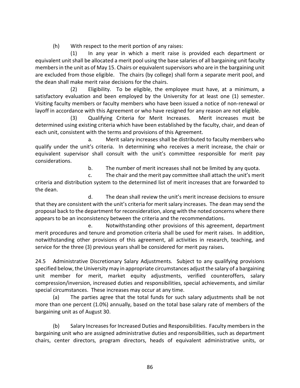(h) With respect to the merit portion of any raises:

(1) In any year in which a merit raise is provided each department or equivalent unit shall be allocated a merit pool using the base salaries of all bargaining unit faculty members in the unit as of May 15. Chairs or equivalent supervisors who are in the bargaining unit are excluded from those eligible. The chairs (by college) shall form a separate merit pool, and the dean shall make merit raise decisions for the chairs.

(2) Eligibility. To be eligible, the employee must have, at a minimum, a satisfactory evaluation and been employed by the University for at least one (1) semester. Visiting faculty members or faculty members who have been issued a notice of non-renewal or layoff in accordance with this Agreement or who have resigned for any reason are not eligible.

(3) Qualifying Criteria for Merit Increases. Merit increases must be determined using existing criteria which have been established by the faculty, chair, and dean of each unit, consistent with the terms and provisions of this Agreement.

a. Merit salary increases shall be distributed to faculty members who qualify under the unit's criteria. In determining who receives a merit increase, the chair or equivalent supervisor shall consult with the unit's committee responsible for merit pay considerations.

b. The number of merit increases shall not be limited by any quota.

c. The chair and the merit pay committee shall attach the unit's merit criteria and distribution system to the determined list of merit increases that are forwarded to the dean.

d. The dean shall review the unit's merit increase decisions to ensure that they are consistent with the unit's criteria for merit salary increases. The dean may send the proposal back to the department for reconsideration, along with the noted concerns where there appears to be an inconsistency between the criteria and the recommendations.

e. Notwithstanding other provisions of this agreement, department merit procedures and tenure and promotion criteria shall be used for merit raises. In addition, notwithstanding other provisions of this agreement, all activities in research, teaching, and service for the three (3) previous years shall be considered for merit pay raises**.**

24.5 Administrative Discretionary Salary Adjustments. Subject to any qualifying provisions specified below, the University may in appropriate circumstances adjust the salary of a bargaining unit member for merit, market equity adjustments, verified counteroffers, salary compression/inversion, increased duties and responsibilities, special achievements, and similar special circumstances.These increases may occur at any time.

(a) The parties agree that the total funds for such salary adjustments shall be not more than one percent (1.0%) annually, based on the total base salary rate of members of the bargaining unit as of August 30.

(b) Salary Increases for Increased Duties and Responsibilities. Faculty members in the bargaining unit who are assigned administrative duties and responsibilities, such as department chairs, center directors, program directors, heads of equivalent administrative units, or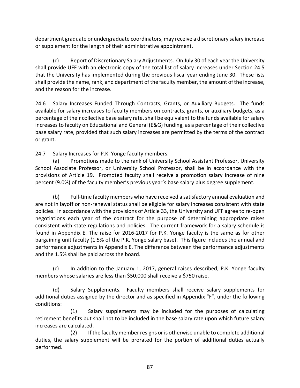department graduate or undergraduate coordinators, may receive a discretionary salary increase or supplement for the length of their administrative appointment.

(c) Report of Discretionary Salary Adjustments. On July 30 of each year the University shall provide UFF with an electronic copy of the total list of salary increases under Section 24.5 that the University has implemented during the previous fiscal year ending June 30. These lists shall provide the name, rank, and department of the faculty member, the amount of the increase, and the reason for the increase.

24.6 Salary Increases Funded Through Contracts, Grants, or Auxiliary Budgets. The funds available for salary increases to faculty members on contracts, grants, or auxiliary budgets, as a percentage of their collective base salary rate, shall be equivalent to the funds available for salary increases to faculty on Educational and General (E&G) funding, as a percentage of their collective base salary rate, provided that such salary increases are permitted by the terms of the contract or grant.

24.7 Salary Increases for P.K. Yonge faculty members.

(a) Promotions made to the rank of University School Assistant Professor, University School Associate Professor, or University School Professor, shall be in accordance with the provisions of Article 19.Promoted faculty shall receive a promotion salary increase of nine percent (9.0%) of the faculty member's previous year's base salary plus degree supplement.

(b) Full-time faculty members who have received a satisfactory annual evaluation and are not in layoff or non-renewal status shall be eligible for salary increases consistent with state policies. In accordance with the provisions of Article 33, the University and UFF agree to re-open negotiations each year of the contract for the purpose of determining appropriate raises consistent with state regulations and policies. The current framework for a salary schedule is found in Appendix E. The raise for 2016-2017 for P.K. Yonge faculty is the same as for other bargaining unit faculty (1.5% of the P.K. Yonge salary base). This figure includes the annual and performance adjustments in Appendix E. The difference between the performance adjustments and the 1.5% shall be paid across the board.

(c) In addition to the January 1, 2017, general raises described, P.K. Yonge faculty members whose salaries are less than \$50,000 shall receive a \$750 raise.

(d) Salary Supplements. Faculty members shall receive salary supplements for additional duties assigned by the director and as specified in Appendix "F", under the following conditions:

(1) Salary supplements may be included for the purposes of calculating retirement benefits but shall not to be included in the base salary rate upon which future salary increases are calculated.

(2) If the faculty member resigns or is otherwise unable to complete additional duties, the salary supplement will be prorated for the portion of additional duties actually performed.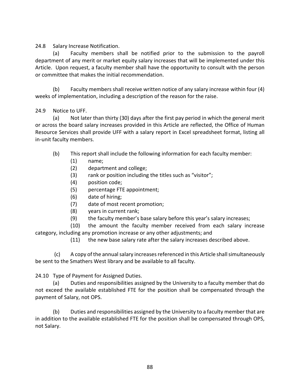24.8 Salary Increase Notification.

(a) Faculty members shall be notified prior to the submission to the payroll department of any merit or market equity salary increases that will be implemented under this Article. Upon request, a faculty member shall have the opportunity to consult with the person or committee that makes the initial recommendation.

(b) Faculty members shall receive written notice of any salary increase within four (4) weeks of implementation, including a description of the reason for the raise.

### 24.9 Notice to UFF.

(a) Not later than thirty (30) days after the first pay period in which the general merit or across the board salary increases provided in this Article are reflected, the Office of Human Resource Services shall provide UFF with a salary report in Excel spreadsheet format, listing all in-unit faculty members.

- (b) This report shall include the following information for each faculty member:
	- (1) name;
	- (2) department and college;
	- (3) rank or position including the titles such as "visitor";
	- (4) position code;
	- (5) percentage FTE appointment;
	- (6) date of hiring;
	- (7) date of most recent promotion;
	- (8) years in current rank;
	- (9) the faculty member's base salary before this year's salary increases;
- (10) the amount the faculty member received from each salary increase category, including any promotion increase or any other adjustments; and

(11) the new base salary rate after the salary increases described above.

(c) A copy of the annual salary increases referenced in this Article shall simultaneously be sent to the Smathers West library and be available to all faculty.

24.10 Type of Payment for Assigned Duties.

(a) Duties and responsibilities assigned by the University to a faculty member that do not exceed the available established FTE for the position shall be compensated through the payment of Salary, not OPS.

(b) Duties and responsibilities assigned by the University to a faculty member that are in addition to the available established FTE for the position shall be compensated through OPS, not Salary.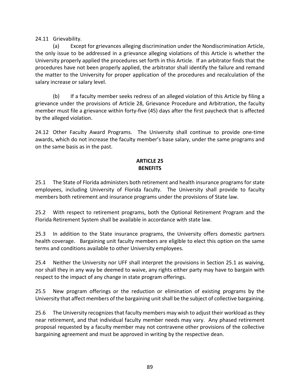24.11 Grievability.

(a) Except for grievances alleging discrimination under the Nondiscrimination Article, the only issue to be addressed in a grievance alleging violations of this Article is whether the University properly applied the procedures set forth in this Article. If an arbitrator finds that the procedures have not been properly applied, the arbitrator shall identify the failure and remand the matter to the University for proper application of the procedures and recalculation of the salary increase or salary level.

(b) If a faculty member seeks redress of an alleged violation of this Article by filing a grievance under the provisions of Article 28, Grievance Procedure and Arbitration, the faculty member must file a grievance within forty-five (45) days after the first paycheck that is affected by the alleged violation.

24.12 Other Faculty Award Programs. The University shall continue to provide one-time awards, which do not increase the faculty member's base salary, under the same programs and on the same basis as in the past.

### **ARTICLE 25 BENEFITS**

25.1 The State of Florida administers both retirement and health insurance programs for state employees, including University of Florida faculty. The University shall provide to faculty members both retirement and insurance programs under the provisions of State law.

25.2 With respect to retirement programs, both the Optional Retirement Program and the Florida Retirement System shall be available in accordance with state law.

25.3 In addition to the State insurance programs, the University offers domestic partners health coverage. Bargaining unit faculty members are eligible to elect this option on the same terms and conditions available to other University employees.

25.4 Neither the University nor UFF shall interpret the provisions in Section 25.1 as waiving, nor shall they in any way be deemed to waive, any rights either party may have to bargain with respect to the impact of any change in state program offerings.

25.5 New program offerings or the reduction or elimination of existing programs by the University that affect members of the bargaining unit shall be the subject of collective bargaining.

25.6 The University recognizes that faculty members may wish to adjust their workload as they near retirement, and that individual faculty member needs may vary. Any phased retirement proposal requested by a faculty member may not contravene other provisions of the collective bargaining agreement and must be approved in writing by the respective dean.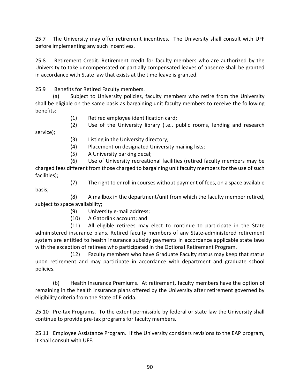25.7 The University may offer retirement incentives. The University shall consult with UFF before implementing any such incentives.

25.8 Retirement Credit. Retirement credit for faculty members who are authorized by the University to take uncompensated or partially compensated leaves of absence shall be granted in accordance with State law that exists at the time leave is granted.

25.9 Benefits for Retired Faculty members.

(a) Subject to University policies, faculty members who retire from the University shall be eligible on the same basis as bargaining unit faculty members to receive the following benefits:

- (1) Retired employee identification card;
- (2) Use of the University library (i.e., public rooms, lending and research service);
	- (3) Listing in the University directory;
	- (4) Placement on designated University mailing lists;
	- (5) A University parking decal;

(6) Use of University recreational facilities (retired faculty members may be charged fees different from those charged to bargaining unit faculty members for the use of such facilities);

- basis;
- (7) The right to enroll in courses without payment of fees, on a space available

(8) A mailbox in the department/unit from which the faculty member retired, subject to space availability;

- (9) University e-mail address;
- (10) A Gatorlink account; and

(11) All eligible retirees may elect to continue to participate in the State administered insurance plans. Retired faculty members of any State-administered retirement system are entitled to health insurance subsidy payments in accordance applicable state laws with the exception of retirees who participated in the Optional Retirement Program.

(12) Faculty members who have Graduate Faculty status may keep that status upon retirement and may participate in accordance with department and graduate school policies.

(b) Health Insurance Premiums. At retirement, faculty members have the option of remaining in the health insurance plans offered by the University after retirement governed by eligibility criteria from the State of Florida.

25.10 Pre-tax Programs. To the extent permissible by federal or state law the University shall continue to provide pre-tax programs for faculty members.

25.11 Employee Assistance Program. If the University considers revisions to the EAP program, it shall consult with UFF.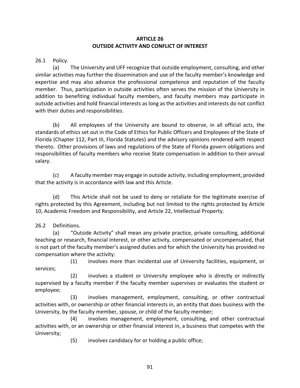## **ARTICLE 26 OUTSIDE ACTIVITY AND CONFLICT OF INTEREST**

26.1 Policy.

(a) The University and UFF recognize that outside employment, consulting, and other similar activities may further the dissemination and use of the faculty member's knowledge and expertise and may also advance the professional competence and reputation of the faculty member. Thus, participation in outside activities often serves the mission of the University in addition to benefiting individual faculty members, and faculty members may participate in outside activities and hold financial interests as long as the activities and interests do not conflict with their duties and responsibilities.

(b) All employees of the University are bound to observe, in all official acts, the standards of ethics set out in the Code of Ethics for Public Officers and Employees of the State of Florida (Chapter 112, Part III, Florida Statutes) and the advisory opinions rendered with respect thereto. Other provisions of laws and regulations of the State of Florida govern obligations and responsibilities of faculty members who receive State compensation in addition to their annual salary.

(c) A faculty member may engage in outside activity, including employment, provided that the activity is in accordance with law and this Article.

(d) This Article shall not be used to deny or retaliate for the legitimate exercise of rights protected by this Agreement, including but not limited to the rights protected by Article 10, Academic Freedom and Responsibility, and Article 22, Intellectual Property.

# 26.2 Definitions.

(a) "Outside Activity" shall mean any private practice, private consulting, additional teaching or research, financial interest, or other activity, compensated or uncompensated, that is not part of the faculty member's assigned duties and for which the University has provided no compensation where the activity:

 (1) involves more than incidental use of University facilities, equipment, or services;

 (2) involves a student or University employee who is directly or indirectly supervised by a faculty member if the faculty member supervises or evaluates the student or employee;

 (3) involves management, employment, consulting, or other contractual activities with, or ownership or other financial interests in, an entity that does business with the University, by the faculty member, spouse, or child of the faculty member;

 (4) involves management, employment, consulting, and other contractual activities with, or an ownership or other financial interest in, a business that competes with the University;

(5) involves candidacy for or holding a public office;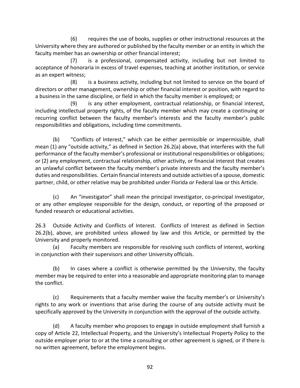(6) requires the use of books, supplies or other instructional resources at the University where they are authored or published by the faculty member or an entity in which the faculty member has an ownership or other financial interest;

 (7) is a professional, compensated activity, including but not limited to acceptance of honoraria in excess of travel expenses, teaching at another institution, or service as an expert witness;

 (8) is a business activity, including but not limited to service on the board of directors or other management, ownership or other financial interest or position, with regard to a business in the same discipline, or field in which the faculty member is employed; or

 (9) is any other employment, contractual relationship, or financial interest, including intellectual property rights, of the faculty member which may create a continuing or recurring conflict between the faculty member's interests and the faculty member's public responsibilities and obligations, including time commitments.

(b) "Conflicts of Interest," which can be either permissible or impermissible, shall mean (1) any "outside activity," as defined in Section 26.2(a) above, that interferes with the full performance of the faculty member's professional or institutional responsibilities or obligations; or (2) any employment, contractual relationship, other activity, or financial interest that creates an unlawful conflict between the faculty member's private interests and the faculty member's duties and responsibilities. Certain financial interests and outside activities of a spouse, domestic partner, child, or other relative may be prohibited under Florida or Federal law or this Article.

(c) An "investigator" shall mean the principal investigator, co-principal investigator, or any other employee responsible for the design, conduct, or reporting of the proposed or funded research or educational activities.

26.3 Outside Activity and Conflicts of Interest. Conflicts of Interest as defined in Section 26.2(b), above, are prohibited unless allowed by law and this Article, or permitted by the University and properly monitored.

(a) Faculty members are responsible for resolving such conflicts of interest, working in conjunction with their supervisors and other University officials.

(b) In cases where a conflict is otherwise permitted by the University, the faculty member may be required to enter into a reasonable and appropriate monitoring plan to manage the conflict.

(c) Requirements that a faculty member waive the faculty member's or University's rights to any work or inventions that arise during the course of any outside activity must be specifically approved by the University in conjunction with the approval of the outside activity.

(d) A faculty member who proposes to engage in outside employment shall furnish a copy of Article 22, Intellectual Property, and the University's Intellectual Property Policy to the outside employer prior to or at the time a consulting or other agreement is signed, or if there is no written agreement, before the employment begins.

92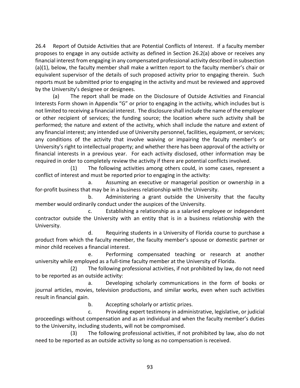26.4 Report of Outside Activities that are Potential Conflicts of Interest. If a faculty member proposes to engage in any outside activity as defined in Section 26.2(a) above or receives any financial interest from engaging in any compensated professional activity described in subsection (a)(1), below, the faculty member shall make a written report to the faculty member's chair or equivalent supervisor of the details of such proposed activity prior to engaging therein. Such reports must be submitted prior to engaging in the activity and must be reviewed and approved by the University's designee or designees.

(a) The report shall be made on the Disclosure of Outside Activities and Financial Interests Form shown in Appendix "G" or prior to engaging in the activity, which includes but is not limited to receiving a financial interest. The disclosure shall include the name of the employer or other recipient of services; the funding source; the location where such activity shall be performed; the nature and extent of the activity, which shall include the nature and extent of any financial interest; any intended use of University personnel, facilities, equipment, or services; any conditions of the activity that involve waiving or impairing the faculty member's or University's right to intellectual property; and whether there has been approval of the activity or financial interests in a previous year. For each activity disclosed, other information may be required in order to completely review the activity if there are potential conflicts involved.

 (1) The following activities among others could, in some cases, represent a conflict of interest and must be reported prior to engaging in the activity:

 a. Assuming an executive or managerial position or ownership in a for-profit business that may be in a business relationship with the University.

 b. Administering a grant outside the University that the faculty member would ordinarily conduct under the auspices of the University.

 c. Establishing a relationship as a salaried employee or independent contractor outside the University with an entity that is in a business relationship with the University.

 d. Requiring students in a University of Florida course to purchase a product from which the faculty member, the faculty member's spouse or domestic partner or minor child receives a financial interest.

 e. Performing compensated teaching or research at another university while employed as a full-time faculty member at the University of Florida.

 (2) The following professional activities, if not prohibited by law, do not need to be reported as an outside activity:

 a. Developing scholarly communications in the form of books or journal articles, movies, television productions, and similar works, even when such activities result in financial gain.

b. Accepting scholarly or artistic prizes.

 c. Providing expert testimony in administrative, legislative, or judicial proceedings without compensation and as an individual and when the faculty member's duties to the University, including students, will not be compromised.

 (3) The following professional activities, if not prohibited by law, also do not need to be reported as an outside activity so long as no compensation is received.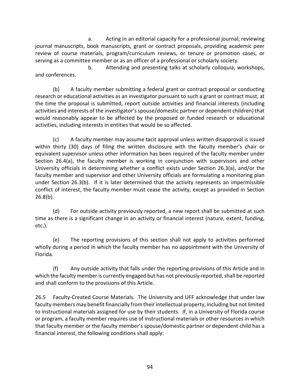a. Acting in an editorial capacity for a professional journal; reviewing journal manuscripts, book manuscripts, grant or contract proposals, providing academic peer review of course materials, program/curriculum reviews, or tenure or promotion cases, or serving as a committee member or as an officer of a professional or scholarly society.

 b. Attending and presenting talks at scholarly colloquia, workshops, and conferences.

(b) A faculty member submitting a federal grant or contract proposal or conducting research or educational activities as an investigator pursuant to such a grant or contract must, at the time the proposal is submitted, report outside activities and financial interests (including activities and interests of the investigator'sspouse/domestic partner or dependent children) that would reasonably appear to be affected by the proposed or funded research or educational activities, including interests in entities that would be so affected.

(c) A faculty member may assume tacit approval unless written disapproval is issued within thirty (30) days of filing the written disclosure with the faculty member's chair or equivalent supervisor unless other information has been required of the faculty member under Section 26.4(a), the faculty member is working in conjunction with supervisors and other University officials in determining whether a conflict exists under Section 26.3(a), and/or the faculty member and supervisor and other University officials are formulating a monitoring plan under Section 26.3(b). If it is later determined that the activity represents an impermissible conflict of interest, the faculty member must cease the activity, except as provided in Section 26.8(b).

(d) For outside activity previously reported, a new report shall be submitted at such time as there is a significant change in an activity or financial interest (nature, extent, funding, etc.).

(e) The reporting provisions of this section shall not apply to activities performed wholly during a period in which the faculty member has no appointment with the University of Florida.

(f) Any outside activity that falls under the reporting provisions of this Article and in which the faculty member is currently engaged but has not previously reported, shall be reported and shall conform to the provisions of this Article.

26.5 Faculty-Created Course Materials. The University and UFF acknowledge that under law faculty members may benefit financially from their intellectual property, including but not limited to instructional materials assigned for use by their students. If, in a University of Florida course or program, a faculty member requires use of instructional materials or other resources in which that faculty member or the faculty member's spouse/domestic partner or dependent child has a financial interest, the following conditions shall apply:

94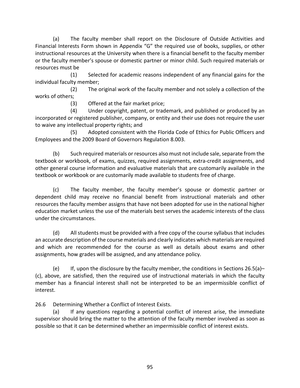(a) The faculty member shall report on the Disclosure of Outside Activities and Financial Interests Form shown in Appendix "G" the required use of books, supplies, or other instructional resources at the University when there is a financial benefit to the faculty member or the faculty member's spouse or domestic partner or minor child. Such required materials or resources must be

(1) Selected for academic reasons independent of any financial gains for the individual faculty member;

 (2) The original work of the faculty member and not solely a collection of the works of others;

(3) Offered at the fair market price;

 (4) Under copyright, patent, or trademark, and published or produced by an incorporated or registered publisher, company, or entity and their use does not require the user to waive any intellectual property rights; and

 (5) Adopted consistent with the Florida Code of Ethics for Public Officers and Employees and the 2009 Board of Governors Regulation 8.003.

(b) Such required materials or resources also must not include sale, separate from the textbook or workbook, of exams, quizzes, required assignments, extra-credit assignments, and other general course information and evaluative materials that are customarily available in the textbook or workbook or are customarily made available to students free of charge.

(c) The faculty member, the faculty member's spouse or domestic partner or dependent child may receive no financial benefit from instructional materials and other resources the faculty member assigns that have not been adopted for use in the national higher education market unless the use of the materials best serves the academic interests of the class under the circumstances.

(d) All students must be provided with a free copy of the course syllabus that includes an accurate description of the course materials and clearly indicates which materials are required and which are recommended for the course as well as details about exams and other assignments, how grades will be assigned, and any attendance policy.

(e) If, upon the disclosure by the faculty member, the conditions in Sections 26.5(a)– (c), above, are satisfied, then the required use of instructional materials in which the faculty member has a financial interest shall not be interpreted to be an impermissible conflict of interest.

26.6 Determining Whether a Conflict of Interest Exists.

(a) If any questions regarding a potential conflict of interest arise, the immediate supervisor should bring the matter to the attention of the faculty member involved as soon as possible so that it can be determined whether an impermissible conflict of interest exists.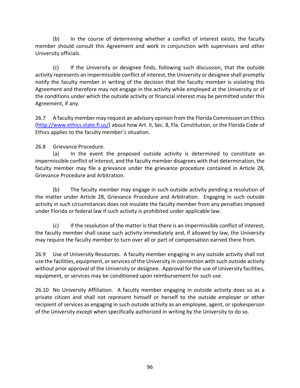(b) In the course of determining whether a conflict of interest exists, the faculty member should consult this Agreement and work in conjunction with supervisors and other University officials.

(c) If the University or designee finds, following such discussion, that the outside activity represents an impermissible conflict of interest, the University or designee shall promptly notify the faculty member in writing of the decision that the faculty member is violating this Agreement and therefore may not engage in the activity while employed at the University or of the conditions under which the outside activity or financial interest may be permitted under this Agreement, if any.

26.7 A faculty member may request an advisory opinion from the Florida Commission on Ethics [\(http://www.ethics.state.fl.us/\)](http://www.ethics.state.fl.us/) about how Art. II, Sec. 8, Fla. Constitution, or the Florida Code of Ethics applies to the faculty member's situation.

26.8 Grievance Procedure.

(a) In the event the proposed outside activity is determined to constitute an impermissible conflict of interest, and the faculty member disagrees with that determination, the faculty member may file a grievance under the grievance procedure contained in Article 28, Grievance Procedure and Arbitration.

(b) The faculty member may engage in such outside activity pending a resolution of the matter under Article 28, Grievance Procedure and Arbitration. Engaging in such outside activity in such circumstances does not insulate the faculty member from any penalties imposed under Florida or federal law if such activity is prohibited under applicable law.

(c) If the resolution of the matter is that there is an impermissible conflict of interest, the faculty member shall cease such activity immediately and, if allowed by law, the University may require the faculty member to turn over all or part of compensation earned there from.

26.9 Use of University Resources. A faculty member engaging in any outside activity shall not use the facilities, equipment, or services of the University in connection with such outside activity without prior approval of the University or designee. Approval for the use of University facilities, equipment, or services may be conditioned upon reimbursement for such use.

26.10 No University Affiliation. A faculty member engaging in outside activity does so as a private citizen and shall not represent himself or herself to the outside employer or other recipient of services as engaging in such outside activity as an employee, agent, or spokesperson of the University except when specifically authorized in writing by the University to do so.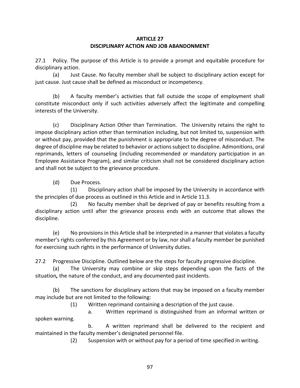## **ARTICLE 27 DISCIPLINARY ACTION AND JOB ABANDONMENT**

27.1 Policy. The purpose of this Article is to provide a prompt and equitable procedure for disciplinary action.

(a) Just Cause. No faculty member shall be subject to disciplinary action except for just cause. Just cause shall be defined as misconduct or incompetency.

(b) A faculty member's activities that fall outside the scope of employment shall constitute misconduct only if such activities adversely affect the legitimate and compelling interests of the University.

(c) Disciplinary Action Other than Termination. The University retains the right to impose disciplinary action other than termination including, but not limited to, suspension with or without pay, provided that the punishment is appropriate to the degree of misconduct. The degree of discipline may be related to behavior or actions subject to discipline. Admonitions, oral reprimands, letters of counseling (including recommended or mandatory participation in an Employee Assistance Program), and similar criticism shall not be considered disciplinary action and shall not be subject to the grievance procedure.

(d) Due Process.

 (1) Disciplinary action shall be imposed by the University in accordance with the principles of due process as outlined in this Article and in Article 11.3.

 (2) No faculty member shall be deprived of pay or benefits resulting from a disciplinary action until after the grievance process ends with an outcome that allows the discipline.

(e) No provisions in this Article shall be interpreted in a manner that violates a faculty member's rights conferred by this Agreement or by law, nor shall a faculty member be punished for exercising such rights in the performance of University duties.

27.2 Progressive Discipline. Outlined below are the steps for faculty progressive discipline.

(a) The University may combine or skip steps depending upon the facts of the situation*,* the nature of the conduct, and any documented past incidents.

(b) The sanctions for disciplinary actions that may be imposed on a faculty member may include but are not limited to the following:

(1) Written reprimand containing a description of the just cause.

 a. Written reprimand is distinguished from an informal written or spoken warning.

 b. A written reprimand shall be delivered to the recipient and maintained in the faculty member's designated personnel file.

(2) Suspension with or without pay for a period of time specified in writing.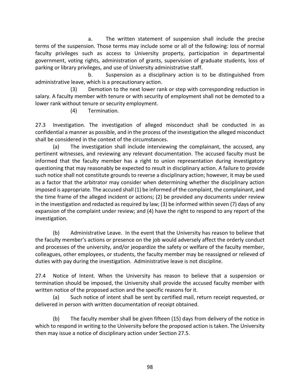a. The written statement of suspension shall include the precise terms of the suspension. Those terms may include some or all of the following: loss of normal faculty privileges such as access to University property, participation in departmental government, voting rights, administration of grants, supervision of graduate students, loss of parking or library privileges, and use of University administrative staff.

 b. Suspension as a disciplinary action is to be distinguished from administrative leave, which is a precautionary action.

 (3) Demotion to the next lower rank or step with corresponding reduction in salary. A faculty member with tenure or with security of employment shall not be demoted to a lower rank without tenure or security employment.

(4) Termination.

27.3 Investigation. The investigation of alleged misconduct shall be conducted in as confidential a manner as possible, and in the process of the investigation the alleged misconduct shall be considered in the context of the circumstances.

(a) The investigation shall include interviewing the complainant, the accused, any pertinent witnesses, and reviewing any relevant documentation. The accused faculty must be informed that the faculty member has a right to union representation during investigatory questioning that may reasonably be expected to result in disciplinary action. A failure to provide such notice shall not constitute grounds to reverse a disciplinary action; however, it may be used as a factor that the arbitrator may consider when determining whether the disciplinary action imposed is appropriate. The accused shall (1) be informed of the complaint, the complainant, and the time frame of the alleged incident or actions; (2) be provided any documents under review in the investigation and redacted as required by law; (3) be informed within seven (7) days of any expansion of the complaint under review; and (4) have the right to respond to any report of the investigation.

(b) Administrative Leave. In the event that the University has reason to believe that the faculty member's actions or presence on the job would adversely affect the orderly conduct and processes of the university, and/or jeopardize the safety or welfare of the faculty member, colleagues, other employees, or students, the faculty member may be reassigned or relieved of duties with pay during the investigation. Administrative leave is not discipline.

27.4 Notice of Intent. When the University has reason to believe that a suspension or termination should be imposed, the University shall provide the accused faculty member with written notice of the proposed action and the specific reasons for it.

(a) Such notice of intent shall be sent by certified mail, return receipt requested, or delivered in person with written documentation of receipt obtained.

(b) The faculty member shall be given fifteen (15) days from delivery of the notice in which to respond in writing to the University before the proposed action is taken. The University then may issue a notice of disciplinary action under Section 27.5.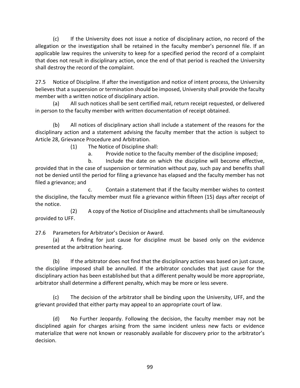(c) If the University does not issue a notice of disciplinary action, no record of the allegation or the investigation shall be retained in the faculty member's personnel file. If an applicable law requires the university to keep for a specified period the record of a complaint that does not result in disciplinary action, once the end of that period is reached the University shall destroy the record of the complaint.

27.5 Notice of Discipline. If after the investigation and notice of intent process, the University believes that a suspension or termination should be imposed, University shall provide the faculty member with a written notice of disciplinary action.

(a) All such notices shall be sent certified mail, return receipt requested, or delivered in person to the faculty member with written documentation of receipt obtained.

(b) All notices of disciplinary action shall include a statement of the reasons for the disciplinary action and a statement advising the faculty member that the action is subject to Article 28, Grievance Procedure and Arbitration.

(1) The Notice of Discipline shall:

a. Provide notice to the faculty member of the discipline imposed;

 b. Include the date on which the discipline will become effective, provided that in the case of suspension or termination without pay, such pay and benefits shall not be denied until the period for filing a grievance has elapsed and the faculty member has not filed a grievance; and

 c. Contain a statement that if the faculty member wishes to contest the discipline, the faculty member must file a grievance within fifteen (15) days after receipt of the notice.

 (2) A copy of the Notice of Discipline and attachments shall be simultaneously provided to UFF.

27.6 Parameters for Arbitrator's Decision or Award.

(a) A finding for just cause for discipline must be based only on the evidence presented at the arbitration hearing.

(b) If the arbitrator does not find that the disciplinary action was based on just cause, the discipline imposed shall be annulled. If the arbitrator concludes that just cause for the disciplinary action has been established but that a different penalty would be more appropriate, arbitrator shall determine a different penalty, which may be more or less severe.

(c) The decision of the arbitrator shall be binding upon the University, UFF, and the grievant provided that either party may appeal to an appropriate court of law.

(d) No Further Jeopardy. Following the decision, the faculty member may not be disciplined again for charges arising from the same incident unless new facts or evidence materialize that were not known or reasonably available for discovery prior to the arbitrator's decision.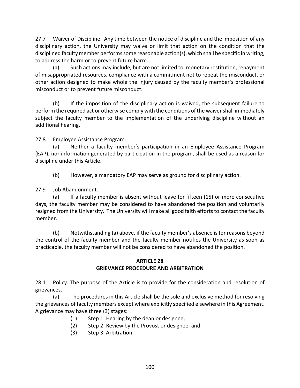27.7 Waiver of Discipline. Any time between the notice of discipline and the imposition of any disciplinary action, the University may waive or limit that action on the condition that the disciplined faculty member performs some reasonable action(s), which shall be specific in writing, to address the harm or to prevent future harm.

(a) Such actions may include, but are not limited to, monetary restitution, repayment of misappropriated resources, compliance with a commitment not to repeat the misconduct, or other action designed to make whole the injury caused by the faculty member's professional misconduct or to prevent future misconduct.

(b) If the imposition of the disciplinary action is waived, the subsequent failure to perform the required act or otherwise comply with the conditions of the waiver shall immediately subject the faculty member to the implementation of the underlying discipline without an additional hearing.

27.8 Employee Assistance Program.

(a) Neither a faculty member's participation in an Employee Assistance Program (EAP), nor information generated by participation in the program, shall be used as a reason for discipline under this Article.

(b) However, a mandatory EAP may serve as ground for disciplinary action.

27.9 Job Abandonment.

(a) If a faculty member is absent without leave for fifteen (15) or more consecutive days, the faculty member may be considered to have abandoned the position and voluntarily resigned from the University. The University will make all good faith efforts to contact the faculty member.

(b) Notwithstanding (a) above, if the faculty member's absence is for reasons beyond the control of the faculty member and the faculty member notifies the University as soon as practicable, the faculty member will not be considered to have abandoned the position.

### **ARTICLE 28 GRIEVANCE PROCEDURE AND ARBITRATION**

28.1 Policy. The purpose of the Article is to provide for the consideration and resolution of grievances.

(a) The procedures in this Article shall be the sole and exclusive method for resolving the grievances of faculty members except where explicitly specified elsewhere in this Agreement. A grievance may have three (3) stages:

- (1) Step 1. Hearing by the dean or designee;
- (2) Step 2. Review by the Provost or designee; and
- (3) Step 3. Arbitration.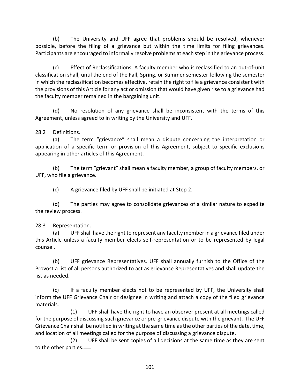(b) The University and UFF agree that problems should be resolved, whenever possible, before the filing of a grievance but within the time limits for filing grievances. Participants are encouraged to informally resolve problems at each step in the grievance process.

(c) Effect of Reclassifications. A faculty member who is reclassified to an out-of-unit classification shall, until the end of the Fall, Spring, or Summer semester following the semester in which the reclassification becomes effective, retain the right to file a grievance consistent with the provisions of this Article for any act or omission that would have given rise to a grievance had the faculty member remained in the bargaining unit.

(d) No resolution of any grievance shall be inconsistent with the terms of this Agreement, unless agreed to in writing by the University and UFF.

28.2 Definitions.

(a) The term "grievance" shall mean a dispute concerning the interpretation or application of a specific term or provision of this Agreement, subject to specific exclusions appearing in other articles of this Agreement.

(b) The term "grievant" shall mean a faculty member*,* a group of faculty members, or UFF, who file a grievance.

(c) A grievance filed by UFF shall be initiated at Step 2.

(d) The parties may agree to consolidate grievances of a similar nature to expedite the review process.

#### 28.3 Representation.

(a) UFF shall have the right to represent any faculty member in a grievance filed under this Article unless a faculty member elects self-representation or to be represented by legal counsel.

(b) UFF grievance Representatives. UFF shall annually furnish to the Office of the Provost a list of all persons authorized to act as grievance Representatives and shall update the list as needed.

(c) If a faculty member elects not to be represented by UFF, the University shall inform the UFF Grievance Chair or designee in writing and attach a copy of the filed grievance materials.

 (1) UFF shall have the right to have an observer present at all meetings called for the purpose of discussing such grievance or pre-grievance dispute with the grievant. The UFF Grievance Chair shall be notified in writing at the same time as the other parties of the date, time, and location of all meetings called for the purpose of discussing a grievance dispute.

 (2) UFF shall be sent copies of all decisions at the same time as they are sent to the other parties.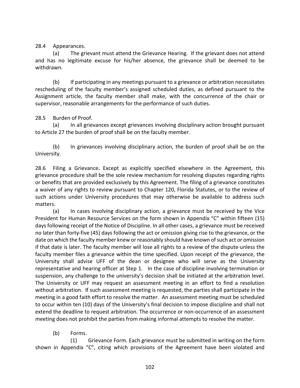28.4 Appearances.

(a) The grievant must attend the Grievance Hearing. If the grievant does not attend and has no legitimate excuse for his/her absence, the grievance shall be deemed to be withdrawn.

(b) If participating in any meetings pursuant to a grievance or arbitration necessitates rescheduling of the faculty member's assigned scheduled duties, as defined pursuant to the Assignment article, the faculty member shall make, with the concurrence of the chair or supervisor, reasonable arrangements for the performance of such duties.

## 28.5 Burden of Proof.

(a) In all grievances except grievances involving disciplinary action brought pursuant to Article 27 the burden of proof shall be on the faculty member.

(b) In grievances involving disciplinary action, the burden of proof shall be on the University.

28.6 Filing a Grievance**.** Except as explicitly specified elsewhere in the Agreement, this grievance procedure shall be the sole review mechanism for resolving disputes regarding rights or benefits that are provided exclusively by this Agreement. The filing of a grievance constitutes a waiver of any rights to review pursuant to Chapter 120, Florida Statutes, or to the review of such actions under University procedures that may otherwise be available to address such matters.

(a) In cases involving disciplinary action, a grievance must be received by the Vice President for Human Resource Services on the form shown in Appendix "C" within fifteen (15) days following receipt of the Notice of Discipline. In all other cases, a grievance must be received no later than forty-five (45) days following the act or omission giving rise to the grievance, or the date on which the faculty member knew or reasonably should have known of such act or omission if that date is later. The faculty member will lose all rights to a review of the dispute unless the faculty member files a grievance within the time specified. Upon receipt of the grievance, the University shall advise UFF of the dean or designee who will serve as the University representative and hearing officer at Step 1. In the case of discipline involving termination or suspension, any challenge to the university's decision shall be initiated at the arbitration level. The University or UFF may request an assessment meeting in an effort to find a resolution without arbitration. If such assessment meeting is requested, the parties shall participate in the meeting in a good faith effort to resolve the matter. An assessment meeting must be scheduled to occur within ten (10) days of the University's final decision to impose discipline and shall not extend the deadline to request arbitration. The occurrence or non-occurrence of an assessment meeting does not prohibit the parties from making informal attempts to resolve the matter.

## (b) Forms.

(1) Grievance Form. Each grievance must be submitted in writing on the form shown in Appendix "C", citing which provisions of the Agreement have been violated and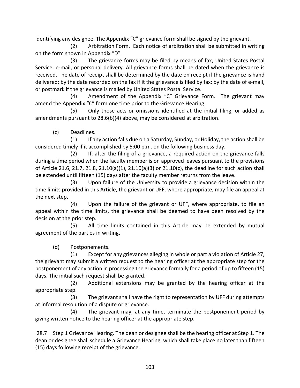identifying any designee. The Appendix "C" grievance form shall be signed by the grievant.

(2) Arbitration Form. Each notice of arbitration shall be submitted in writing on the form shown in Appendix "D".

 (3) The grievance forms may be filed by means of fax, United States Postal Service, e-mail, or personal delivery. All grievance forms shall be dated when the grievance is received. The date of receipt shall be determined by the date on receipt if the grievance is hand delivered; by the date recorded on the fax if it the grievance is filed by fax; by the date of e-mail, or postmark if the grievance is mailed by United States Postal Service.

 (4) Amendment of the Appendix "C" Grievance Form. The grievant may amend the Appendix "C" form one time prior to the Grievance Hearing.

 (5) Only those acts or omissions identified at the initial filing, or added as amendments pursuant to 28.6(b)(4) above, may be considered at arbitration.

(c) Deadlines.

 (1) If any action falls due on a Saturday, Sunday, or Holiday, the action shall be considered timely if it accomplished by 5:00 p.m. on the following business day.

 (2) If, after the filing of a grievance, a required action on the grievance falls during a time period when the faculty member is on approved leaves pursuant to the provisions of Article 21.6, 21.7, 21.8, 21.10(a)(1), 21.10(a)(3) or 21.10(c), the deadline for such action shall be extended until fifteen (15) days after the faculty member returns from the leave.

 (3) Upon failure of the University to provide a grievance decision within the time limits provided in this Article, the grievant or UFF, where appropriate, may file an appeal at the next step.

 (4) Upon the failure of the grievant or UFF, where appropriate, to file an appeal within the time limits, the grievance shall be deemed to have been resolved by the decision at the prior step.

 (5) All time limits contained in this Article may be extended by mutual agreement of the parties in writing.

(d) Postponements.

 (1) Except for any grievances alleging in whole or part a violation of Article 27, the grievant may submit a written request to the hearing officer at the appropriate step for the postponement of any action in processing the grievance formally for a period of up to fifteen (15) days. The initial such request shall be granted.

 (2) Additional extensions may be granted by the hearing officer at the appropriate step.

 (3) The grievant shall have the right to representation by UFF during attempts at informal resolution of a dispute or grievance.

 (4) The grievant may, at any time, terminate the postponement period by giving written notice to the hearing officer at the appropriate step.

28.7 Step 1 Grievance Hearing. The dean or designee shall be the hearing officer at Step 1. The dean or designee shall schedule a Grievance Hearing, which shall take place no later than fifteen (15) days following receipt of the grievance.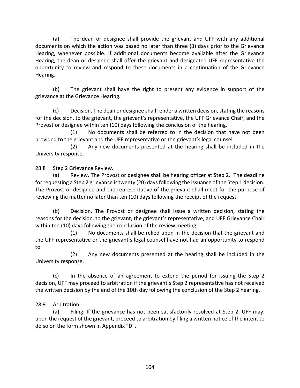(a) The dean or designee shall provide the grievant and UFF with any additional documents on which the action was based no later than three (3) days prior to the Grievance Hearing, whenever possible. If additional documents become available after the Grievance Hearing, the dean or designee shall offer the grievant and designated UFF representative the opportunity to review and respond to these documents in a continuation of the Grievance Hearing.

(b) The grievant shall have the right to present any evidence in support of the grievance at the Grievance Hearing.

(c) Decision. The dean or designee shall render a written decision, stating the reasons for the decision, to the grievant, the grievant's representative, the UFF Grievance Chair, and the Provost or designee within ten (10) days following the conclusion of the hearing.

 (1) No documents shall be referred to in the decision that have not been provided to the grievant and the UFF representative or the grievant's legal counsel.

 (2) Any new documents presented at the hearing shall be included in the University response.

28.8 Step 2 Grievance Review.

(a) Review. The Provost or designee shall be hearing officer at Step 2. The deadline for requesting a Step 2 grievance is twenty (20) days following the issuance of the Step 1 decision. The Provost or designee and the representative of the grievant shall meet for the purpose of reviewing the matter no later than ten (10) days following the receipt of the request.

(b) Decision. The Provost or designee shall issue a written decision, stating the reasons for the decision, to the grievant, the grievant's representative, and UFF Grievance Chair within ten (10) days following the conclusion of the review meeting.

 (1) No documents shall be relied upon in the decision that the grievant and the UFF representative or the grievant's legal counsel have not had an opportunity to respond to.

 (2) Any new documents presented at the hearing shall be included in the University response.

(c) In the absence of an agreement to extend the period for issuing the Step 2 decision, UFF may proceed to arbitration if the grievant's Step 2 representative has not received the written decision by the end of the 10th day following the conclusion of the Step 2 hearing.

# 28.9 Arbitration.

(a) Filing. If the grievance has not been satisfactorily resolved at Step 2, UFF may, upon the request of the grievant, proceed to arbitration by filing a written notice of the intent to do so on the form shown in Appendix "D".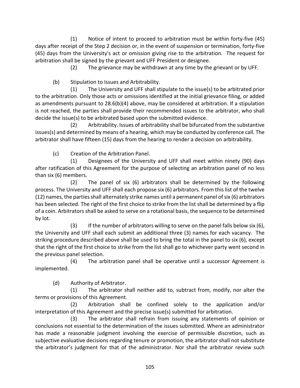(1) Notice of intent to proceed to arbitration must be within forty-five (45) days after receipt of the Step 2 decision or, in the event of suspension or termination, forty-five (45) days from the University's act or omission giving rise to the arbitration.The request for arbitration shall be signed by the grievant and UFF President or designee.

(2) The grievance may be withdrawn at any time by the grievant or by UFF.

(b) Stipulation to Issues and Arbitrability.

 (1) The University and UFF shall stipulate to the issue(s) to be arbitrated prior to the arbitration. Only those acts or omissions identified at the initial grievance filing, or added as amendments pursuant to 28.6(b)(4) above, may be considered at arbitration. If a stipulation is not reached, the parties shall provide their recommended issues to the arbitrator, who shall decide the issue(s) to be arbitrated based upon the submitted evidence.

 (2) Arbitrability. Issues of arbitrability shall be bifurcated from the substantive issues(s) and determined by means of a hearing, which may be conducted by conference call. The arbitrator shall have fifteen (15) days from the hearing to render a decision on arbitrability.

(c) Creation of the Arbitration Panel.

 (1) Designees of the University and UFF shall meet within ninety (90) days after ratification of this Agreement for the purpose of selecting an arbitration panel of no less than six (6) members.

 (2) The panel of six (6) arbitrators shall be determined by the following process. The University and UFF shall each propose six (6) arbitrators. From this list of the twelve (12) names, the parties shall alternately strike names until a permanent panel of six (6) arbitrators has been selected. The right of the first choice to strike from the list shall be determined by a flip of a coin. Arbitrators shall be asked to serve on a rotational basis, the sequence to be determined by lot.

 (3) If the number of arbitrators willing to serve on the panel falls below six (6), the University and UFF shall each submit an additional three (3) names for each vacancy. The striking procedure described above shall be used to bring the total in the panel to six (6), except that the right of the first choice to strike from the list shall go to whichever party went second in the previous panel selection.

 (4) The arbitration panel shall be operative until a successor Agreement is implemented.

(d) Authority of Arbitrator.

 (1) The arbitrator shall neither add to, subtract from, modify, nor alter the terms or provisions of this Agreement.

 (2) Arbitration shall be confined solely to the application and/or interpretation of this Agreement and the precise issue(s) submitted for arbitration.

 (3) The arbitrator shall refrain from issuing any statements of opinion or conclusions not essential to the determination of the issues submitted. Where an administrator has made a reasonable judgment involving the exercise of permissible discretion, such as subjective evaluative decisions regarding tenure or promotion, the arbitrator shall not substitute the arbitrator's judgment for that of the administrator. Nor shall the arbitrator review such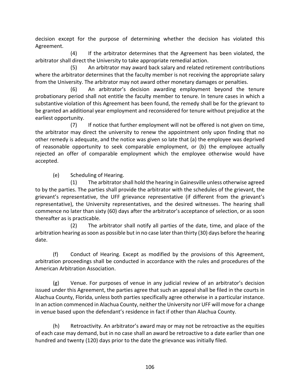decision except for the purpose of determining whether the decision has violated this Agreement.

 (4) If the arbitrator determines that the Agreement has been violated, the arbitrator shall direct the University to take appropriate remedial action.

 (5) An arbitrator may award back salary and related retirement contributions where the arbitrator determines that the faculty member is not receiving the appropriate salary from the University. The arbitrator may not award other monetary damages or penalties.

(6) An arbitrator's decision awarding employment beyond the tenure probationary period shall not entitle the faculty member to tenure. In tenure cases in which a substantive violation of this Agreement has been found, the remedy shall be for the grievant to be granted an additional year employment and reconsidered for tenure without prejudice at the earliest opportunity.

 (7) If notice that further employment will not be offered is not given on time, the arbitrator may direct the university to renew the appointment only upon finding that no other remedy is adequate, and the notice was given so late that (a) the employee was deprived of reasonable opportunity to seek comparable employment, or (b) the employee actually rejected an offer of comparable employment which the employee otherwise would have accepted.

(e) Scheduling of Hearing.

 (1) The arbitrator shall hold the hearing in Gainesville unless otherwise agreed to by the parties. The parties shall provide the arbitrator with the schedules of the grievant, the grievant's representative, the UFF grievance representative (if different from the grievant's representative), the University representatives, and the desired witnesses. The hearing shall commence no later than sixty (60) days after the arbitrator's acceptance of selection, or as soon thereafter as is practicable.

 (2) The arbitrator shall notify all parties of the date, time, and place of the arbitration hearing as soon as possible but in no case later than thirty (30) days before the hearing date.

(f) Conduct of Hearing. Except as modified by the provisions of this Agreement, arbitration proceedings shall be conducted in accordance with the rules and procedures of the American Arbitration Association.

(g) Venue. For purposes of venue in any judicial review of an arbitrator's decision issued under this Agreement, the parties agree that such an appeal shall be filed in the courts in Alachua County, Florida, unless both parties specifically agree otherwise in a particular instance. In an action commenced in Alachua County, neither the University nor UFF will move for a change in venue based upon the defendant's residence in fact if other than Alachua County.

(h) Retroactivity. An arbitrator's award may or may not be retroactive as the equities of each case may demand, but in no case shall an award be retroactive to a date earlier than one hundred and twenty (120) days prior to the date the grievance was initially filed.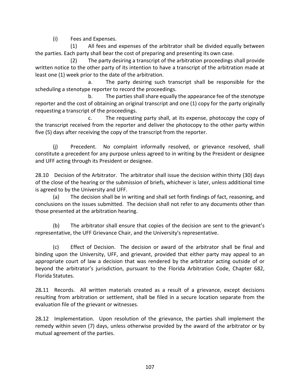(i) Fees and Expenses.

 (1) All fees and expenses of the arbitrator shall be divided equally between the parties. Each party shall bear the cost of preparing and presenting its own case.

 (2) The party desiring a transcript of the arbitration proceedings shall provide written notice to the other party of its intention to have a transcript of the arbitration made at least one (1) week prior to the date of the arbitration.

 a. The party desiring such transcript shall be responsible for the scheduling a stenotype reporter to record the proceedings.

 b. The parties shall share equally the appearance fee of the stenotype reporter and the cost of obtaining an original transcript and one (1) copy for the party originally requesting a transcript of the proceedings.

 c. The requesting party shall, at its expense, photocopy the copy of the transcript received from the reporter and deliver the photocopy to the other party within five (5) days after receiving the copy of the transcript from the reporter.

(j) Precedent. No complaint informally resolved, or grievance resolved, shall constitute a precedent for any purpose unless agreed to in writing by the President or designee and UFF acting through its President or designee.

28.10 Decision of the Arbitrator. The arbitrator shall issue the decision within thirty (30) days of the close of the hearing or the submission of briefs, whichever is later, unless additional time is agreed to by the University and UFF.

(a) The decision shall be in writing and shall set forth findings of fact, reasoning, and conclusions on the issues submitted. The decision shall not refer to any documents other than those presented at the arbitration hearing.

(b) The arbitrator shall ensure that copies of the decision are sent to the grievant's representative, the UFF Grievance Chair, and the University's representative.

(c) Effect of Decision. The decision or award of the arbitrator shall be final and binding upon the University, UFF, and grievant, provided that either party may appeal to an appropriate court of law a decision that was rendered by the arbitrator acting outside of or beyond the arbitrator's jurisdiction, pursuant to the Florida Arbitration Code, Chapter 682, Florida Statutes.

28*.*11 Records. All written materials created as a result of a grievance, except decisions resulting from arbitration or settlement, shall be filed in a secure location separate from the evaluation file of the grievant or witnesses.

28*.*12 Implementation. Upon resolution of the grievance, the parties shall implement the remedy within seven (7) days, unless otherwise provided by the award of the arbitrator or by mutual agreement of the parties.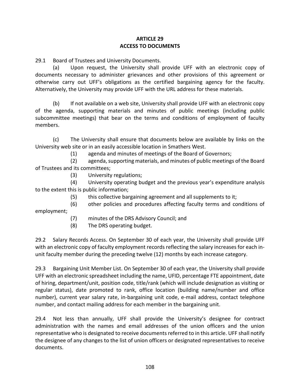## **ARTICLE 29 ACCESS TO DOCUMENTS**

29.1 Board of Trustees and University Documents.

(a) Upon request, the University shall provide UFF with an electronic copy of documents necessary to administer grievances and other provisions of this agreement or otherwise carry out UFF's obligations as the certified bargaining agency for the faculty. Alternatively, the University may provide UFF with the URL address for these materials.

(b) If not available on a web site, University shall provide UFF with an electronic copy of the agenda, supporting materials and minutes of public meetings (including public subcommittee meetings) that bear on the terms and conditions of employment of faculty members.

(c) The University shall ensure that documents below are available by links on the University web site or in an easily accessible location in Smathers West.

(1) agenda and minutes of meetings of the Board of Governors;

 (2) agenda, supporting materials, and minutes of public meetings of the Board of Trustees and its committees;

(3) University regulations;

 (4) University operating budget and the previous year's expenditure analysis to the extent this is public information;

(5) this collective bargaining agreement and all supplements to it;

(6) other policies and procedures affecting faculty terms and conditions of

employment;

- (7) minutes of the DRS Advisory Council; and
- (8) The DRS operating budget.

29.2 Salary Records Access. On September 30 of each year, the University shall provide UFF with an electronic copy of faculty employment records reflecting the salary increases for each inunit faculty member during the preceding twelve (12) months by each increase category.

29.3 Bargaining Unit Member List. On September 30 of each year, the University shall provide UFF with an electronic spreadsheet including the name, UFID, percentage FTE appointment, date of hiring, department/unit, position code, title/rank (which will include designation as visiting or regular status), date promoted to rank, office location (building name/number and office number), current year salary rate, in-bargaining unit code, e-mail address, contact telephone number, and contact mailing address for each member in the bargaining unit.

29.4 Not less than annually, UFF shall provide the University's designee for contract administration with the names and email addresses of the union officers and the union representative who is designated to receive documents referred to in this article. UFF shall notify the designee of any changes to the list of union officers or designated representatives to receive documents.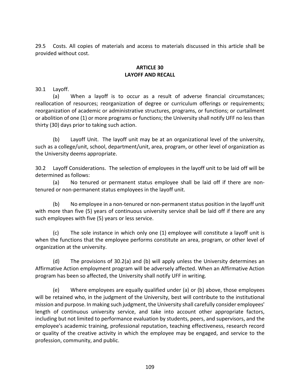29.5 Costs. All copies of materials and access to materials discussed in this article shall be provided without cost.

#### **ARTICLE 30 LAYOFF AND RECALL**

30.1 Layoff.

(a) When a layoff is to occur as a result of adverse financial circumstances; reallocation of resources; reorganization of degree or curriculum offerings or requirements; reorganization of academic or administrative structures, programs, or functions; or curtailment or abolition of one (1) or more programs or functions; the University shall notify UFF no less than thirty (30) days prior to taking such action.

(b) Layoff Unit. The layoff unit may be at an organizational level of the university, such as a college/unit, school, department/unit, area, program, or other level of organization as the University deems appropriate.

30.2 Layoff Considerations. The selection of employees in the layoff unit to be laid off will be determined as follows:

(a) No tenured or permanent status employee shall be laid off if there are nontenured or non-permanent status employees in the layoff unit.

(b) No employee in a non-tenured or non-permanent status position in the layoff unit with more than five (5) years of continuous university service shall be laid off if there are any such employees with five (5) years or less service.

(c) The sole instance in which only one (1) employee will constitute a layoff unit is when the functions that the employee performs constitute an area, program, or other level of organization at the university.

(d) The provisions of 30.2(a) and (b) will apply unless the University determines an Affirmative Action employment program will be adversely affected. When an Affirmative Action program has been so affected, the University shall notify UFF in writing.

(e) Where employees are equally qualified under (a) or (b) above, those employees will be retained who, in the judgment of the University, best will contribute to the institutional mission and purpose. In making such judgment, the University shall carefully consider employees' length of continuous university service, and take into account other appropriate factors, including but not limited to performance evaluation by students, peers, and supervisors, and the employee's academic training, professional reputation, teaching effectiveness, research record or quality of the creative activity in which the employee may be engaged, and service to the profession, community, and public.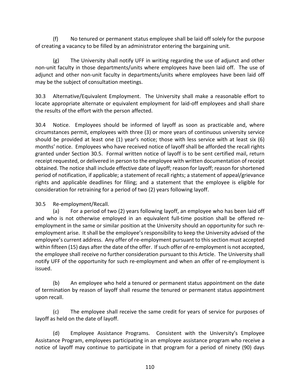(f) No tenured or permanent status employee shall be laid off solely for the purpose of creating a vacancy to be filled by an administrator entering the bargaining unit.

(g) The University shall notify UFF in writing regarding the use of adjunct and other non-unit faculty in those departments/units where employees have been laid off. The use of adjunct and other non-unit faculty in departments/units where employees have been laid off may be the subject of consultation meetings.

30.3 Alternative/Equivalent Employment. The University shall make a reasonable effort to locate appropriate alternate or equivalent employment for laid-off employees and shall share the results of the effort with the person affected.

30.4 Notice. Employees should be informed of layoff as soon as practicable and, where circumstances permit, employees with three (3) or more years of continuous university service should be provided at least one (1) year's notice; those with less service with at least six (6) months' notice. Employees who have received notice of layoff shall be afforded the recall rights granted under Section 30.5. Formal written notice of layoff is to be sent certified mail, return receipt requested, or delivered in person to the employee with written documentation of receipt obtained. The notice shall include effective date of layoff; reason for layoff; reason for shortened period of notification, if applicable; a statement of recall rights; a statement of appeal/grievance rights and applicable deadlines for filing; and a statement that the employee is eligible for consideration for retraining for a period of two (2) years following layoff.

30.5 Re-employment/Recall.

(a) For a period of two (2) years following layoff, an employee who has been laid off and who is not otherwise employed in an equivalent full-time position shall be offered reemployment in the same or similar position at the University should an opportunity for such reemployment arise. It shall be the employee's responsibility to keep the University advised of the employee's current address. Any offer of re-employment pursuant to this section must accepted within fifteen (15) days after the date of the offer. If such offer of re-employment is not accepted, the employee shall receive no further consideration pursuant to this Article. The University shall notify UFF of the opportunity for such re-employment and when an offer of re-employment is issued.

(b) An employee who held a tenured or permanent status appointment on the date of termination by reason of layoff shall resume the tenured or permanent status appointment upon recall.

(c) The employee shall receive the same credit for years of service for purposes of layoff as held on the date of layoff.

(d) Employee Assistance Programs. Consistent with the University's Employee Assistance Program, employees participating in an employee assistance program who receive a notice of layoff may continue to participate in that program for a period of ninety (90) days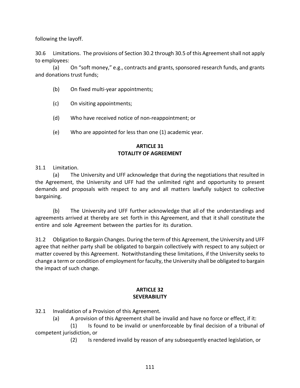following the layoff.

30.6 Limitations. The provisions of Section 30.2 through 30.5 of this Agreement shall not apply to employees:

(a) On "soft money," e.g., contracts and grants, sponsored research funds, and grants and donations trust funds;

- (b) On fixed multi-year appointments;
- (c) On visiting appointments;
- (d) Who have received notice of non-reappointment; or
- (e) Who are appointed for less than one (1) academic year.

## **ARTICLE 31 TOTALITY OF AGREEMENT**

31.1 Limitation.

(a) The University and UFF acknowledge that during the negotiations that resulted in the Agreement, the University and UFF had the unlimited right and opportunity to present demands and proposals with respect to any and all matters lawfully subject to collective bargaining.

(b) The University and UFF further acknowledge that all of the understandings and agreements arrived at thereby are set forth in this Agreement, and that it shall constitute the entire and sole Agreement between the parties for its duration.

31.2 Obligation to Bargain Changes. During the term of this Agreement, the University and UFF agree that neither party shall be obligated to bargain collectively with respect to any subject or matter covered by this Agreement. Notwithstanding these limitations, if the University seeks to change a term or condition of employment forfaculty, the University shall be obligated to bargain the impact of such change.

#### **ARTICLE 32 SEVERABILITY**

32.1 Invalidation of a Provision of this Agreement*.*

(a) A provision of this Agreement shall be invalid and have no force or effect, if it:

(1) Is found to be invalid or unenforceable by final decision of a tribunal of competent jurisdiction, or

(2) Is rendered invalid by reason of any subsequently enacted legislation, or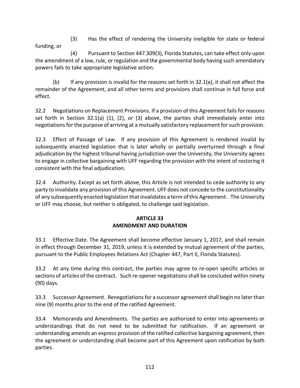(3) Has the effect of rendering the University ineligible for state or federal funding, or

(4) Pursuant to Section 447.309(3), Florida Statutes, can take effect only upon the amendment of a law, rule, or regulation and the governmental body having such amendatory powers fails to take appropriate legislative action.

(b) If any provision is invalid for the reasons set forth in 32.1(a), it shall not affect the remainder of the Agreement, and all other terms and provisions shall continue in full force and effect.

32.2 Negotiations on Replacement Provisions. If a provision of this Agreement fails for reasons set forth in Section 32.1(a) (1), (2), or (3) above, the parties shall immediately enter into negotiations for the purpose of arriving at a mutually satisfactory replacement for such provision.

32.3 Effect of Passage of Law. If any provision of this Agreement is rendered invalid by subsequently enacted legislation that is later wholly or partially overturned through a final adjudication by the highest tribunal having jurisdiction over the University, the University agrees to engage in collective bargaining with UFF regarding the provision with the intent of restoring it consistent with the final adjudication.

32.4 Authority. Except as set forth above, this Article is not intended to cede authority to any party to invalidate any provision of this Agreement. UFF does not concede to the constitutionality of any subsequently enacted legislation that invalidates a term of this Agreement. The University or UFF may choose, but neither is obligated, to challenge said legislation.

# **ARTICLE 33 AMENDMENT AND DURATION**

33.1 Effective Date. The Agreement shall become effective January 1, 2017, and shall remain in effect through December 31, 2019, unless it is extended by mutual agreement of the parties, pursuant to the Public Employees Relations Act (Chapter 447, Part II, Florida Statutes).

33.2 At any time during this contract, the parties may agree to re-open specific articles or sections of articles of the contract. Such re-opener negotiations shall be concluded within ninety (90) days.

33.3 Successor Agreement. Renegotiations for a successor agreement shall begin no later than nine (9) months prior to the end of the ratified Agreement.

33.4 Memoranda and Amendments. The parties are authorized to enter into agreements or understandings that do not need to be submitted for ratification. If an agreement or understanding amends an express provision of the ratified collective bargaining agreement, then the agreement or understanding shall become part of this Agreement upon ratification by both parties.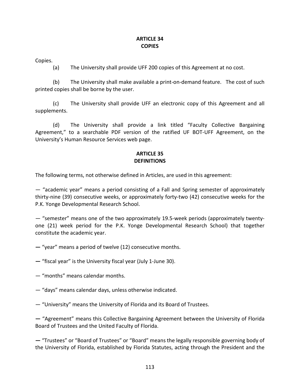#### **ARTICLE 34 COPIES**

Copies.

(a) The University shall provide UFF 200 copies of this Agreement at no cost.

(b)The University shall make available a print-on-demand feature. The cost of such printed copies shall be borne by the user.

(c) The University shall provide UFF an electronic copy of this Agreement and all supplements.

(d) The University shall provide a link titled "Faculty Collective Bargaining Agreement," to a searchable PDF version of the ratified UF BOT-UFF Agreement, on the University's Human Resource Services web page.

#### **ARTICLE 35 DEFINITIONS**

The following terms, not otherwise defined in Articles, are used in this agreement:

— "academic year" means a period consisting of a Fall and Spring semester of approximately thirty-nine (39) consecutive weeks, or approximately forty-two (42) consecutive weeks for the P.K. Yonge Developmental Research School.

— "semester" means one of the two approximately 19.5-week periods (approximately twentyone (21) week period for the P.K. Yonge Developmental Research School) that together constitute the academic year.

**—** "year" means a period of twelve (12) consecutive months.

**—** "fiscal year" is the University fiscal year (July 1-June 30).

— "months" means calendar months.

— "days" means calendar days, unless otherwise indicated.

— "University" means the University of Florida and its Board of Trustees.

**—** "Agreement" means this Collective Bargaining Agreement between the University of Florida Board of Trustees and the United Faculty of Florida.

**—** "Trustees" or "Board of Trustees" or "Board" means the legally responsible governing body of the University of Florida, established by Florida Statutes, acting through the President and the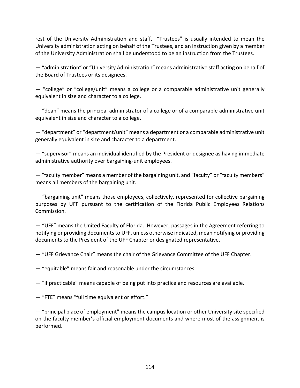rest of the University Administration and staff. "Trustees" is usually intended to mean the University administration acting on behalf of the Trustees, and an instruction given by a member of the University Administration shall be understood to be an instruction from the Trustees.

— "administration" or "University Administration" means administrative staff acting on behalf of the Board of Trustees or its designees.

— "college" or "college/unit" means a college or a comparable administrative unit generally equivalent in size and character to a college.

— "dean" means the principal administrator of a college or of a comparable administrative unit equivalent in size and character to a college.

— "department" or "department/unit" means a department or a comparable administrative unit generally equivalent in size and character to a department.

— "supervisor" means an individual identified by the President or designee as having immediate administrative authority over bargaining-unit employees.

— "faculty member" means a member of the bargaining unit, and "faculty" or "faculty members" means all members of the bargaining unit.

— "bargaining unit" means those employees, collectively, represented for collective bargaining purposes by UFF pursuant to the certification of the Florida Public Employees Relations Commission.

— "UFF" means the United Faculty of Florida. However, passages in the Agreement referring to notifying or providing documents to UFF, unless otherwise indicated, mean notifying or providing documents to the President of the UFF Chapter or designated representative.

— "UFF Grievance Chair" means the chair of the Grievance Committee of the UFF Chapter.

— "equitable" means fair and reasonable under the circumstances.

— "if practicable" means capable of being put into practice and resources are available.

— "FTE" means "full time equivalent or effort."

— "principal place of employment" means the campus location or other University site specified on the faculty member's official employment documents and where most of the assignment is performed.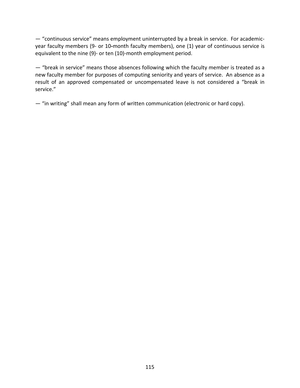— "continuous service" means employment uninterrupted by a break in service. For academicyear faculty members (9- or 10**-**month faculty members), one (1) year of continuous service is equivalent to the nine (9)- or ten (10)-month employment period.

— "break in service" means those absences following which the faculty member is treated as a new faculty member for purposes of computing seniority and years of service. An absence as a result of an approved compensated or uncompensated leave is not considered a "break in service."

— "in writing" shall mean any form of written communication (electronic or hard copy).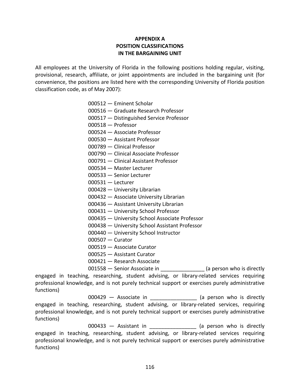## **APPENDIX A POSITION CLASSIFICATIONS IN THE BARGAINING UNIT**

All employees at the University of Florida in the following positions holding regular, visiting, provisional, research, affiliate, or joint appointments are included in the bargaining unit (for convenience, the positions are listed here with the corresponding University of Florida position classification code, as of May 2007):

- 000512 Eminent Scholar
- 000516 Graduate Research Professor
- 000517 Distinguished Service Professor
- 000518 Professor
- 000524 Associate Professor
- 000530 Assistant Professor
- 000789 Clinical Professor
- 000790 Clinical Associate Professor
- 000791 Clinical Assistant Professor
- 000534 Master Lecturer
- 000533 Senior Lecturer
- 000531 Lecturer
- 000428 University Librarian
- 000432 Associate University Librarian
- 000436 Assistant University Librarian
- 000431 University School Professor
- 000435 University School Associate Professor
- 000438 University School Assistant Professor
- 000440 University School Instructor
- 000507 Curator
- 000519 Associate Curator
- 000525 Assistant Curator
- 000421 Research Associate

001558 – Senior Associate in **Fig. 2016** (a person who is directly

engaged in teaching, researching, student advising, or library-related services requiring professional knowledge, and is not purely technical support or exercises purely administrative functions)

000429 — Associate in **Example 2001** (a person who is directly engaged in teaching, researching, student advising, or library-related services, requiring professional knowledge, and is not purely technical support or exercises purely administrative functions)

000433 - Assistant in **Example 2001** (a person who is directly engaged in teaching, researching, student advising, or library-related services requiring professional knowledge, and is not purely technical support or exercises purely administrative functions)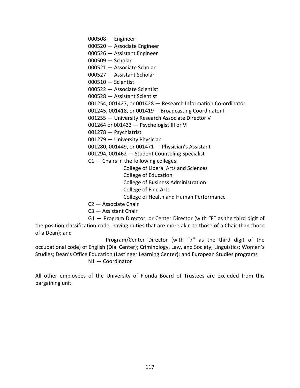000508 — Engineer

- 000520 Associate Engineer
- 000526 Assistant Engineer
- 000509 Scholar
- 000521 Associate Scholar
- 000527 Assistant Scholar
- 000510 Scientist
- 000522 Associate Scientist
- 000528 Assistant Scientist
- 001254, 001427, or 001428 Research Information Co-ordinator
- 001245, 001418, or 001419— Broadcasting Coordinator I
- 001255 University Research Associate Director V
- 001264 or 001433 Psychologist III or VI
- 001278 Psychiatrist
- 001279 University Physician
- 001280, 001449, or 001471 Physician's Assistant
- 001294, 001462 Student Counseling Specialist
- $C1$  Chairs in the following colleges:
	- College of Liberal Arts and Sciences
	- College of Education
	- College of Business Administration
	- College of Fine Arts
	- College of Health and Human Performance
- C2 Associate Chair
- C3 Assistant Chair

G1 — Program Director, or Center Director (with "F" as the third digit of the position classification code, having duties that are more akin to those of a Chair than those of a Dean); and

Program/Center Director (with "7" as the third digit of the occupational code) of English (Dial Center); Criminology, Law, and Society; Linguistics; Women's Studies; Dean's Office Education (Lastinger Learning Center); and European Studies programs

N1 — Coordinator

All other employees of the University of Florida Board of Trustees are excluded from this bargaining unit.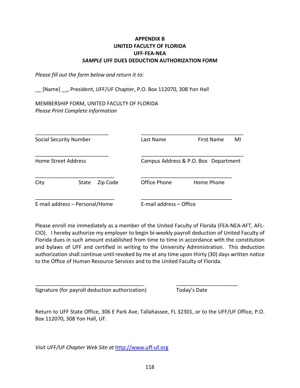### **APPENDIX B UNITED FACULTY OF FLORIDA UFF-FEA-NEA** *SAMPLE* **UFF DUES DEDUCTION AUTHORIZATION FORM**

*Please fill out the form below and return it to:*

[Name] , President, UFF/UF Chapter, P.O. Box 112070, 308 Yon Hall

MEMBERSHIP FORM, UNITED FACULTY OF FLORIDA *Please Print Complete Information*

|                            | <b>Social Security Number</b>  |          | Last Name               | First Name<br>MI                     |
|----------------------------|--------------------------------|----------|-------------------------|--------------------------------------|
| <b>Home Street Address</b> |                                |          |                         | Campus Address & P.O. Box Department |
| City                       | State                          | Zip Code | Office Phone            | Home Phone                           |
|                            | E-mail address - Personal/Home |          | E-mail address - Office |                                      |

Please enroll me immediately as a member of the United Faculty of Florida (FEA-NEA-AFT, AFL-CIO). I hereby authorize my employer to begin bi-weekly payroll deduction of United Faculty of Florida dues in such amount established from time to time in accordance with the constitution and bylaws of UFF and certified in writing to the University Administration. This deduction authorization shall continue until revoked by me at any time upon thirty (30) days written notice to the Office of Human Resource Services and to the United Faculty of Florida.

Signature (for payroll deduction authorization) Today's Date

Return to UFF State Office, 306 E Park Ave, Tallahassee, FL 32301, or to the UFF/UF Office, P.O. Box 112070, 308 Yon Hall, UF.

\_\_\_\_\_\_\_\_\_\_\_\_\_\_\_\_\_\_\_\_\_\_\_\_\_\_\_\_\_\_\_\_\_\_\_\_\_ \_\_\_\_\_\_\_\_\_\_\_\_\_\_\_\_\_\_\_\_\_

*Visit UFF/UF Chapter Web Site at* [http://www.uff-uf.org](http://www.uff-uf.org/)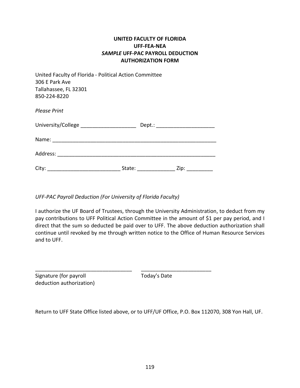## **UNITED FACULTY OF FLORIDA UFF-FEA-NEA** *SAMPLE* **UFF-PAC PAYROLL DEDUCTION AUTHORIZATION FORM**

| United Faculty of Florida - Political Action Committee<br>306 E Park Ave<br>Tallahassee, FL 32301<br>850-224-8220 |                  |                                  |
|-------------------------------------------------------------------------------------------------------------------|------------------|----------------------------------|
| <b>Please Print</b>                                                                                               |                  |                                  |
| University/College ______________________                                                                         |                  | Dept.: _________________________ |
|                                                                                                                   |                  |                                  |
|                                                                                                                   |                  |                                  |
| City:                                                                                                             | State: _________ | Zip:                             |

*UFF-PAC Payroll Deduction (For University of Florida Faculty)*

I authorize the UF Board of Trustees, through the University Administration, to deduct from my pay contributions to UFF Political Action Committee in the amount of \$1 per pay period, and I direct that the sum so deducted be paid over to UFF. The above deduction authorization shall continue until revoked by me through written notice to the Office of Human Resource Services and to UFF.

| Signature (for payroll   | Today's Date |  |
|--------------------------|--------------|--|
| deduction authorization) |              |  |

Return to UFF State Office listed above, or to UFF/UF Office, P.O. Box 112070, 308 Yon Hall, UF.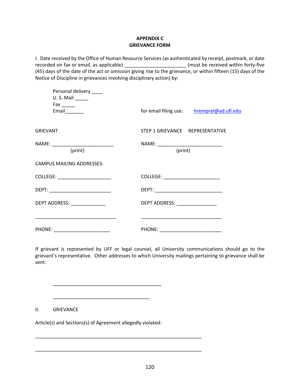#### **APPENDIX C GRIEVANCE FORM**

I. Date received by the Office of Human Resource Services (as authenticated by receipt, postmark, or date recorded on fax or email, as applicable) \_\_\_\_\_\_\_\_\_\_\_\_\_\_\_\_\_\_\_\_\_\_\_\_\_\_(must be received within forty-five (45) days of the date of the act or omission giving rise to the grievance, or within fifteen (15) days of the Notice of Discipline in grievances involving disciplinary action) by:

| Personal delivery ____<br>$U.S.$ Mail $\_\_\_\_\_\_\_\_\$<br>Fax _______ |                                                  |
|--------------------------------------------------------------------------|--------------------------------------------------|
| Email________                                                            | for email filing use: hremprel@ad.ufl.edu        |
| <b>GRIEVANT</b>                                                          | STEP 1 GRIEVANCE REPRESENTATIVE                  |
| NAME: _______________________________<br>(print)                         | NAME: _______________________________<br>(print) |
| CAMPUS MAILING ADDRESSES:                                                |                                                  |
| COLLEGE: _______________________                                         |                                                  |
|                                                                          |                                                  |
| DEPT ADDRESS: _______________                                            | DEPT ADDRESS: ________________                   |
|                                                                          |                                                  |
| PHONE: __________________________                                        | PHONE: __________________________                |

If grievant is represented by UFF or legal counsel, all University communications should go to the grievant's representative. Other addresses to which University mailings pertaining to grievance shall be sent:

II. GRIEVANCE

Article(s) and Sections(s) of Agreement allegedly violated:

\_\_\_\_\_\_\_\_\_\_\_\_\_\_\_\_\_\_\_\_\_\_\_\_\_\_\_\_\_\_\_\_\_\_\_\_

\_\_\_\_\_\_\_\_\_\_\_\_\_\_\_\_\_\_\_\_\_\_\_\_\_\_\_\_\_\_\_\_\_\_\_\_\_

\_\_\_\_\_\_\_\_\_\_\_\_\_\_\_\_\_\_\_\_\_\_\_\_\_\_\_\_\_\_\_\_\_\_\_\_\_\_\_\_\_\_\_\_\_\_\_\_\_\_\_\_\_\_\_\_\_\_\_\_\_\_

\_\_\_\_\_\_\_\_\_\_\_\_\_\_\_\_\_\_\_\_\_\_\_\_\_\_\_\_\_\_\_\_\_\_\_\_\_\_\_\_\_\_\_\_\_\_\_\_\_\_\_\_\_\_\_\_\_\_\_\_\_\_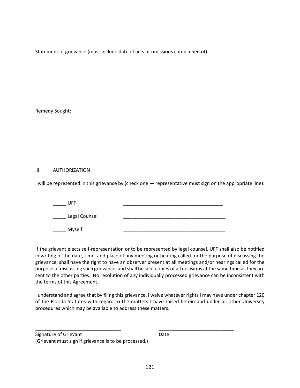Statement of grievance (must include date of acts or omissions complained of):

Remedy Sought:

#### III. AUTHORIZATION

I will be represented in this grievance by (check one — representative must sign on the appropriate line):

| <b>UFF</b>    |  |
|---------------|--|
| Legal Counsel |  |
| Myself        |  |

If the grievant elects self-representation or to be represented by legal counsel, UFF shall also be notified in writing of the date, time, and place of any meeting or hearing called for the purpose of discussing the grievance, shall have the right to have an observer present at all meetings and/or hearings called for the purpose of discussing such grievance, and shall be sent copies of all decisions at the same time as they are sent to the other parties. No resolution of any individually processed grievance can be inconsistent with the terms of this Agreement.

I understand and agree that by filing this grievance, I waive whatever rights I may have under chapter 120 of the Florida Statutes with regard to the matters I have raised herein and under all other University procedures which may be available to address these matters.

\_\_\_\_\_\_\_\_\_\_\_\_\_\_\_\_\_\_\_\_\_\_\_\_\_\_\_\_\_\_\_\_ \_\_\_\_\_\_\_\_\_\_\_\_\_\_\_\_\_\_\_\_\_\_\_\_\_\_\_\_

Signature of Grievant **Date** (Grievant must sign if grievance is to be processed.)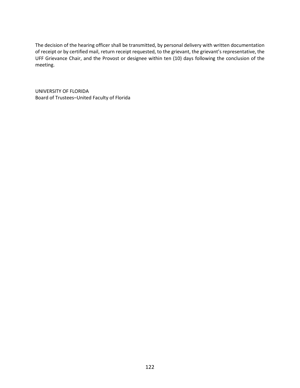The decision of the hearing officer shall be transmitted, by personal delivery with written documentation of receipt or by certified mail, return receipt requested, to the grievant, the grievant's representative, the UFF Grievance Chair, and the Provost or designee within ten (10) days following the conclusion of the meeting.

UNIVERSITY OF FLORIDA Board of Trustees–United Faculty of Florida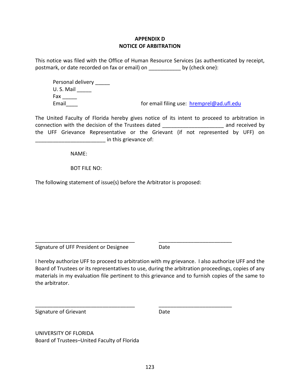## **APPENDIX D NOTICE OF ARBITRATION**

This notice was filed with the Office of Human Resource Services (as authenticated by receipt, postmark, or date recorded on fax or email) on \_\_\_\_\_\_\_\_\_\_\_ by (check one):

Personal delivery \_\_\_\_\_\_ U. S. Mail \_\_\_\_\_ Fax \_\_\_\_\_ Email Email for email filing use: [hremprel@ad.ufl.edu](mailto:hremprel@ad.ufl.edu)

The United Faculty of Florida hereby gives notice of its intent to proceed to arbitration in connection with the decision of the Trustees dated \_\_\_\_\_\_\_\_\_\_\_\_\_\_\_\_\_\_\_\_\_ and received by the UFF Grievance Representative or the Grievant (if not represented by UFF) on \_\_\_\_\_\_\_\_\_\_\_\_\_\_\_\_\_\_\_\_\_\_\_\_ in this grievance of:

NAME:

BOT FILE NO:

The following statement of issue(s) before the Arbitrator is proposed:

Signature of UFF President or Designee Date

I hereby authorize UFF to proceed to arbitration with my grievance. I also authorize UFF and the Board of Trustees or its representatives to use, during the arbitration proceedings, copies of any materials in my evaluation file pertinent to this grievance and to furnish copies of the same to the arbitrator.

\_\_\_\_\_\_\_\_\_\_\_\_\_\_\_\_\_\_\_\_\_\_\_\_\_\_\_\_\_\_\_\_\_\_ \_\_\_\_\_\_\_\_\_\_\_\_\_\_\_\_\_\_\_\_\_\_\_\_\_

\_\_\_\_\_\_\_\_\_\_\_\_\_\_\_\_\_\_\_\_\_\_\_\_\_\_\_\_\_\_\_\_\_\_ \_\_\_\_\_\_\_\_\_\_\_\_\_\_\_\_\_\_\_\_\_\_\_\_\_

Signature of Grievant **Date** Date

UNIVERSITY OF FLORIDA Board of Trustees–United Faculty of Florida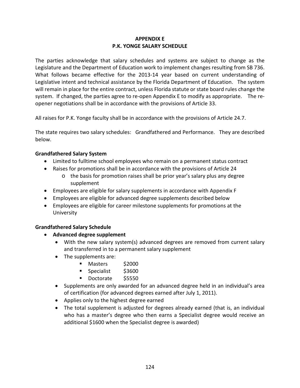# **APPENDIX E P.K. YONGE SALARY SCHEDULE**

The parties acknowledge that salary schedules and systems are subject to change as the Legislature and the Department of Education work to implement changes resulting from SB 736. What follows became effective for the 2013-14 year based on current understanding of Legislative intent and technical assistance by the Florida Department of Education. The system will remain in place for the entire contract, unless Florida statute or state board rules change the system. If changed, the parties agree to re-open Appendix E to modify as appropriate. The reopener negotiations shall be in accordance with the provisions of Article 33.

All raises for P.K. Yonge faculty shall be in accordance with the provisions of Article 24.7.

The state requires two salary schedules: Grandfathered and Performance. They are described below.

# **Grandfathered Salary System**

- Limited to fulltime school employees who remain on a permanent status contract
- Raises for promotions shall be in accordance with the provisions of Article 24
	- o the basis for promotion raises shall be prior year's salary plus any degree supplement
- Employees are eligible for salary supplements in accordance with Appendix F
- Employees are eligible for advanced degree supplements described below
- Employees are eligible for career milestone supplements for promotions at the University

## **Grandfathered Salary Schedule**

- **Advanced degree supplement**
	- With the new salary system(s) advanced degrees are removed from current salary and transferred in to a permanent salary supplement
	- The supplements are:
		- Masters \$2000
		- Specialist \$3600
		- Doctorate \$5550
	- Supplements are only awarded for an advanced degree held in an individual's area of certification (for advanced degrees earned after July 1, 2011).
	- Applies only to the highest degree earned
	- The total supplement is adjusted for degrees already earned (that is, an individual who has a master's degree who then earns a Specialist degree would receive an additional \$1600 when the Specialist degree is awarded)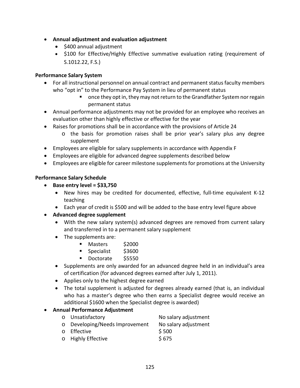- **Annual adjustment and evaluation adjustment**
	- \$400 annual adjustment
	- \$100 for Effective/Highly Effective summative evaluation rating (requirement of S.1012.22, F.S.)

#### **Performance Salary System**

- For all instructional personnel on annual contract and permanent status faculty members who "opt in" to the Performance Pay System in lieu of permanent status
	- once they opt in, they may not return to the Grandfather System nor regain permanent status
- Annual performance adjustments may not be provided for an employee who receives an evaluation other than highly effective or effective for the year
- Raises for promotions shall be in accordance with the provisions of Article 24
	- o the basis for promotion raises shall be prior year's salary plus any degree supplement
- Employees are eligible for salary supplements in accordance with Appendix F
- Employees are eligible for advanced degree supplements described below
- Employees are eligible for career milestone supplements for promotions at the University

#### **Performance Salary Schedule**

- **Base entry level = \$33,750**
	- New hires may be credited for documented, effective, full-time equivalent K-12 teaching
	- Each year of credit is \$500 and will be added to the base entry level figure above
- **Advanced degree supplement**
	- With the new salary system(s) advanced degrees are removed from current salary and transferred in to a permanent salary supplement
	- The supplements are:
		- Masters \$2000
		- Specialist \$3600
		- Doctorate \$5550
	- Supplements are only awarded for an advanced degree held in an individual's area of certification (for advanced degrees earned after July 1, 2011).
	- Applies only to the highest degree earned
	- The total supplement is adjusted for degrees already earned (that is, an individual who has a master's degree who then earns a Specialist degree would receive an additional \$1600 when the Specialist degree is awarded)

## • **Annual Performance Adjustment**

| o Unsatisfactory               | No salary adjustment |
|--------------------------------|----------------------|
| o Developing/Needs Improvement | No salary adjustment |
| o Effective                    | \$500                |
| o Highly Effective             | \$675                |
|                                |                      |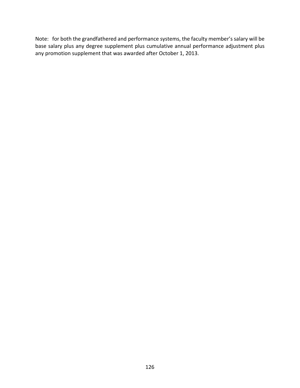Note: for both the grandfathered and performance systems, the faculty member's salary will be base salary plus any degree supplement plus cumulative annual performance adjustment plus any promotion supplement that was awarded after October 1, 2013.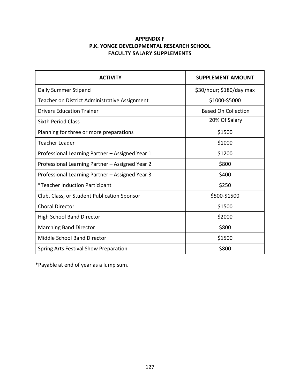# **APPENDIX F P.K. YONGE DEVELOPMENTAL RESEARCH SCHOOL FACULTY SALARY SUPPLEMENTS**

| <b>ACTIVITY</b>                                 | <b>SUPPLEMENT AMOUNT</b>   |
|-------------------------------------------------|----------------------------|
| Daily Summer Stipend                            | \$30/hour; \$180/day max   |
| Teacher on District Administrative Assignment   | \$1000-\$5000              |
| <b>Drivers Education Trainer</b>                | <b>Based On Collection</b> |
| <b>Sixth Period Class</b>                       | 20% Of Salary              |
| Planning for three or more preparations         | \$1500                     |
| <b>Teacher Leader</b>                           | \$1000                     |
| Professional Learning Partner - Assigned Year 1 | \$1200                     |
| Professional Learning Partner - Assigned Year 2 | \$800                      |
| Professional Learning Partner – Assigned Year 3 | \$400                      |
| <i>*</i> Teacher Induction Participant          | \$250                      |
| Club, Class, or Student Publication Sponsor     | \$500-\$1500               |
| <b>Choral Director</b>                          | \$1500                     |
| <b>High School Band Director</b>                | \$2000                     |
| <b>Marching Band Director</b>                   | \$800                      |
| Middle School Band Director                     | \$1500                     |
| Spring Arts Festival Show Preparation           | \$800                      |

\*Payable at end of year as a lump sum.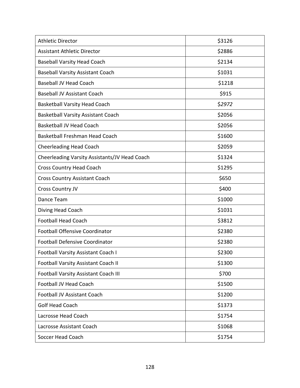| <b>Athletic Director</b>                      | \$3126 |
|-----------------------------------------------|--------|
| <b>Assistant Athletic Director</b>            | \$2886 |
| <b>Baseball Varsity Head Coach</b>            | \$2134 |
| <b>Baseball Varsity Assistant Coach</b>       | \$1031 |
| <b>Baseball JV Head Coach</b>                 | \$1218 |
| <b>Baseball JV Assistant Coach</b>            | \$915  |
| <b>Basketball Varsity Head Coach</b>          | \$2972 |
| <b>Basketball Varsity Assistant Coach</b>     | \$2056 |
| <b>Basketball JV Head Coach</b>               | \$2056 |
| Basketball Freshman Head Coach                | \$1600 |
| <b>Cheerleading Head Coach</b>                | \$2059 |
| Cheerleading Varsity Assistants/JV Head Coach | \$1324 |
| <b>Cross Country Head Coach</b>               | \$1295 |
| <b>Cross Country Assistant Coach</b>          | \$650  |
| <b>Cross Country JV</b>                       | \$400  |
| Dance Team                                    | \$1000 |
| Diving Head Coach                             | \$1031 |
| <b>Football Head Coach</b>                    | \$3812 |
| <b>Football Offensive Coordinator</b>         | \$2380 |
| <b>Football Defensive Coordinator</b>         | \$2380 |
| <b>Football Varsity Assistant Coach I</b>     | \$2300 |
| <b>Football Varsity Assistant Coach II</b>    | \$1300 |
| Football Varsity Assistant Coach III          | \$700  |
| <b>Football JV Head Coach</b>                 | \$1500 |
| <b>Football JV Assistant Coach</b>            | \$1200 |
| <b>Golf Head Coach</b>                        | \$1373 |
| Lacrosse Head Coach                           | \$1754 |
| Lacrosse Assistant Coach                      | \$1068 |
| Soccer Head Coach                             | \$1754 |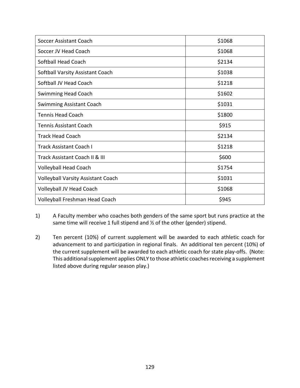| Soccer Assistant Coach                    | \$1068 |
|-------------------------------------------|--------|
| Soccer JV Head Coach                      | \$1068 |
| Softball Head Coach                       | \$2134 |
| Softball Varsity Assistant Coach          | \$1038 |
| Softball JV Head Coach                    | \$1218 |
| <b>Swimming Head Coach</b>                | \$1602 |
| <b>Swimming Assistant Coach</b>           | \$1031 |
| <b>Tennis Head Coach</b>                  | \$1800 |
| <b>Tennis Assistant Coach</b>             | \$915  |
| <b>Track Head Coach</b>                   | \$2134 |
| Track Assistant Coach I                   | \$1218 |
| Track Assistant Coach II & III            | \$600  |
| <b>Volleyball Head Coach</b>              | \$1754 |
| <b>Volleyball Varsity Assistant Coach</b> | \$1031 |
| Volleyball JV Head Coach                  | \$1068 |
| Volleyball Freshman Head Coach            | \$945  |

1) A Faculty member who coaches both genders of the same sport but runs practice at the same time will receive 1 full stipend and ½ of the other (gender) stipend.

2) Ten percent (10%) of current supplement will be awarded to each athletic coach for advancement to and participation in regional finals. An additional ten percent (10%) of the current supplement will be awarded to each athletic coach for state play-offs. (Note: This additional supplement applies ONLY to those athletic coaches receiving a supplement listed above during regular season play.)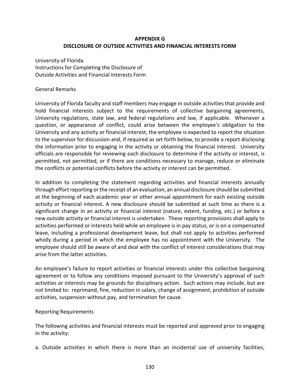## **APPENDIX G DISCLOSURE OF OUTSIDE ACTIVITIES AND FINANCIAL INTERESTS FORM**

University of Florida Instructions for Completing the Disclosure of Outside Activities and Financial Interests Form

#### General Remarks

University of Florida faculty and staff members may engage in outside activities that provide and hold financial interests subject to the requirements of collective bargaining agreements, University regulations, state law, and federal regulations and law, if applicable. Whenever a question, or appearance of conflict, could arise between the employee's obligation to the University and any activity or financial interest, the employee is expected to report the situation to the supervisor for discussion and, if required as set forth below, to provide a report disclosing the information prior to engaging in the activity or obtaining the financial interest. University officials are responsible for reviewing each disclosure to determine if the activity or interest, is permitted, not permitted, or if there are conditions necessary to manage, reduce or eliminate the conflicts or potential conflicts before the activity or interest can be permitted.

In addition to completing the statement regarding activities and financial interests annually through effort reporting or the receipt of an evaluation, an annual disclosure should be submitted at the beginning of each academic year or other annual appointment for each existing outside activity or financial interest**.** A new disclosure should be submitted at such time as there is a significant change in an activity or financial interest (nature, extent, funding, etc.) or before a new outside activity or financial interest is undertaken. These reporting provisions shall apply to activities performed or interests held while an employee is in pay status, or is on a compensated leave, including a professional development leave, but shall not apply to activities performed wholly during a period in which the employee has no appointment with the University. The employee should still be aware of and deal with the conflict of interest considerations that may arise from the latter activities.

An employee's failure to report activities or financial interests under this collective bargaining agreement or to follow any conditions imposed pursuant to the University's approval of such activities or interests may be grounds for disciplinary action. Such actions may include, but are not limited to: reprimand, fine, reduction in salary, change of assignment, prohibition of outside activities, suspension without pay, and termination for cause.

#### Reporting Requirements

The following activities and financial interests must be reported and approved prior to engaging in the activity:

a. Outside activities in which there is more than an incidental use of university facilities,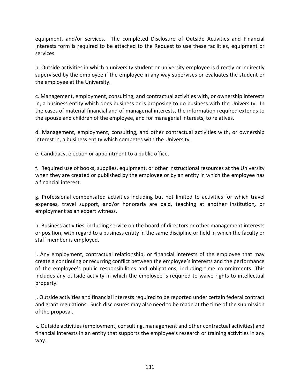equipment, and/or services. The completed Disclosure of Outside Activities and Financial Interests form is required to be attached to the Request to use these facilities, equipment or services.

b. Outside activities in which a university student or university employee is directly or indirectly supervised by the employee if the employee in any way supervises or evaluates the student or the employee at the University.

c. Management, employment, consulting, and contractual activities with, or ownership interests in, a business entity which does business or is proposing to do business with the University. In the cases of material financial and of managerial interests, the information required extends to the spouse and children of the employee, and for managerial interests, to relatives.

d. Management, employment, consulting, and other contractual activities with, or ownership interest in, a business entity which competes with the University.

e. Candidacy, election or appointment to a public office.

f. Required use of books, supplies, equipment, or other instructional resources at the University when they are created or published by the employee or by an entity in which the employee has a financial interest.

g. Professional compensated activities including but not limited to activities for which travel expenses, travel support, and/or honoraria are paid, teaching at another institution*,* or employment as an expert witness.

h. Business activities, including service on the board of directors or other management interests or position, with regard to a business entity in the same discipline or field in which the faculty or staff member is employed.

i. Any employment, contractual relationship, or financial interests of the employee that may create a continuing or recurring conflict between the employee's interests and the performance of the employee's public responsibilities and obligations, including time commitments. This includes any outside activity in which the employee is required to waive rights to intellectual property.

j. Outside activities and financial interests required to be reported under certain federal contract and grant regulations. Such disclosures may also need to be made at the time of the submission of the proposal.

k. Outside activities (employment, consulting, management and other contractual activities) and financial interests in an entity that supports the employee's research or training activities in any way.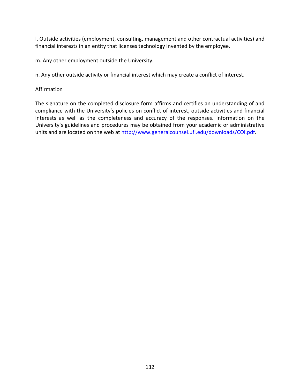l. Outside activities (employment, consulting, management and other contractual activities) and financial interests in an entity that licenses technology invented by the employee.

m. Any other employment outside the University.

n. Any other outside activity or financial interest which may create a conflict of interest.

#### Affirmation

The signature on the completed disclosure form affirms and certifies an understanding of and compliance with the University's policies on conflict of interest, outside activities and financial interests as well as the completeness and accuracy of the responses. Information on the University's guidelines and procedures may be obtained from your academic or administrative units and are located on the web at [http://www.generalcounsel.ufl.edu/downloads/COI.pdf.](http://www.generalcounsel.ufl.edu/downloads/COI.pdf)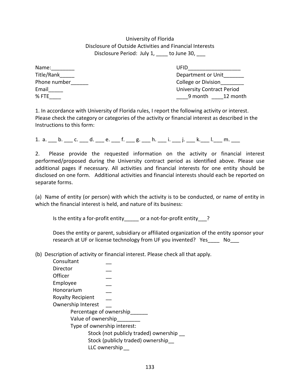## University of Florida Disclosure of Outside Activities and Financial Interests Disclosure Period: July 1, \_\_\_\_ to June 30, \_\_\_

| Name:        |  |
|--------------|--|
| Title/Rank   |  |
| Phone number |  |
| Email        |  |
| $%$ FTF      |  |

 $UFD$ Department or Unit College or Division University Contract Period  $9$  month  $12$  month

1. In accordance with University of Florida rules, I report the following activity or interest. Please check the category or categories of the activity or financial interest as described in the Instructions to this form:

1. a.  $_$  b.  $_$  c.  $_$  d.  $_$  e.  $_$  f.  $_$  g.  $_$  h.  $_$ i.  $_$ i.  $_$  j.  $_$  k.  $_$  l.  $_$  m.  $_$ 

2. Please provide the requested information on the activity or financial interest performed/proposed during the University contract period as identified above. Please use additional pages if necessary. All activities and financial interests for one entity should be disclosed on one form. Additional activities and financial interests should each be reported on separate forms.

(a) Name of entity (or person) with which the activity is to be conducted, or name of entity in which the financial interest is held, and nature of its business:

Is the entity a for-profit entity\_\_\_\_\_ or a not-for-profit entity\_\_\_?

Does the entity or parent, subsidiary or affiliated organization of the entity sponsor your research at UF or license technology from UF you invented? Yes a Mo

(b) Description of activity or financial interest. Please check all that apply.

| Consultant                        |                                       |  |  |
|-----------------------------------|---------------------------------------|--|--|
| Director                          |                                       |  |  |
| Officer                           |                                       |  |  |
| Employee                          |                                       |  |  |
| Honorarium                        |                                       |  |  |
| <b>Royalty Recipient</b>          |                                       |  |  |
| Ownership Interest                |                                       |  |  |
| Percentage of ownership           |                                       |  |  |
| Value of ownership                |                                       |  |  |
| Type of ownership interest:       |                                       |  |  |
|                                   | Stock (not publicly traded) ownership |  |  |
| Stock (publicly traded) ownership |                                       |  |  |
|                                   | LLC ownership                         |  |  |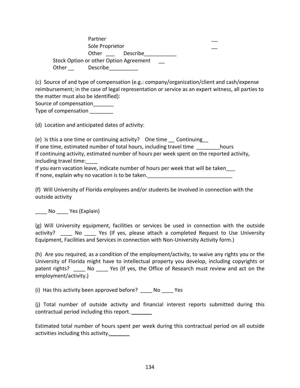Partner \_\_ Sole Proprietor Other Describe Stock Option or other Option Agreement Other Describe

(c) Source of and type of compensation (e.g.: company/organization/client and cash/expense reimbursement; in the case of legal representation or service as an expert witness, all parties to the matter must also be identified):

Source of compensation

Type of compensation \_\_\_\_\_\_\_\_

(d) Location and anticipated dates of activity:

(e) Is this a one time or continuing activity? One time \_\_ Continuing\_\_ If one time, estimated number of total hours, including travel time hours If continuing activity, estimated number of hours per week spent on the reported activity, including travel time:\_\_\_\_

If you earn vacation leave, indicate number of hours per week that will be taken\_\_\_ If none, explain why no vacation is to be taken.

(f) Will University of Florida employees and/or students be involved in connection with the outside activity

No Yes (Explain)

(g) Will University equipment, facilities or services be used in connection with the outside activity? \_\_\_\_\_ No \_\_\_\_\_ Yes (If yes, please attach a completed Request to Use University Equipment, Facilities and Services in connection with Non-University Activity form.)

(h) Are you required, as a condition of the employment/activity, to waive any rights you or the University of Florida might have to intellectual property you develop, including copyrights or patent rights? \_\_\_\_ No \_\_\_\_ Yes (If yes, the Office of Research must review and act on the employment/activity.)

(i) Has this activity been approved before? \_\_\_\_ No \_\_\_\_ Yes

(j) Total number of outside activity and financial interest reports submitted during this contractual period including this report. *\_\_\_\_\_\_\_*

Estimated total number of hours spent per week during this contractual period on all outside activities including this activity.*\_\_\_\_\_\_\_*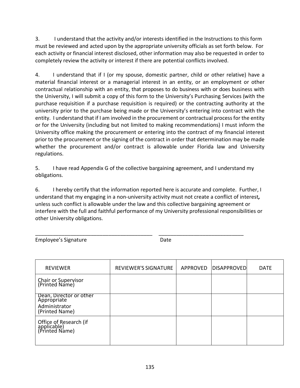3. I understand that the activity and/or interests identified in the Instructions to this form must be reviewed and acted upon by the appropriate university officials as set forth below. For each activity or financial interest disclosed, other information may also be requested in order to completely review the activity or interest if there are potential conflicts involved.

4. I understand that if I (or my spouse, domestic partner, child or other relative) have a material financial interest or a managerial interest in an entity, or an employment or other contractual relationship with an entity, that proposes to do business with or does business with the University, I will submit a copy of this form to the University's Purchasing Services (with the purchase requisition if a purchase requisition is required) or the contracting authority at the university prior to the purchase being made or the University's entering into contract with the entity. I understand that if I am involved in the procurement or contractual process for the entity or for the University (including but not limited to making recommendations) I must inform the University office making the procurement or entering into the contract of my financial interest prior to the procurement or the signing of the contract in order that determination may be made whether the procurement and/or contract is allowable under Florida law and University regulations.

5. I have read Appendix G of the collective bargaining agreement, and I understand my obligations.

6. I hereby certify that the information reported here is accurate and complete. Further, I understand that my engaging in a non-university activity must not create a conflict of interest*,*  unless such conflict is allowable under the law and this collective bargaining agreement or interfere with the full and faithful performance of my University professional responsibilities or other University obligations.

\_\_\_\_\_\_\_\_\_\_\_\_\_\_\_\_\_\_\_\_\_\_\_\_\_\_\_\_\_\_\_\_\_\_\_\_\_\_\_\_ \_\_\_\_\_\_\_\_\_\_\_\_\_\_\_\_\_\_\_\_\_\_\_\_\_\_\_\_\_

Employee's Signature **Date** Date

| <b>REVIEWER</b>                                                           | <b>REVIEWER'S SIGNATURE</b> | APPROVED   DISAPPROVED | <b>DATE</b> |
|---------------------------------------------------------------------------|-----------------------------|------------------------|-------------|
| Chair or Supervisor<br>(Printed Name)                                     |                             |                        |             |
| Dean, Director or other<br>Apprópriate<br>Administrator<br>(Printed Name) |                             |                        |             |
| Office of Research (if<br>applicable)<br>(Printed Name)                   |                             |                        |             |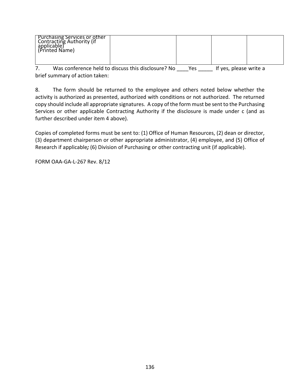| Purchasing Services or other<br>  Contracting Authority (if<br>applicable)<br>(Printed Name) |  |  |
|----------------------------------------------------------------------------------------------|--|--|
|                                                                                              |  |  |

7. Was conference held to discuss this disclosure? No \_\_\_\_Yes \_\_\_\_\_ If yes, please write a brief summary of action taken:

8. The form should be returned to the employee and others noted below whether the activity is authorized as presented, authorized with conditions or not authorized. The returned copy should include all appropriate signatures. A copy of the form must be sent to the Purchasing Services or other applicable Contracting Authority if the disclosure is made under c (and as further described under item 4 above).

Copies of completed forms must be sent to: (1) Office of Human Resources, (2) dean or director, (3) department chairperson or other appropriate administrator, (4) employee, and (5) Office of Research if applicable*;* (6) Division of Purchasing or other contracting unit (if applicable).

FORM OAA-GA-L-267 Rev. 8/12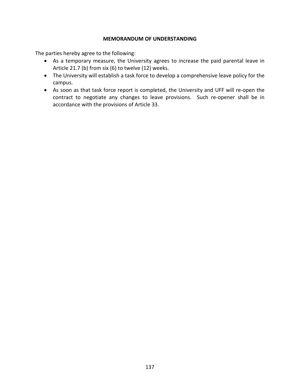#### **MEMORANDUM OF UNDERSTANDING**

The parties hereby agree to the following:

- As a temporary measure, the University agrees to increase the paid parental leave in Article 21.7 (b) from six (6) to twelve (12) weeks.
- The University will establish a task force to develop a comprehensive leave policy for the campus.
- As soon as that task force report is completed, the University and UFF will re-open the contract to negotiate any changes to leave provisions. Such re-opener shall be in accordance with the provisions of Article 33.